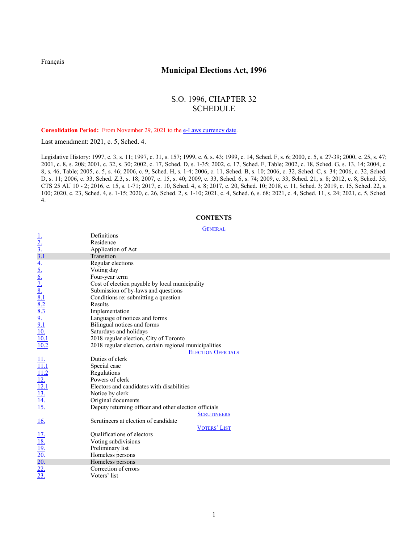[Français](http://www.ontario.ca/fr/lois/loi/96m32)

# **Municipal Elections Act, 1996**

# S.O. 1996, CHAPTER 32 SCHEDULE

Consolidation Period: From November 29, 2021 to the [e-Laws currency date.](http://www.e-laws.gov.on.ca/navigation?file=currencyDates&lang=en)

Last amendment: [2021, c. 5, Sched. 4.](http://www.ontario.ca/laws/statute/S21005#sched4s1)

Legislative History: 1997, c. 3, s. 11; 1997, c. 31, s. 157; 1999, c. 6, s. 43; 1999, c. 14, Sched. F, s. 6; [2000, c.](http://www.ontario.ca/laws/statute/S00005#s27s1) 5, s. 27-39; [2000, c. 25, s. 47;](http://www.ontario.ca/laws/statute/S00025#s47) [2001, c. 8, s. 208;](http://www.ontario.ca/laws/statute/S01008#s208s1) [2001, c. 32, s. 30;](http://www.ontario.ca/laws/statute/S01032#s30s1) [2002, c. 17, Sched. D, s. 1-35;](http://www.ontario.ca/laws/statute/S02017#schedds1s1) [2002, c. 17, Sched. F, Table;](http://www.ontario.ca/laws/statute/S02017#schedfs2) [2002, c. 18, Sched. G, s. 13, 14;](http://www.ontario.ca/laws/statute/S02018#schedgs13) [2004, c.](http://www.ontario.ca/laws/statute/S04008#s46s2)  [8, s. 46, Table;](http://www.ontario.ca/laws/statute/S04008#s46s2) 2005, [c. 5, s.](http://www.ontario.ca/laws/statute/S05005#s46s1) 46; [2006, c. 9, Sched. H, s. 1-4;](http://www.ontario.ca/laws/statute/S06009#schedhs1) 2006, c. [11, Sched. B, s. 10;](http://www.ontario.ca/laws/statute/S06011#schedbs10) [2006, c. 32, Sched. C, s. 34;](http://www.ontario.ca/laws/statute/S06032#schedcs34s1) [2006, c. 32, Sched.](http://www.ontario.ca/laws/statute/S06032#schedds11)  [D, s. 11;](http://www.ontario.ca/laws/statute/S06032#schedds11) 2006, c. [33, Sched. Z.3, s. 18;](http://www.ontario.ca/laws/statute/S06033#schedz3s18s1) [2007, c. 15, s. 40;](http://www.ontario.ca/laws/statute/S07015#s40s1) [2009, c. 33, Sched. 6, s. 74;](http://www.ontario.ca/laws/statute/S09033#sched6s74) [2009, c. 33, Sched. 21, s. 8;](http://www.ontario.ca/laws/statute/S09033#sched21s8s1) [2012, c. 8, Sched. 35;](http://www.ontario.ca/laws/statute/S12008#sched35s1) [CTS 25 AU 10](http://www.ontario.ca/laws/consolidated-statutes-change-notices) - 2; [2016, c. 15, s. 1-71;](http://www.ontario.ca/laws/statute/S16015#s1s1) [2017, c. 10, Sched. 4, s. 8;](http://www.ontario.ca/laws/statute/S17010#sched4s8s1) 2017, [c. 20, Sched. 10;](http://www.ontario.ca/laws/statute/S17020#sched10s1) [2018, c. 11, Sched. 3;](http://www.ontario.ca/laws/statute/S18011#sched3s1) [2019, c. 15, Sched. 22, s.](http://www.ontario.ca/laws/statute/S19015#sched22s100s1)  [100;](http://www.ontario.ca/laws/statute/S19015#sched22s100s1) [2020, c. 23, Sched. 4, s. 1-15;](http://www.ontario.ca/laws/statute/S20023#sched4s1) [2020, c. 26, Sched. 2, s. 1-10;](http://www.ontario.ca/laws/statute/S20026#sched2s1s1) 2021, c. [4, Sched. 6, s. 68;](http://www.ontario.ca/laws/statute/S21004#sched6s68) [2021, c. 4, Sched. 11, s. 24;](http://www.ontario.ca/laws/statute/S21004#sched11s24) [2021, c. 5, Sched.](http://www.ontario.ca/laws/statute/S21005#sched4s1)  [4.](http://www.ontario.ca/laws/statute/S21005#sched4s1)

## **CONTENTS**

#### **[GENERAL](#page-2-0)**

|                                                                                             | <b>ULITER IL</b>                                       |
|---------------------------------------------------------------------------------------------|--------------------------------------------------------|
|                                                                                             | Definitions                                            |
|                                                                                             | Residence                                              |
|                                                                                             | Application of Act                                     |
|                                                                                             | Transition                                             |
|                                                                                             | Regular elections                                      |
|                                                                                             | Voting day                                             |
|                                                                                             | Four-year term                                         |
|                                                                                             | Cost of election payable by local municipality         |
|                                                                                             | Submission of by-laws and questions                    |
|                                                                                             | Conditions re: submitting a question                   |
|                                                                                             | Results                                                |
|                                                                                             | Implementation                                         |
|                                                                                             | Language of notices and forms                          |
|                                                                                             | Bilingual notices and forms                            |
| <u>1.<br/>2. 3. 1. 4. 5. 6. 7. 8. 8. 3. 9. 10. 10. 1</u><br><u>9. 1. 10. 1 10. 1</u>        | Saturdays and holidays                                 |
|                                                                                             | 2018 regular election, City of Toronto                 |
|                                                                                             | 2018 regular election, certain regional municipalities |
|                                                                                             | <b>ELECTION OFFICIALS</b>                              |
|                                                                                             | Duties of clerk                                        |
|                                                                                             | Special case                                           |
|                                                                                             | Regulations                                            |
|                                                                                             | Powers of clerk                                        |
|                                                                                             | Electors and candidates with disabilities              |
|                                                                                             | Notice by clerk                                        |
|                                                                                             | Original documents                                     |
| <u>11.<br/>11.1</u><br><u>11.2</u><br><u>12.1</u><br><u>13.</u><br><u>14.</u><br><u>15.</u> | Deputy returning officer and other election officials  |
|                                                                                             | <b>SCRUTINEERS</b>                                     |
| <u>16.</u>                                                                                  | Scrutineers at election of candidate                   |
|                                                                                             | <b>VOTERS' LIST</b>                                    |
|                                                                                             | Qualifications of electors                             |
|                                                                                             | Voting subdivisions                                    |
|                                                                                             | Preliminary list                                       |
| $\frac{17.}{18.}$ $\frac{19.}{20.}$ $\frac{20.}{22.}$                                       | Homeless persons                                       |
|                                                                                             | Homeless persons                                       |
|                                                                                             | Correction of errors                                   |
|                                                                                             | Voters' list                                           |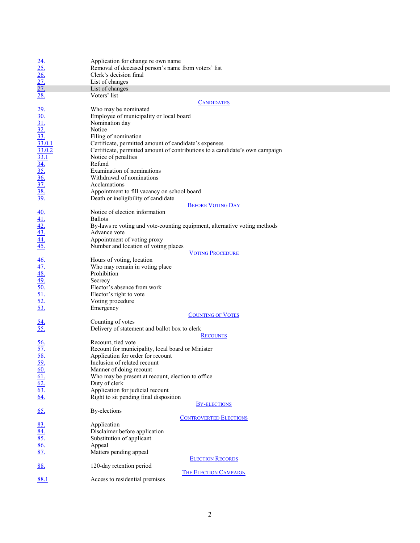| $\frac{24.}{25.}$ $\frac{26.}{27.}$ $\frac{27.}{28.}$                                                                                                                                                                                                                        | Application for change re own name<br>Removal of deceased person's name from voters' list<br>Clerk's decision final |  |
|------------------------------------------------------------------------------------------------------------------------------------------------------------------------------------------------------------------------------------------------------------------------------|---------------------------------------------------------------------------------------------------------------------|--|
|                                                                                                                                                                                                                                                                              | List of changes                                                                                                     |  |
|                                                                                                                                                                                                                                                                              | List of changes<br>Voters' list                                                                                     |  |
|                                                                                                                                                                                                                                                                              |                                                                                                                     |  |
|                                                                                                                                                                                                                                                                              | <b>CANDIDATES</b>                                                                                                   |  |
|                                                                                                                                                                                                                                                                              | Who may be nominated                                                                                                |  |
|                                                                                                                                                                                                                                                                              | Employee of municipality or local board                                                                             |  |
|                                                                                                                                                                                                                                                                              | Nomination day                                                                                                      |  |
|                                                                                                                                                                                                                                                                              | Notice                                                                                                              |  |
|                                                                                                                                                                                                                                                                              | Filing of nomination                                                                                                |  |
|                                                                                                                                                                                                                                                                              | Certificate, permitted amount of candidate's expenses                                                               |  |
|                                                                                                                                                                                                                                                                              | Certificate, permitted amount of contributions to a candidate's own campaign                                        |  |
| $\frac{29.4 \underline{30}}{30.4 \underline{31}} \cdot \frac{32.4 \underline{33}}{33.0 \underline{33.0 \underline{33.0 \underline{33.1}}} \cdot \frac{33.0 \underline{33.0 \underline{33.1}}}{33.4 \underline{35.6 \underline{37.}} \cdot \underline{38.39 \underline{39.}}$ | Notice of penalties                                                                                                 |  |
|                                                                                                                                                                                                                                                                              | Refund                                                                                                              |  |
|                                                                                                                                                                                                                                                                              | Examination of nominations                                                                                          |  |
|                                                                                                                                                                                                                                                                              | Withdrawal of nominations                                                                                           |  |
|                                                                                                                                                                                                                                                                              | Acclamations                                                                                                        |  |
|                                                                                                                                                                                                                                                                              | Appointment to fill vacancy on school board                                                                         |  |
|                                                                                                                                                                                                                                                                              | Death or ineligibility of candidate                                                                                 |  |
|                                                                                                                                                                                                                                                                              | <b>BEFORE VOTING DAY</b>                                                                                            |  |
|                                                                                                                                                                                                                                                                              | Notice of election information                                                                                      |  |
|                                                                                                                                                                                                                                                                              | <b>Ballots</b>                                                                                                      |  |
|                                                                                                                                                                                                                                                                              | By-laws re voting and vote-counting equipment, alternative voting methods                                           |  |
|                                                                                                                                                                                                                                                                              | Advance vote                                                                                                        |  |
| $\frac{40.41}{42.42.43}$<br>$\frac{43.44}{45.45}$                                                                                                                                                                                                                            | Appointment of voting proxy                                                                                         |  |
|                                                                                                                                                                                                                                                                              | Number and location of voting places                                                                                |  |
|                                                                                                                                                                                                                                                                              | <b>VOTING PROCEDURE</b>                                                                                             |  |
|                                                                                                                                                                                                                                                                              | Hours of voting, location                                                                                           |  |
|                                                                                                                                                                                                                                                                              | Who may remain in voting place                                                                                      |  |
|                                                                                                                                                                                                                                                                              | Prohibition                                                                                                         |  |
|                                                                                                                                                                                                                                                                              | Secrecy                                                                                                             |  |
|                                                                                                                                                                                                                                                                              | Elector's absence from work                                                                                         |  |
|                                                                                                                                                                                                                                                                              |                                                                                                                     |  |
|                                                                                                                                                                                                                                                                              | Elector's right to vote                                                                                             |  |
| $\frac{46.47}{48.49.6}$<br>$\frac{49.50}{51.52.53.6}$                                                                                                                                                                                                                        | Voting procedure                                                                                                    |  |
|                                                                                                                                                                                                                                                                              | Emergency                                                                                                           |  |
|                                                                                                                                                                                                                                                                              | <b>COUNTING OF VOTES</b>                                                                                            |  |
| $\frac{54}{55}$                                                                                                                                                                                                                                                              | Counting of votes                                                                                                   |  |
|                                                                                                                                                                                                                                                                              | Delivery of statement and ballot box to clerk                                                                       |  |
|                                                                                                                                                                                                                                                                              | <b>RECOUNTS</b>                                                                                                     |  |
|                                                                                                                                                                                                                                                                              | Recount, tied vote                                                                                                  |  |
|                                                                                                                                                                                                                                                                              | Recount for municipality, local board or Minister                                                                   |  |
|                                                                                                                                                                                                                                                                              | Application for order for recount                                                                                   |  |
| $\frac{56}{57}$<br>$\frac{58}{59}$<br>$\frac{60}{61}$<br>$\frac{61}{62}$<br>$\frac{63}{64}$                                                                                                                                                                                  | Inclusion of related recount                                                                                        |  |
|                                                                                                                                                                                                                                                                              | Manner of doing recount                                                                                             |  |
|                                                                                                                                                                                                                                                                              | Who may be present at recount, election to office                                                                   |  |
|                                                                                                                                                                                                                                                                              | Duty of clerk                                                                                                       |  |
|                                                                                                                                                                                                                                                                              | Application for judicial recount                                                                                    |  |
|                                                                                                                                                                                                                                                                              | Right to sit pending final disposition                                                                              |  |
|                                                                                                                                                                                                                                                                              | <b>BY-ELECTIONS</b>                                                                                                 |  |
| <u>65.</u>                                                                                                                                                                                                                                                                   | By-elections                                                                                                        |  |
|                                                                                                                                                                                                                                                                              | <b>CONTROVERTED ELECTIONS</b>                                                                                       |  |
|                                                                                                                                                                                                                                                                              | Application                                                                                                         |  |
|                                                                                                                                                                                                                                                                              | Disclaimer before application                                                                                       |  |
|                                                                                                                                                                                                                                                                              | Substitution of applicant                                                                                           |  |
|                                                                                                                                                                                                                                                                              | Appeal                                                                                                              |  |
| $\frac{83.}{84.}$<br>$\frac{85.}{86.}$                                                                                                                                                                                                                                       | Matters pending appeal                                                                                              |  |
| <b>ELECTION RECORDS</b>                                                                                                                                                                                                                                                      |                                                                                                                     |  |
| <u>88.</u>                                                                                                                                                                                                                                                                   | 120-day retention period                                                                                            |  |
|                                                                                                                                                                                                                                                                              | <b>THE ELECTION CAMPAIGN</b>                                                                                        |  |
| 88.1                                                                                                                                                                                                                                                                         | Access to residential premises                                                                                      |  |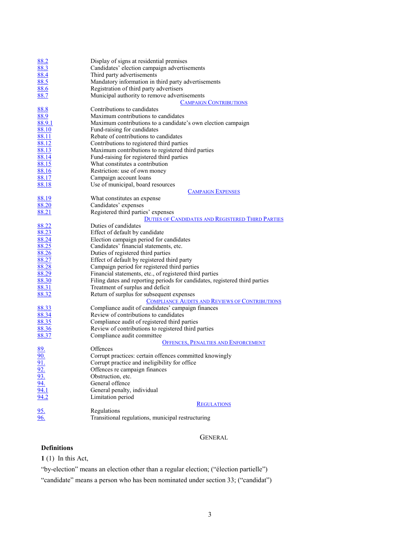| 88.2            | Display of signs at residential premises                                    |
|-----------------|-----------------------------------------------------------------------------|
| 88.3            | Candidates' election campaign advertisements                                |
| 88.4            | Third party advertisements                                                  |
| 88.5            | Mandatory information in third party advertisements                         |
| 88.6            | Registration of third party advertisers                                     |
| 88.7            | Municipal authority to remove advertisements                                |
|                 | <b>CAMPAIGN CONTRIBUTIONS</b>                                               |
| 88.8            | Contributions to candidates                                                 |
| 88.9            | Maximum contributions to candidates                                         |
| 88.9.1          | Maximum contributions to a candidate's own election campaign                |
| 88.10           | Fund-raising for candidates                                                 |
| 88.11           | Rebate of contributions to candidates                                       |
| 88.12           | Contributions to registered third parties                                   |
| 88.13           | Maximum contributions to registered third parties                           |
| 88.14           | Fund-raising for registered third parties                                   |
| 88.15           | What constitutes a contribution                                             |
| 88.16           | Restriction: use of own money                                               |
| 88.17           | Campaign account loans                                                      |
| 88.18           | Use of municipal, board resources                                           |
|                 | <b>CAMPAIGN EXPENSES</b>                                                    |
| 88.19           | What constitutes an expense                                                 |
| 88.20           | Candidates' expenses                                                        |
| 88.21           | Registered third parties' expenses                                          |
|                 | <b>DUTIES OF CANDIDATES AND REGISTERED THIRD PARTIES</b>                    |
| 88.22           | Duties of candidates                                                        |
| 88.23           | Effect of default by candidate                                              |
| 88.24           | Election campaign period for candidates                                     |
| 88.25           | Candidates' financial statements, etc.                                      |
| 88.26           | Duties of registered third parties                                          |
| 88.27           | Effect of default by registered third party                                 |
| 88.28           | Campaign period for registered third parties                                |
| 88.29           | Financial statements, etc., of registered third parties                     |
| 88.30           | Filing dates and reporting periods for candidates, registered third parties |
| 88.31           | Treatment of surplus and deficit                                            |
| 88.32           | Return of surplus for subsequent expenses                                   |
|                 | <b>COMPLIANCE AUDITS AND REVIEWS OF CONTRIBUTIONS</b>                       |
| 88.33           | Compliance audit of candidates' campaign finances                           |
| 88.34           | Review of contributions to candidates                                       |
| 88.35           | Compliance audit of registered third parties                                |
| 88.36           | Review of contributions to registered third parties                         |
| 88.37           | Compliance audit committee                                                  |
|                 | <b>OFFENCES, PENALTIES AND ENFORCEMENT</b>                                  |
| <u>89.</u>      | Offences                                                                    |
| 90.             | Corrupt practices: certain offences committed knowingly                     |
| 91.             | Corrupt practice and ineligibility for office                               |
|                 | Offences re campaign finances                                               |
| $\frac{92}{93}$ | Obstruction, etc.                                                           |
| 94.             | General offence                                                             |
| 94.1            | General penalty, individual                                                 |
| 94.2            | Limitation period                                                           |
|                 | <b>REGULATIONS</b>                                                          |
|                 | Regulations                                                                 |
| $\frac{95}{96}$ | Transitional regulations, municipal restructuring                           |
|                 |                                                                             |

# GENERAL

## <span id="page-2-0"></span>**Definitions**

<span id="page-2-1"></span>**1** (1) In this Act,

"by-election" means an election other than a regular election; ("élection partielle")

"candidate" means a person who has been nominated under section 33; ("candidat")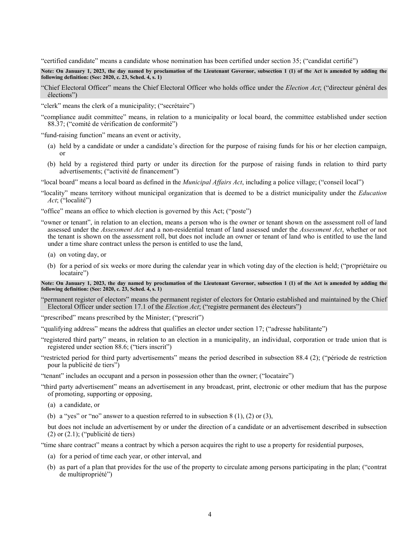"certified candidate" means a candidate whose nomination has been certified under section 35; ("candidat certifié")

**Note: On January 1, 2023, the day named by proclamation of the Lieutenant Governor, subsection 1 (1) of the Act is amended by adding the following definition: (See: 2020, c. 23, Sched. 4, s. 1)**

"Chief Electoral Officer" means the Chief Electoral Officer who holds office under the *Election Act*; ("directeur général des élections")

"clerk" means the clerk of a municipality; ("secrétaire")

"compliance audit committee" means, in relation to a municipality or local board, the committee established under section 88.37; ("comité de vérification de conformité")

"fund-raising function" means an event or activity,

- (a) held by a candidate or under a candidate's direction for the purpose of raising funds for his or her election campaign, or
- (b) held by a registered third party or under its direction for the purpose of raising funds in relation to third party advertisements; ("activité de financement")

"local board" means a local board as defined in the *Municipal Affairs Act*, including a police village; ("conseil local")

"locality" means territory without municipal organization that is deemed to be a district municipality under the *Education Act*; ("localité")

"office" means an office to which election is governed by this Act; ("poste")

- "owner or tenant", in relation to an election, means a person who is the owner or tenant shown on the assessment roll of land assessed under the *Assessment Act* and a non-residential tenant of land assessed under the *Assessment Act*, whether or not the tenant is shown on the assessment roll, but does not include an owner or tenant of land who is entitled to use the land under a time share contract unless the person is entitled to use the land,
	- (a) on voting day, or
	- (b) for a period of six weeks or more during the calendar year in which voting day of the election is held; ("propriétaire ou locataire")

**Note: On January 1, 2023, the day named by proclamation of the Lieutenant Governor, subsection 1 (1) of the Act is amended by adding the following definition: (See: 2020, c. 23, Sched. 4, s. 1)**

"permanent register of electors" means the permanent register of electors for Ontario established and maintained by the Chief Electoral Officer under section 17.1 of the *Election Act*; ("registre permanent des électeurs")

"prescribed" means prescribed by the Minister; ("prescrit")

"qualifying address" means the address that qualifies an elector under section 17; ("adresse habilitante")

"registered third party" means, in relation to an election in a municipality, an individual, corporation or trade union that is registered under section 88.6; ("tiers inscrit")

"restricted period for third party advertisements" means the period described in subsection 88.4 (2); ("période de restriction pour la publicité de tiers")

"tenant" includes an occupant and a person in possession other than the owner; ("locataire")

"third party advertisement" means an advertisement in any broadcast, print, electronic or other medium that has the purpose of promoting, supporting or opposing,

(a) a candidate, or

(b) a "yes" or "no" answer to a question referred to in subsection  $8(1)$ ,  $(2)$  or  $(3)$ ,

but does not include an advertisement by or under the direction of a candidate or an advertisement described in subsection (2) or (2.1); ("publicité de tiers)

"time share contract" means a contract by which a person acquires the right to use a property for residential purposes,

- (a) for a period of time each year, or other interval, and
- (b) as part of a plan that provides for the use of the property to circulate among persons participating in the plan; ("contrat de multipropriété")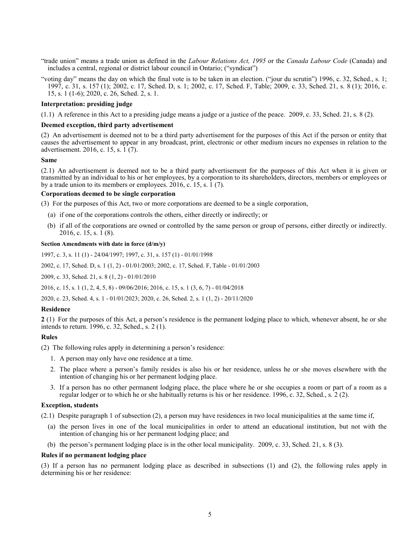- "trade union" means a trade union as defined in the *Labour Relations Act, 1995* or the *Canada Labour Code* (Canada) and includes a central, regional or district labour council in Ontario; ("syndicat")
- "voting day" means the day on which the final vote is to be taken in an election. ("jour du scrutin") 1996, c. 32, Sched., s. 1; 1997, c. 31, s. 157 (1); 2002, c. 17, Sched. D, s. 1; 2002, c. 17, Sched. F, Table; 2009, c. 33, Sched. 21, s. 8 (1); 2016, c. 15, s. 1 (1-6); 2020, c. 26, Sched. 2, s. 1.

## **Interpretation: presiding judge**

(1.1) A reference in this Act to a presiding judge means a judge or a justice of the peace. 2009, c. 33, Sched. 21, s. 8 (2).

#### **Deemed exception, third party advertisement**

(2) An advertisement is deemed not to be a third party advertisement for the purposes of this Act if the person or entity that causes the advertisement to appear in any broadcast, print, electronic or other medium incurs no expenses in relation to the advertisement. 2016, c. 15, s. 1 (7).

#### **Same**

(2.1) An advertisement is deemed not to be a third party advertisement for the purposes of this Act when it is given or transmitted by an individual to his or her employees, by a corporation to its shareholders, directors, members or employees or by a trade union to its members or employees. 2016, c. 15, s. 1 (7).

### **Corporations deemed to be single corporation**

(3) For the purposes of this Act, two or more corporations are deemed to be a single corporation,

- (a) if one of the corporations controls the others, either directly or indirectly; or
- (b) if all of the corporations are owned or controlled by the same person or group of persons, either directly or indirectly. 2016, c. 15, s. 1 (8).

#### **Section Amendments with date in force (d/m/y)**

1997, c. 3, s. 11 (1) - 24/04/1997; 1997, c. 31, s. 157 (1) - 01/01/1998

[2002, c. 17, Sched.](http://www.ontario.ca/laws/statute/S02017#schedds1s1) D, s. 1 (1, 2) - 01/01/2003[; 2002, c. 17, Sched. F, Table](http://www.ontario.ca/laws/statute/S02017#schedfs2) - 01/01/2003

2009, c. 33, [Sched. 21, s. 8 \(1, 2\)](http://www.ontario.ca/laws/statute/S09033#sched21s8s1) - 01/01/2010

2016, c. [15, s. 1 \(1, 2, 4, 5, 8\)](http://www.ontario.ca/laws/statute/S16015#s1s1) - 09/06/2016; 2016, [c. 15, s. 1 \(3, 6, 7\)](http://www.ontario.ca/laws/statute/S16015#s1s3) - 01/04/2018

[2020, c. 23, Sched.](http://www.ontario.ca/laws/statute/S20023#sched4s1) 4, s. 1 - 01/01/2023[; 2020, c. 26, Sched. 2, s. 1 \(1, 2\)](http://www.ontario.ca/laws/statute/S20026#sched2s1s1) - 20/11/2020

## **Residence**

<span id="page-4-0"></span>**2** (1) For the purposes of this Act, a person's residence is the permanent lodging place to which, whenever absent, he or she intends to return. 1996, c. 32, Sched., s. 2 (1).

### **Rules**

(2) The following rules apply in determining a person's residence:

- 1. A person may only have one residence at a time.
- 2. The place where a person's family resides is also his or her residence, unless he or she moves elsewhere with the intention of changing his or her permanent lodging place.
- 3. If a person has no other permanent lodging place, the place where he or she occupies a room or part of a room as a regular lodger or to which he or she habitually returns is his or her residence. 1996, c. 32, Sched., s. 2 (2).

#### **Exception, students**

(2.1) Despite paragraph 1 of subsection (2), a person may have residences in two local municipalities at the same time if,

- (a) the person lives in one of the local municipalities in order to attend an educational institution, but not with the intention of changing his or her permanent lodging place; and
- (b) the person's permanent lodging place is in the other local municipality. 2009, c. 33, Sched. 21, s. 8 (3).

#### **Rules if no permanent lodging place**

(3) If a person has no permanent lodging place as described in subsections (1) and (2), the following rules apply in determining his or her residence: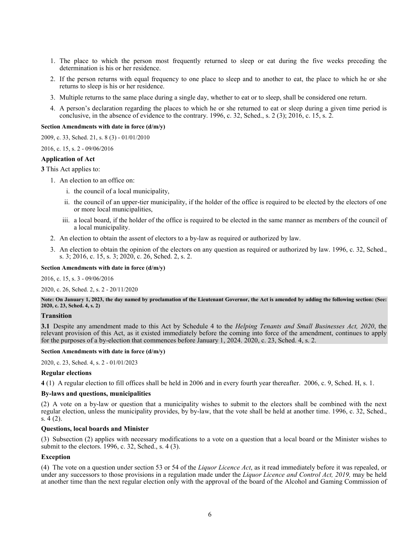- 1. The place to which the person most frequently returned to sleep or eat during the five weeks preceding the determination is his or her residence.
- 2. If the person returns with equal frequency to one place to sleep and to another to eat, the place to which he or she returns to sleep is his or her residence.
- 3. Multiple returns to the same place during a single day, whether to eat or to sleep, shall be considered one return.
- 4. A person's declaration regarding the places to which he or she returned to eat or sleep during a given time period is conclusive, in the absence of evidence to the contrary. 1996, c. 32, Sched., s. 2 (3); 2016, c. 15, s. 2.

#### **Section Amendments with date in force (d/m/y)**

[2009, c. 33, Sched. 21, s. 8 \(3\)](http://www.ontario.ca/laws/statute/S09033#sched21s8s3) - 01/01/2010

#### [2016, c. 15, s. 2](http://www.ontario.ca/laws/statute/S16015#s2) - 09/06/2016

#### **Application of Act**

<span id="page-5-0"></span>**3** This Act applies to:

- 1. An election to an office on:
	- i. the council of a local municipality,
	- ii. the council of an upper-tier municipality, if the holder of the office is required to be elected by the electors of one or more local municipalities,
	- iii. a local board, if the holder of the office is required to be elected in the same manner as members of the council of a local municipality.
- 2. An election to obtain the assent of electors to a by-law as required or authorized by law.
- 3. An election to obtain the opinion of the electors on any question as required or authorized by law. 1996, c. 32, Sched., s. 3; 2016, c. 15, s. 3; 2020, c. 26, Sched. 2, s. 2.

### **Section Amendments with date in force (d/m/y)**

[2016, c. 15, s. 3](http://www.ontario.ca/laws/statute/S16015#s3) - 09/06/2016

[2020, c. 26, Sched.](http://www.ontario.ca/laws/statute/S20026#sched2s2) 2, s. 2 - 20/11/2020

**Note: On January 1, 2023, the day named by proclamation of the Lieutenant Governor, the Act is amended by adding the following section: (See: 2020, c. 23, Sched. 4, s. 2)**

## **Transition**

<span id="page-5-1"></span>**3.1** Despite any amendment made to this Act by Schedule 4 to the *Helping Tenants and Small Businesses Act, 2020*, the relevant provision of this Act, as it existed immediately before the coming into force of the amendment, continues to apply for the purposes of a by-election that commences before January 1, 2024. 2020, c. 23, Sched. 4, s. 2.

### **Section Amendments with date in force (d/m/y)**

[2020, c. 23, Sched. 4, s. 2](http://www.ontario.ca/laws/statute/S20023#sched4s2) - 01/01/2023

#### **Regular elections**

<span id="page-5-2"></span>**4** (1) A regular election to fill offices shall be held in 2006 and in every fourth year thereafter. 2006, c. 9, Sched. H, s. 1.

### **By-laws and questions, municipalities**

(2) A vote on a by-law or question that a municipality wishes to submit to the electors shall be combined with the next regular election, unless the municipality provides, by by-law, that the vote shall be held at another time. 1996, c. 32, Sched., s. 4 (2).

#### **Questions, local boards and Minister**

(3) Subsection (2) applies with necessary modifications to a vote on a question that a local board or the Minister wishes to submit to the electors. 1996, c. 32, Sched., s. 4 (3).

#### **Exception**

(4) The vote on a question under section 53 or 54 of the *Liquor Licence Act*, as it read immediately before it was repealed, or under any successors to those provisions in a regulation made under the *Liquor Licence and Control Act, 2019,* may be held at another time than the next regular election only with the approval of the board of the Alcohol and Gaming Commission of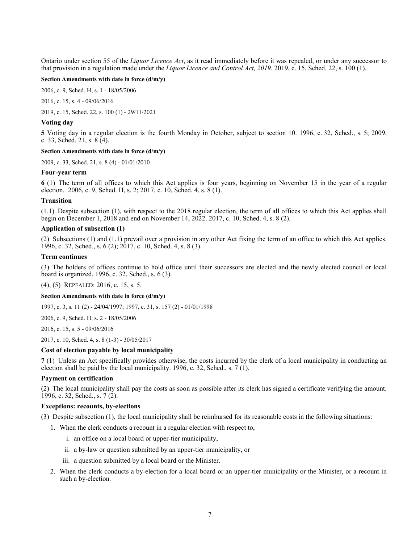Ontario under section 55 of the *Liquor Licence Act*, as it read immediately before it was repealed, or under any successor to that provision in a regulation made under the *Liquor Licence and Control Act, 2019*. 2019, c. 15, Sched. 22, s. 100 (1).

### **Section Amendments with date in force (d/m/y)**

[2006, c. 9, Sched. H, s. 1](http://www.ontario.ca/laws/statute/S06009#schedhs1) - 18/05/2006

[2016, c. 15, s. 4](http://www.ontario.ca/laws/statute/S16015#s4) - 09/06/2016

[2019, c. 15, Sched. 22, s.](http://www.ontario.ca/laws/statute/S19015#sched22s100s1) 100 (1) - 29/11/2021

### **Voting day**

<span id="page-6-0"></span>**5** Voting day in a regular election is the fourth Monday in October, subject to section 10. 1996, c. 32, Sched., s. 5; 2009, c. 33, Sched. 21, s. 8 (4).

### **Section Amendments with date in force (d/m/y)**

[2009, c. 33, Sched.](http://www.ontario.ca/laws/statute/S09033#sched21s8s4) 21, s. 8 (4) - 01/01/2010

#### **Four-year term**

<span id="page-6-1"></span>**6** (1) The term of all offices to which this Act applies is four years, beginning on November 15 in the year of a regular election. 2006, c. 9, Sched. H, s. 2; 2017, c. 10, Sched. 4, s. 8 (1).

#### **Transition**

(1.1) Despite subsection (1), with respect to the 2018 regular election, the term of all offices to which this Act applies shall begin on December 1, 2018 and end on November 14, 2022. 2017, c. 10, Sched. 4, s. 8 (2).

## **Application of subsection (1)**

(2) Subsections (1) and (1.1) prevail over a provision in any other Act fixing the term of an office to which this Act applies. 1996, c. 32, Sched., s. 6 (2); 2017, c. 10, Sched. 4, s. 8 (3).

#### **Term continues**

(3) The holders of offices continue to hold office until their successors are elected and the newly elected council or local board is organized. 1996, c. 32, Sched., s. 6 (3).

(4), (5) REPEALED: 2016, c. 15, s. 5.

#### **Section Amendments with date in force (d/m/y)**

1997, c. 3, s. 11 (2) - 24/04/1997; 1997, c. 31, s. 157 (2) - 01/01/1998

[2006, c. 9, Sched. H, s. 2](http://www.ontario.ca/laws/statute/S06009#schedhs2) - 18/05/2006

[2016, c. 15, s.](http://www.ontario.ca/laws/statute/S16015#s5) 5 - 09/06/2016

2017, [c. 10, Sched.](http://www.ontario.ca/laws/statute/S17010#sched4s8s1) 4, s. 8 (1-3) - 30/05/2017

## **Cost of election payable by local municipality**

<span id="page-6-2"></span>**7** (1) Unless an Act specifically provides otherwise, the costs incurred by the clerk of a local municipality in conducting an election shall be paid by the local municipality. 1996, c. 32, Sched., s. 7 (1).

### **Payment on certification**

(2) The local municipality shall pay the costs as soon as possible after its clerk has signed a certificate verifying the amount. 1996, c. 32, Sched., s. 7 (2).

## **Exceptions: recounts, by-elections**

- (3) Despite subsection (1), the local municipality shall be reimbursed for its reasonable costs in the following situations:
	- 1. When the clerk conducts a recount in a regular election with respect to,
		- i. an office on a local board or upper-tier municipality,
		- ii. a by-law or question submitted by an upper-tier municipality, or
		- iii. a question submitted by a local board or the Minister.
	- 2. When the clerk conducts a by-election for a local board or an upper-tier municipality or the Minister, or a recount in such a by-election.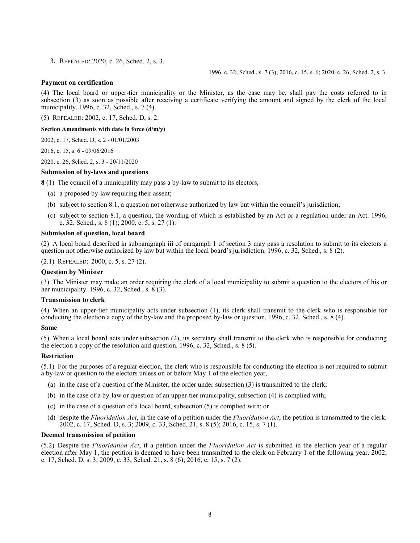3. REPEALED: 2020, c. 26, Sched. 2, s. 3.

1996, c. 32, Sched., s. 7 (3); 2016, c. 15, s. 6; 2020, c. 26, Sched. 2, s. 3.

## **Payment on certification**

(4) The local board or upper-tier municipality or the Minister, as the case may be, shall pay the costs referred to in subsection (3) as soon as possible after receiving a certificate verifying the amount and signed by the clerk of the local municipality. 1996, c. 32, Sched., s. 7 (4).

(5) REPEALED: 2002, c. 17, Sched. D, s. 2.

**Section Amendments with date in force (d/m/y)**

2002, c. 17, [Sched. D, s. 2](http://www.ontario.ca/laws/statute/S02017#schedds2) - 01/01/2003

[2016, c. 15, s.](http://www.ontario.ca/laws/statute/S16015#s6) 6 - 09/06/2016

[2020, c. 26, Sched. 2, s. 3](http://www.ontario.ca/laws/statute/S20026#sched2s3) - 20/11/2020

### **Submission of by-laws and questions**

<span id="page-7-0"></span>**8** (1) The council of a municipality may pass a by-law to submit to its electors,

- (a) a proposed by-law requiring their assent;
- (b) subject to section 8.1, a question not otherwise authorized by law but within the council's jurisdiction;
- (c) subject to section 8.1, a question, the wording of which is established by an Act or a regulation under an Act. 1996, c. 32, Sched., s. 8 (1); 2000, c. 5, s. 27 (1).

### **Submission of question, local board**

(2) A local board described in subparagraph iii of paragraph 1 of section 3 may pass a resolution to submit to its electors a question not otherwise authorized by law but within the local board's jurisdiction. 1996, c. 32, Sched., s. 8 (2).

(2.1) REPEALED: 2000, c. 5, s. 27 (2).

## **Question by Minister**

(3) The Minister may make an order requiring the clerk of a local municipality to submit a question to the electors of his or her municipality. 1996, c. 32, Sched., s. 8 (3).

#### **Transmission to clerk**

(4) When an upper-tier municipality acts under subsection (1), its clerk shall transmit to the clerk who is responsible for conducting the election a copy of the by-law and the proposed by-law or question. 1996, c. 32, Sched., s. 8 (4).

#### **Same**

(5) When a local board acts under subsection (2), its secretary shall transmit to the clerk who is responsible for conducting the election a copy of the resolution and question. 1996, c. 32, Sched., s. 8 (5).

#### **Restriction**

(5.1) For the purposes of a regular election, the clerk who is responsible for conducting the election is not required to submit a by-law or question to the electors unless on or before May 1 of the election year,

- (a) in the case of a question of the Minister, the order under subsection (3) is transmitted to the clerk;
- (b) in the case of a by-law or question of an upper-tier municipality, subsection (4) is complied with;
- (c) in the case of a question of a local board, subsection (5) is complied with; or
- (d) despite the *Fluoridation Act*, in the case of a petition under the *Fluoridation Act*, the petition is transmitted to the clerk. 2002, c. 17, Sched. D, s. 3; 2009, c. 33, Sched. 21, s. 8 (5); 2016, c. 15, s. 7 (1).

#### **Deemed transmission of petition**

(5.2) Despite the *Fluoridation Act*, if a petition under the *Fluoridation Act* is submitted in the election year of a regular election after May 1, the petition is deemed to have been transmitted to the clerk on February 1 of the following year. 2002, c. 17, Sched. D, s. 3; 2009, c. 33, Sched. 21, s. 8 (6); 2016, c. 15, s. 7 (2).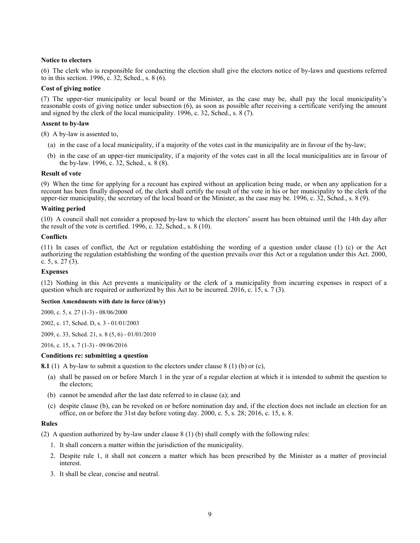## **Notice to electors**

(6) The clerk who is responsible for conducting the election shall give the electors notice of by-laws and questions referred to in this section. 1996, c. 32, Sched., s. 8 (6).

### **Cost of giving notice**

(7) The upper-tier municipality or local board or the Minister, as the case may be, shall pay the local municipality's reasonable costs of giving notice under subsection (6), as soon as possible after receiving a certificate verifying the amount and signed by the clerk of the local municipality. 1996, c. 32, Sched., s. 8 (7).

## **Assent to by-law**

(8) A by-law is assented to,

- (a) in the case of a local municipality, if a majority of the votes cast in the municipality are in favour of the by-law;
- (b) in the case of an upper-tier municipality, if a majority of the votes cast in all the local municipalities are in favour of the by-law. 1996, c. 32, Sched., s.  $8(8)$ .

### **Result of vote**

(9) When the time for applying for a recount has expired without an application being made, or when any application for a recount has been finally disposed of, the clerk shall certify the result of the vote in his or her municipality to the clerk of the upper-tier municipality, the secretary of the local board or the Minister, as the case may be. 1996, c. 32, Sched., s. 8 (9).

### **Waiting period**

(10) A council shall not consider a proposed by-law to which the electors' assent has been obtained until the 14th day after the result of the vote is certified. 1996, c. 32, Sched., s. 8 (10).

### **Conflicts**

(11) In cases of conflict, the Act or regulation establishing the wording of a question under clause (1) (c) or the Act authorizing the regulation establishing the wording of the question prevails over this Act or a regulation under this Act. 2000, c. 5, s. 27 (3).

## **Expenses**

(12) Nothing in this Act prevents a municipality or the clerk of a municipality from incurring expenses in respect of a question which are required or authorized by this Act to be incurred. 2016, c. 15, s. 7 (3).

#### **Section Amendments with date in force (d/m/y)**

[2000, c. 5, s. 27 \(1-3\)](http://www.ontario.ca/laws/statute/S00005#s27s1) - 08/06/2000

[2002, c. 17, Sched. D, s. 3](http://www.ontario.ca/laws/statute/S02017#schedds3) - 01/01/2003

[2009, c. 33, Sched. 21, s. 8 \(5, 6\)](http://www.ontario.ca/laws/statute/S09033#sched21s8s5) - 01/01/2010

[2016, c. 15, s. 7 \(1-3\)](http://www.ontario.ca/laws/statute/S16015#s7s1) - 09/06/2016

#### **Conditions re: submitting a question**

<span id="page-8-0"></span>**8.1** (1) A by-law to submit a question to the electors under clause 8 (1) (b) or (c),

- (a) shall be passed on or before March 1 in the year of a regular election at which it is intended to submit the question to the electors;
- (b) cannot be amended after the last date referred to in clause (a); and
- (c) despite clause (b), can be revoked on or before nomination day and, if the election does not include an election for an office, on or before the 31st day before voting day. 2000, c. 5, s. 28; 2016, c. 15, s. 8.

## **Rules**

(2) A question authorized by by-law under clause 8 (1) (b) shall comply with the following rules:

- 1. It shall concern a matter within the jurisdiction of the municipality.
- 2. Despite rule 1, it shall not concern a matter which has been prescribed by the Minister as a matter of provincial interest.
- 3. It shall be clear, concise and neutral.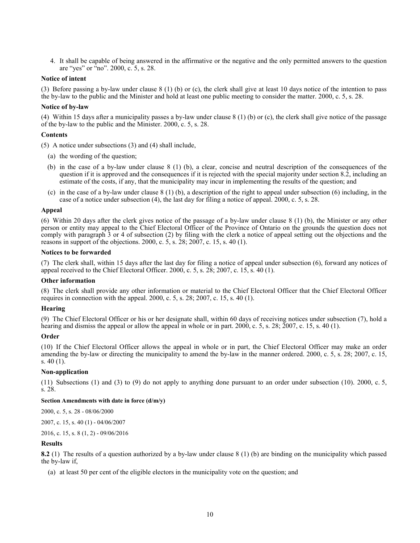4. It shall be capable of being answered in the affirmative or the negative and the only permitted answers to the question are "yes" or "no". 2000, c. 5, s. 28.

### **Notice of intent**

(3) Before passing a by-law under clause 8 (1) (b) or (c), the clerk shall give at least 10 days notice of the intention to pass the by-law to the public and the Minister and hold at least one public meeting to consider the matter. 2000, c. 5, s. 28.

## **Notice of by-law**

(4) Within 15 days after a municipality passes a by-law under clause 8 (1) (b) or (c), the clerk shall give notice of the passage of the by-law to the public and the Minister. 2000, c. 5, s. 28.

## **Contents**

(5) A notice under subsections (3) and (4) shall include,

- (a) the wording of the question;
- (b) in the case of a by-law under clause 8 (1) (b), a clear, concise and neutral description of the consequences of the question if it is approved and the consequences if it is rejected with the special majority under section  $8.\overline{2}$ , including an estimate of the costs, if any, that the municipality may incur in implementing the results of the question; and
- (c) in the case of a by-law under clause 8 (1) (b), a description of the right to appeal under subsection (6) including, in the case of a notice under subsection (4), the last day for filing a notice of appeal. 2000, c. 5, s. 28.

### **Appeal**

(6) Within 20 days after the clerk gives notice of the passage of a by-law under clause 8 (1) (b), the Minister or any other person or entity may appeal to the Chief Electoral Officer of the Province of Ontario on the grounds the question does not comply with paragraph 3 or 4 of subsection (2) by filing with the clerk a notice of appeal setting out the objections and the reasons in support of the objections. 2000, c.  $5, s. 28$ ; 2007, c. 15, s. 40 (1).

## **Notices to be forwarded**

(7) The clerk shall, within 15 days after the last day for filing a notice of appeal under subsection (6), forward any notices of appeal received to the Chief Electoral Officer. 2000, c. 5, s. 28; 2007, c. 15, s. 40 (1).

#### **Other information**

(8) The clerk shall provide any other information or material to the Chief Electoral Officer that the Chief Electoral Officer requires in connection with the appeal. 2000, c. 5, s. 28; 2007, c. 15, s. 40 (1).

#### **Hearing**

(9) The Chief Electoral Officer or his or her designate shall, within 60 days of receiving notices under subsection (7), hold a hearing and dismiss the appeal or allow the appeal in whole or in part. 2000, c. 5, s. 28; 2007, c. 15, s. 40 (1).

#### **Order**

(10) If the Chief Electoral Officer allows the appeal in whole or in part, the Chief Electoral Officer may make an order amending the by-law or directing the municipality to amend the by-law in the manner ordered. 2000, c. 5, s. 28; 2007, c. 15, s. 40 (1).

## **Non-application**

(11) Subsections (1) and (3) to (9) do not apply to anything done pursuant to an order under subsection (10). 2000, c. 5, s. 28.

## **Section Amendments with date in force (d/m/y)**

[2000, c. 5, s. 28](http://www.ontario.ca/laws/statute/S00005#s28) - 08/06/2000

[2007, c. 15, s. 40 \(1\)](http://www.ontario.ca/laws/statute/S07015#s40s1) - 04/06/2007

2016, c. 15, [s. 8 \(1, 2\)](http://www.ontario.ca/laws/statute/S16015#s8s1) - 09/06/2016

#### **Results**

<span id="page-9-0"></span>**8.2** (1) The results of a question authorized by a by-law under clause 8 (1) (b) are binding on the municipality which passed the by-law if,

(a) at least 50 per cent of the eligible electors in the municipality vote on the question; and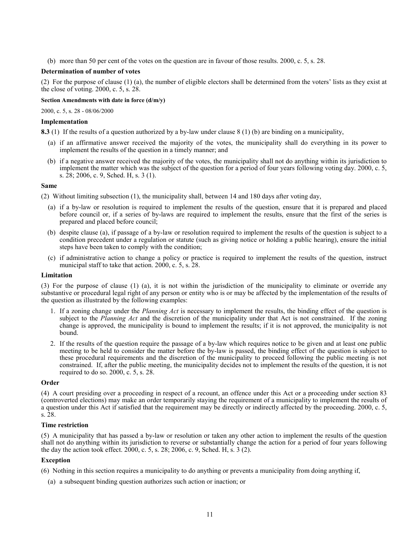(b) more than 50 per cent of the votes on the question are in favour of those results. 2000, c. 5, s. 28.

### **Determination of number of votes**

(2) For the purpose of clause (1) (a), the number of eligible electors shall be determined from the voters' lists as they exist at the close of voting. 2000, c. 5, s. 28.

#### **Section Amendments with date in force (d/m/y)**

[2000, c. 5, s. 28](http://www.ontario.ca/laws/statute/S00005#s28) - 08/06/2000

## **Implementation**

<span id="page-10-0"></span>**8.3** (1) If the results of a question authorized by a by-law under clause 8 (1) (b) are binding on a municipality,

- (a) if an affirmative answer received the majority of the votes, the municipality shall do everything in its power to implement the results of the question in a timely manner; and
- (b) if a negative answer received the majority of the votes, the municipality shall not do anything within its jurisdiction to implement the matter which was the subject of the question for a period of four years following voting day. 2000, c. 5, s. 28; 2006, c. 9, Sched. H, s. 3 (1).

#### **Same**

(2) Without limiting subsection (1), the municipality shall, between 14 and 180 days after voting day,

- (a) if a by-law or resolution is required to implement the results of the question, ensure that it is prepared and placed before council or, if a series of by-laws are required to implement the results, ensure that the first of the series is prepared and placed before council;
- (b) despite clause (a), if passage of a by-law or resolution required to implement the results of the question is subject to a condition precedent under a regulation or statute (such as giving notice or holding a public hearing), ensure the initial steps have been taken to comply with the condition;
- (c) if administrative action to change a policy or practice is required to implement the results of the question, instruct municipal staff to take that action. 2000, c. 5, s. 28.

### **Limitation**

(3) For the purpose of clause (1) (a), it is not within the jurisdiction of the municipality to eliminate or override any substantive or procedural legal right of any person or entity who is or may be affected by the implementation of the results of the question as illustrated by the following examples:

- 1. If a zoning change under the *Planning Act* is necessary to implement the results, the binding effect of the question is subject to the *Planning Act* and the discretion of the municipality under that Act is not constrained. If the zoning change is approved, the municipality is bound to implement the results; if it is not approved, the municipality is not bound.
- 2. If the results of the question require the passage of a by-law which requires notice to be given and at least one public meeting to be held to consider the matter before the by-law is passed, the binding effect of the question is subject to these procedural requirements and the discretion of the municipality to proceed following the public meeting is not constrained. If, after the public meeting, the municipality decides not to implement the results of the question, it is not required to do so. 2000, c. 5, s. 28.

#### **Order**

(4) A court presiding over a proceeding in respect of a recount, an offence under this Act or a proceeding under section 83 (controverted elections) may make an order temporarily staying the requirement of a municipality to implement the results of a question under this Act if satisfied that the requirement may be directly or indirectly affected by the proceeding. 2000, c. 5, s. 28.

## **Time restriction**

(5) A municipality that has passed a by-law or resolution or taken any other action to implement the results of the question shall not do anything within its jurisdiction to reverse or substantially change the action for a period of four years following the day the action took effect. 2000, c. 5, s. 28; 2006, c. 9, Sched. H, s. 3 (2).

## **Exception**

(6) Nothing in this section requires a municipality to do anything or prevents a municipality from doing anything if,

(a) a subsequent binding question authorizes such action or inaction; or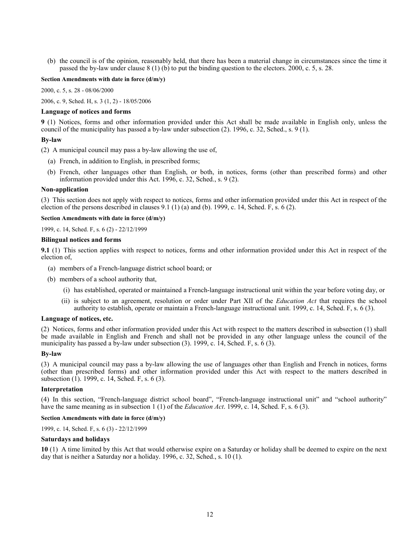(b) the council is of the opinion, reasonably held, that there has been a material change in circumstances since the time it passed the by-law under clause 8 (1) (b) to put the binding question to the electors. 2000, c. 5, s. 28.

#### **Section Amendments with date in force (d/m/y)**

[2000, c. 5, s. 28](http://www.ontario.ca/laws/statute/S00005#s28) - 08/06/2000

[2006, c. 9, Sched. H, s. 3 \(1, 2\)](http://www.ontario.ca/laws/statute/S06009#schedhs3s1) - 18/05/2006

#### **Language of notices and forms**

<span id="page-11-0"></span>**9** (1) Notices, forms and other information provided under this Act shall be made available in English only, unless the council of the municipality has passed a by-law under subsection (2). 1996, c. 32, Sched., s. 9 (1).

### **By-law**

(2) A municipal council may pass a by-law allowing the use of,

- (a) French, in addition to English, in prescribed forms;
- (b) French, other languages other than English, or both, in notices, forms (other than prescribed forms) and other information provided under this Act. 1996, c. 32, Sched., s. 9 (2).

#### **Non-application**

(3) This section does not apply with respect to notices, forms and other information provided under this Act in respect of the election of the persons described in clauses 9.1 (1) (a) and (b). 1999, c. 14, Sched. F, s. 6 (2).

#### **Section Amendments with date in force (d/m/y)**

1999, c. 14, Sched. F, s. 6 (2) - 22/12/1999

#### **Bilingual notices and forms**

<span id="page-11-1"></span>**9.1** (1) This section applies with respect to notices, forms and other information provided under this Act in respect of the election of,

- (a) members of a French-language district school board; or
- (b) members of a school authority that,
	- (i) has established, operated or maintained a French-language instructional unit within the year before voting day, or
	- (ii) is subject to an agreement, resolution or order under Part XII of the *Education Act* that requires the school authority to establish, operate or maintain a French-language instructional unit. 1999, c. 14, Sched. F, s. 6 (3).

#### **Language of notices, etc.**

(2) Notices, forms and other information provided under this Act with respect to the matters described in subsection (1) shall be made available in English and French and shall not be provided in any other language unless the council of the municipality has passed a by-law under subsection (3). 1999, c. 14, Sched. F, s. 6 (3).

#### **By-law**

(3) A municipal council may pass a by-law allowing the use of languages other than English and French in notices, forms (other than prescribed forms) and other information provided under this Act with respect to the matters described in subsection (1). 1999, c. 14, Sched. F, s. 6 (3).

#### **Interpretation**

(4) In this section, "French-language district school board", "French-language instructional unit" and "school authority" have the same meaning as in subsection 1 (1) of the *Education Act*. 1999, c. 14, Sched. F, s. 6 (3).

## **Section Amendments with date in force (d/m/y)**

1999, c. 14, Sched. F, s. 6 (3) - 22/12/1999

### **Saturdays and holidays**

<span id="page-11-2"></span>**10** (1) A time limited by this Act that would otherwise expire on a Saturday or holiday shall be deemed to expire on the next day that is neither a Saturday nor a holiday. 1996, c. 32, Sched., s. 10 (1).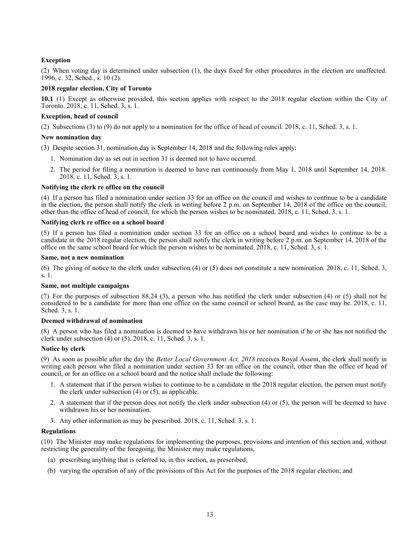## **Exception**

(2) When voting day is determined under subsection (1), the days fixed for other procedures in the election are unaffected. 1996, c. 32, Sched., s. 10 (2).

## **2018 regular election, City of Toronto**

<span id="page-12-0"></span>**10.1** (1) Except as otherwise provided, this section applies with respect to the 2018 regular election within the City of Toronto. 2018, c. 11, Sched. 3, s. 1.

### **Exception, head of council**

(2) Subsections (3) to (9) do not apply to a nomination for the office of head of council. 2018, c. 11, Sched. 3, s. 1.

#### **New nomination day**

(3) Despite section 31, nomination day is September 14, 2018 and the following rules apply:

- 1. Nomination day as set out in section 31 is deemed not to have occurred.
- 2. The period for filing a nomination is deemed to have run continuously from May 1, 2018 until September 14, 2018. 2018, c. 11, Sched. 3, s. 1.

### **Notifying the clerk re office on the council**

(4) If a person has filed a nomination under section 33 for an office on the council and wishes to continue to be a candidate in the election, the person shall notify the clerk in writing before 2 p.m. on September 14, 2018 of the office on the council, other than the office of head of council, for which the person wishes to be nominated. 2018, c. 11, Sched. 3, s. 1.

### **Notifying clerk re office on a school board**

(5) If a person has filed a nomination under section 33 for an office on a school board and wishes to continue to be a candidate in the 2018 regular election, the person shall notify the clerk in writing before 2 p.m. on September 14, 2018 of the office on the same school board for which the person wishes to be nominated. 2018, c. 11, Sched. 3, s. 1.

### **Same, not a new nomination**

(6) The giving of notice to the clerk under subsection (4) or (5) does not constitute a new nomination. 2018, c. 11, Sched. 3, s. 1.

#### **Same, not multiple campaigns**

(7) For the purposes of subsection 88.24 (3), a person who has notified the clerk under subsection (4) or (5) shall not be considered to be a candidate for more than one office on the same council or school board, as the case may be. 2018, c. 11, Sched. 3, s. 1.

## **Deemed withdrawal of nomination**

(8) A person who has filed a nomination is deemed to have withdrawn his or her nomination if he or she has not notified the clerk under subsection (4) or (5). 2018, c. 11, Sched. 3, s. 1.

## **Notice by clerk**

(9) As soon as possible after the day the *Better Local Government Act, 2018* receives Royal Assent, the clerk shall notify in writing each person who filed a nomination under section 33 for an office on the council, other than the office of head of council, or for an office on a school board and the notice shall include the following:

- 1. A statement that if the person wishes to continue to be a candidate in the 2018 regular election, the person must notify the clerk under subsection  $(4)$  or  $(5)$ , as applicable.
- 2. A statement that if the person does not notify the clerk under subsection  $(4)$  or  $(5)$ , the person will be deemed to have withdrawn his or her nomination.
- 3. Any other information as may be prescribed. 2018, c. 11, Sched. 3, s. 1.

#### **Regulations**

(10) The Minister may make regulations for implementing the purposes, provisions and intention of this section and, without restricting the generality of the foregoing, the Minister may make regulations,

- (a) prescribing anything that is referred to, in this section, as prescribed;
- (b) varying the operation of any of the provisions of this Act for the purposes of the 2018 regular election; and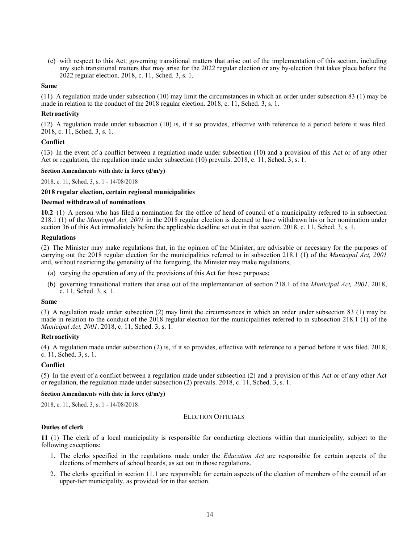(c) with respect to this Act, governing transitional matters that arise out of the implementation of this section, including any such transitional matters that may arise for the 2022 regular election or any by-election that takes place before the 2022 regular election. 2018, c. 11, Sched. 3, s. 1.

## **Same**

(11) A regulation made under subsection (10) may limit the circumstances in which an order under subsection 83 (1) may be made in relation to the conduct of the 2018 regular election. 2018, c. 11, Sched. 3, s. 1.

### **Retroactivity**

(12) A regulation made under subsection (10) is, if it so provides, effective with reference to a period before it was filed.  $2018$ , c. 11, Sched. 3, s. 1.

### **Conflict**

(13) In the event of a conflict between a regulation made under subsection (10) and a provision of this Act or of any other Act or regulation, the regulation made under subsection (10) prevails. 2018, c. 11, Sched. 3, s. 1.

## **Section Amendments with date in force (d/m/y)**

[2018, c. 11, Sched. 3, s. 1](http://www.ontario.ca/laws/statute/S18011#sched3s1) - 14/08/2018

### **2018 regular election, certain regional municipalities**

### **Deemed withdrawal of nominations**

<span id="page-13-0"></span>**10.2** (1) A person who has filed a nomination for the office of head of council of a municipality referred to in subsection 218.1 (1) of the *Municipal Act, 2001* in the 2018 regular election is deemed to have withdrawn his or her nomination under section 36 of this Act immediately before the applicable deadline set out in that section. 2018, c. 11, Sched. 3, s. 1.

### **Regulations**

(2) The Minister may make regulations that, in the opinion of the Minister, are advisable or necessary for the purposes of carrying out the 2018 regular election for the municipalities referred to in subsection 218.1 (1) of the *Municipal Act, 2001* and, without restricting the generality of the foregoing, the Minister may make regulations,

- (a) varying the operation of any of the provisions of this Act for those purposes;
- (b) governing transitional matters that arise out of the implementation of section 218.1 of the *Municipal Act, 2001*. 2018, c. 11, Sched. 3, s. 1.

#### **Same**

(3) A regulation made under subsection (2) may limit the circumstances in which an order under subsection 83 (1) may be made in relation to the conduct of the 2018 regular election for the municipalities referred to in subsection 218.1 (1) of the *Municipal Act, 2001*. 2018, c. 11, Sched. 3, s. 1.

## **Retroactivity**

(4) A regulation made under subsection (2) is, if it so provides, effective with reference to a period before it was filed. 2018, c. 11, Sched. 3, s. 1.

## **Conflict**

(5) In the event of a conflict between a regulation made under subsection (2) and a provision of this Act or of any other Act or regulation, the regulation made under subsection (2) prevails. 2018, c. 11, Sched. 3, s. 1.

### **Section Amendments with date in force (d/m/y)**

<span id="page-13-1"></span>[2018, c. 11, Sched. 3, s. 1](http://www.ontario.ca/laws/statute/S18011#sched3s1) - 14/08/2018

## ELECTION OFFICIALS

## **Duties of clerk**

<span id="page-13-2"></span>**11** (1) The clerk of a local municipality is responsible for conducting elections within that municipality, subject to the following exceptions:

- 1. The clerks specified in the regulations made under the *Education Act* are responsible for certain aspects of the elections of members of school boards, as set out in those regulations.
- 2. The clerks specified in section 11.1 are responsible for certain aspects of the election of members of the council of an upper-tier municipality, as provided for in that section.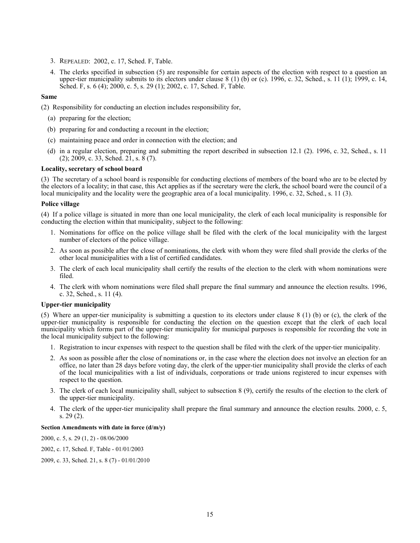- 3. REPEALED: 2002, c. 17, Sched. F, Table.
- 4. The clerks specified in subsection (5) are responsible for certain aspects of the election with respect to a question an upper-tier municipality submits to its electors under clause 8 (1) (b) or (c). 1996, c. 32, Sched., s. 11 (1); 1999, c. 14, Sched. F, s. 6 (4); 2000, c. 5, s. 29 (1); 2002, c. 17, Sched. F, Table.

## **Same**

(2) Responsibility for conducting an election includes responsibility for,

- (a) preparing for the election;
- (b) preparing for and conducting a recount in the election;
- (c) maintaining peace and order in connection with the election; and
- (d) in a regular election, preparing and submitting the report described in subsection 12.1 (2). 1996, c. 32, Sched., s. 11  $(2)$ ; 2009, c. 33, Sched. 21, s. 8 (7).

## **Locality, secretary of school board**

(3) The secretary of a school board is responsible for conducting elections of members of the board who are to be elected by the electors of a locality; in that case, this Act applies as if the secretary were the clerk, the school board were the council of a local municipality and the locality were the geographic area of a local municipality. 1996, c. 32, Sched., s. 11 (3).

#### **Police village**

(4) If a police village is situated in more than one local municipality, the clerk of each local municipality is responsible for conducting the election within that municipality, subject to the following:

- 1. Nominations for office on the police village shall be filed with the clerk of the local municipality with the largest number of electors of the police village.
- 2. As soon as possible after the close of nominations, the clerk with whom they were filed shall provide the clerks of the other local municipalities with a list of certified candidates.
- 3. The clerk of each local municipality shall certify the results of the election to the clerk with whom nominations were filed.
- 4. The clerk with whom nominations were filed shall prepare the final summary and announce the election results. 1996, c. 32, Sched., s. 11 (4).

#### **Upper-tier municipality**

(5) Where an upper-tier municipality is submitting a question to its electors under clause 8 (1) (b) or (c), the clerk of the upper-tier municipality is responsible for conducting the election on the question except that the clerk of each local municipality which forms part of the upper-tier municipality for municipal purposes is responsible for recording the vote in the local municipality subject to the following:

- 1. Registration to incur expenses with respect to the question shall be filed with the clerk of the upper-tier municipality.
- 2. As soon as possible after the close of nominations or, in the case where the election does not involve an election for an office, no later than 28 days before voting day, the clerk of the upper-tier municipality shall provide the clerks of each of the local municipalities with a list of individuals, corporations or trade unions registered to incur expenses with respect to the question.
- 3. The clerk of each local municipality shall, subject to subsection 8 (9), certify the results of the election to the clerk of the upper-tier municipality.
- 4. The clerk of the upper-tier municipality shall prepare the final summary and announce the election results. 2000, c. 5, s. 29 (2).

## **Section Amendments with date in force (d/m/y)**

[2000, c. 5, s. 29 \(1, 2\)](http://www.ontario.ca/laws/statute/S00005#s29s1) - 08/06/2000

[2002, c. 17, Sched. F, Table](http://www.ontario.ca/laws/statute/S02017#schedfs2) - 01/01/2003

[2009, c. 33, Sched. 21, s. 8 \(7\)](http://www.ontario.ca/laws/statute/S09033#sched21s8s7) - 01/01/2010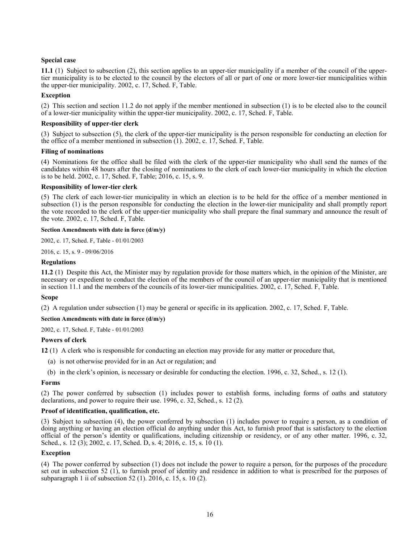## **Special case**

<span id="page-15-0"></span>**11.1** (1) Subject to subsection (2), this section applies to an upper-tier municipality if a member of the council of the uppertier municipality is to be elected to the council by the electors of all or part of one or more lower-tier municipalities within the upper-tier municipality. 2002, c. 17, Sched. F, Table.

## **Exception**

(2) This section and section 11.2 do not apply if the member mentioned in subsection (1) is to be elected also to the council of a lower-tier municipality within the upper-tier municipality. 2002, c. 17, Sched. F, Table.

## **Responsibility of upper-tier clerk**

(3) Subject to subsection (5), the clerk of the upper-tier municipality is the person responsible for conducting an election for the office of a member mentioned in subsection (1). 2002, c. 17, Sched. F, Table.

## **Filing of nominations**

(4) Nominations for the office shall be filed with the clerk of the upper-tier municipality who shall send the names of the candidates within 48 hours after the closing of nominations to the clerk of each lower-tier municipality in which the election is to be held. 2002, c. 17, Sched. F, Table; 2016, c. 15, s. 9.

## **Responsibility of lower-tier clerk**

(5) The clerk of each lower-tier municipality in which an election is to be held for the office of a member mentioned in subsection (1) is the person responsible for conducting the election in the lower-tier municipality and shall promptly report the vote recorded to the clerk of the upper-tier municipality who shall prepare the final summary and announce the result of the vote. 2002, c. 17, Sched. F, Table.

## **Section Amendments with date in force (d/m/y)**

[2002, c. 17, Sched. F, Table](http://www.ontario.ca/laws/statute/S02017#schedfs2) - 01/01/2003

[2016, c. 15, s. 9](http://www.ontario.ca/laws/statute/S16015#s9) - 09/06/2016

## **Regulations**

<span id="page-15-1"></span>**11.2** (1) Despite this Act, the Minister may by regulation provide for those matters which, in the opinion of the Minister, are necessary or expedient to conduct the election of the members of the council of an upper-tier municipality that is mentioned in section 11.1 and the members of the councils of its lower-tier municipalities. 2002, c. 17, Sched. F, Table.

## **Scope**

(2) A regulation under subsection (1) may be general or specific in its application. 2002, c. 17, Sched. F, Table.

#### **Section Amendments with date in force (d/m/y)**

[2002, c. 17, Sched. F, Table](http://www.ontario.ca/laws/statute/S02017#schedfs2) - 01/01/2003

## **Powers of clerk**

<span id="page-15-2"></span>**12** (1) A clerk who is responsible for conducting an election may provide for any matter or procedure that,

- (a) is not otherwise provided for in an Act or regulation; and
- (b) in the clerk's opinion, is necessary or desirable for conducting the election. 1996, c. 32, Sched., s. 12 (1).

#### **Forms**

(2) The power conferred by subsection (1) includes power to establish forms, including forms of oaths and statutory declarations, and power to require their use. 1996, c. 32, Sched., s. 12 (2).

## **Proof of identification, qualification, etc.**

(3) Subject to subsection (4), the power conferred by subsection (1) includes power to require a person, as a condition of doing anything or having an election official do anything under this Act, to furnish proof that is satisfactory to the election official of the person's identity or qualifications, including citizenship or residency, or of any other matter. 1996, c. 32, Sched., s. 12 (3); 2002, c. 17, Sched. D, s. 4; 2016, c. 15, s. 10 (1).

## **Exception**

(4) The power conferred by subsection (1) does not include the power to require a person, for the purposes of the procedure set out in subsection 52 (1), to furnish proof of identity and residence in addition to what is prescribed for the purposes of subparagraph 1 ii of subsection 52 (1). 2016, c. 15, s. 10 (2).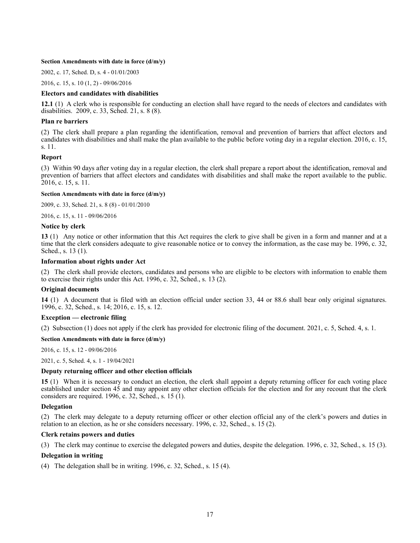#### **Section Amendments with date in force (d/m/y)**

[2002, c. 17, Sched. D, s. 4](http://www.ontario.ca/laws/statute/S02017#schedds4) - 01/01/2003

[2016, c. 15, s. 10 \(1, 2\)](http://www.ontario.ca/laws/statute/S16015#s10s1) - 09/06/2016

## **Electors and candidates with disabilities**

<span id="page-16-0"></span>**12.1** (1) A clerk who is responsible for conducting an election shall have regard to the needs of electors and candidates with disabilities. 2009, c. 33, Sched. 21, s. 8 (8).

#### **Plan re barriers**

(2) The clerk shall prepare a plan regarding the identification, removal and prevention of barriers that affect electors and candidates with disabilities and shall make the plan available to the public before voting day in a regular election. 2016, c. 15, s. 11.

### **Report**

(3) Within 90 days after voting day in a regular election, the clerk shall prepare a report about the identification, removal and prevention of barriers that affect electors and candidates with disabilities and shall make the report available to the public. 2016, c. 15, s. 11.

## **Section Amendments with date in force (d/m/y)**

[2009, c. 33, Sched. 21, s. 8 \(8\)](http://www.ontario.ca/laws/statute/S09033#sched21s8s8) - 01/01/2010

[2016, c. 15, s. 11](http://www.ontario.ca/laws/statute/S16015#s11) - 09/06/2016

### **Notice by clerk**

<span id="page-16-1"></span>**13** (1) Any notice or other information that this Act requires the clerk to give shall be given in a form and manner and at a time that the clerk considers adequate to give reasonable notice or to convey the information, as the case may be. 1996, c. 32, Sched., s. 13 (1).

### **Information about rights under Act**

(2) The clerk shall provide electors, candidates and persons who are eligible to be electors with information to enable them to exercise their rights under this Act. 1996, c. 32, Sched., s. 13 (2).

#### **Original documents**

<span id="page-16-2"></span>**14** (1) A document that is filed with an election official under section 33, 44 or 88.6 shall bear only original signatures. 1996, c. 32, Sched., s. 14; 2016, c. 15, s. 12.

#### **Exception — electronic filing**

(2) Subsection (1) does not apply if the clerk has provided for electronic filing of the document. 2021, c. 5, Sched. 4, s. 1.

## **Section Amendments with date in force (d/m/y)**

[2016, c. 15, s. 12](http://www.ontario.ca/laws/statute/S16015#s12) - 09/06/2016

[2021, c. 5, Sched. 4, s. 1](http://www.ontario.ca/laws/statute/S21005#sched4s1) - 19/04/2021

## **Deputy returning officer and other election officials**

<span id="page-16-3"></span>**15** (1) When it is necessary to conduct an election, the clerk shall appoint a deputy returning officer for each voting place established under section 45 and may appoint any other election officials for the election and for any recount that the clerk considers are required. 1996, c. 32, Sched., s. 15 (1).

#### **Delegation**

(2) The clerk may delegate to a deputy returning officer or other election official any of the clerk's powers and duties in relation to an election, as he or she considers necessary. 1996, c. 32, Sched., s. 15 (2).

#### **Clerk retains powers and duties**

(3) The clerk may continue to exercise the delegated powers and duties, despite the delegation. 1996, c. 32, Sched., s. 15 (3).

#### **Delegation in writing**

(4) The delegation shall be in writing. 1996, c. 32, Sched., s. 15 (4).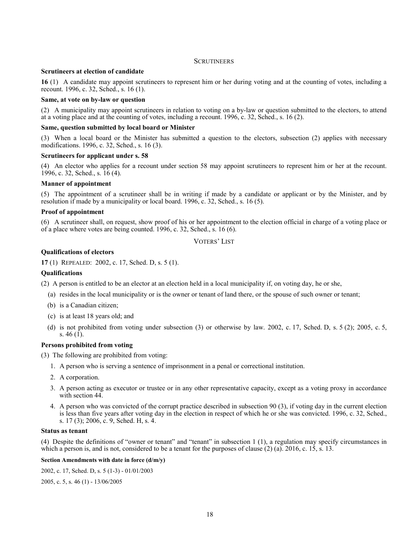## **SCRUTINEERS**

## <span id="page-17-0"></span>**Scrutineers at election of candidate**

<span id="page-17-1"></span>**16** (1) A candidate may appoint scrutineers to represent him or her during voting and at the counting of votes, including a recount. 1996, c. 32, Sched., s. 16 (1).

## **Same, at vote on by-law or question**

(2) A municipality may appoint scrutineers in relation to voting on a by-law or question submitted to the electors, to attend at a voting place and at the counting of votes, including a recount. 1996, c. 32, Sched., s. 16 (2).

## **Same, question submitted by local board or Minister**

(3) When a local board or the Minister has submitted a question to the electors, subsection (2) applies with necessary modifications. 1996, c. 32, Sched., s. 16 (3).

### **Scrutineers for applicant under s. 58**

(4) An elector who applies for a recount under section 58 may appoint scrutineers to represent him or her at the recount. 1996, c. 32, Sched., s.  $16(4)$ .

### **Manner of appointment**

(5) The appointment of a scrutineer shall be in writing if made by a candidate or applicant or by the Minister, and by resolution if made by a municipality or local board. 1996, c. 32, Sched., s. 16 (5).

### **Proof of appointment**

<span id="page-17-2"></span>(6) A scrutineer shall, on request, show proof of his or her appointment to the election official in charge of a voting place or of a place where votes are being counted. 1996, c. 32, Sched., s. 16 (6).

VOTERS' LIST

## **Qualifications of electors**

<span id="page-17-3"></span>**17** (1) REPEALED: 2002, c. 17, Sched. D, s. 5 (1).

#### **Qualifications**

(2) A person is entitled to be an elector at an election held in a local municipality if, on voting day, he or she,

- (a) resides in the local municipality or is the owner or tenant of land there, or the spouse of such owner or tenant;
- (b) is a Canadian citizen;
- (c) is at least 18 years old; and
- (d) is not prohibited from voting under subsection (3) or otherwise by law. 2002, c. 17, Sched. D, s. 5 (2); 2005, c. 5, s. 46 (1).

### **Persons prohibited from voting**

(3) The following are prohibited from voting:

- 1. A person who is serving a sentence of imprisonment in a penal or correctional institution.
- 2. A corporation.
- 3. A person acting as executor or trustee or in any other representative capacity, except as a voting proxy in accordance with section 44.
- 4. A person who was convicted of the corrupt practice described in subsection 90 (3), if voting day in the current election is less than five years after voting day in the election in respect of which he or she was convicted. 1996, c. 32, Sched., s. 17 (3); 2006, c. 9, Sched. H, s. 4.

### **Status as tenant**

(4) Despite the definitions of "owner or tenant" and "tenant" in subsection 1 (1), a regulation may specify circumstances in which a person is, and is not, considered to be a tenant for the purposes of clause (2) (a). 2016, c. 15, s. 13.

## **Section Amendments with date in force (d/m/y)**

[2002, c. 17, Sched. D, s. 5 \(1-3\)](http://www.ontario.ca/laws/statute/S02017#schedds5s1) - 01/01/2003

[2005, c. 5, s. 46 \(1\)](http://www.ontario.ca/laws/statute/S05005#s46s1) - 13/06/2005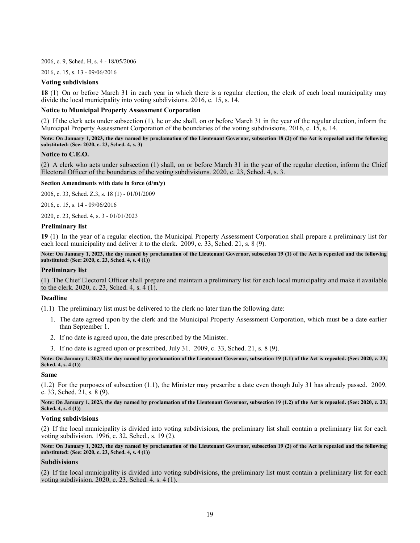[2006, c. 9, Sched. H, s. 4](http://www.ontario.ca/laws/statute/S06009#schedhs4) - 18/05/2006

[2016, c. 15, s. 13](http://www.ontario.ca/laws/statute/S16015#s13) - 09/06/2016

## **Voting subdivisions**

<span id="page-18-0"></span>**18** (1) On or before March 31 in each year in which there is a regular election, the clerk of each local municipality may divide the local municipality into voting subdivisions. 2016, c. 15, s. 14.

## **Notice to Municipal Property Assessment Corporation**

(2) If the clerk acts under subsection (1), he or she shall, on or before March 31 in the year of the regular election, inform the Municipal Property Assessment Corporation of the boundaries of the voting subdivisions. 2016, c. 15, s. 14.

**Note: On January 1, 2023, the day named by proclamation of the Lieutenant Governor, subsection 18 (2) of the Act is repealed and the following substituted: (See: 2020, c. 23, Sched. 4, s. 3)**

### **Notice to C.E.O.**

(2) A clerk who acts under subsection (1) shall, on or before March 31 in the year of the regular election, inform the Chief Electoral Officer of the boundaries of the voting subdivisions. 2020, c. 23, Sched. 4, s. 3.

#### **Section Amendments with date in force (d/m/y)**

[2006, c. 33, Sched. Z.3, s. 18 \(1\)](http://www.ontario.ca/laws/statute/S06033#schedz3s18s1) - 01/01/2009

[2016, c. 15, s. 14](http://www.ontario.ca/laws/statute/S16015#s14) - 09/06/2016

[2020, c. 23, Sched. 4, s. 3](http://www.ontario.ca/laws/statute/S20023#sched4s3) - 01/01/2023

### **Preliminary list**

<span id="page-18-1"></span>**19** (1) In the year of a regular election, the Municipal Property Assessment Corporation shall prepare a preliminary list for each local municipality and deliver it to the clerk. 2009, c. 33, Sched. 21, s. 8 (9).

**Note: On January 1, 2023, the day named by proclamation of the Lieutenant Governor, subsection 19 (1) of the Act is repealed and the following substituted: (See: 2020, c. 23, Sched. 4, s. 4 (1))**

### **Preliminary list**

(1) The Chief Electoral Officer shall prepare and maintain a preliminary list for each local municipality and make it available to the clerk. 2020, c. 23, Sched. 4, s. 4 (1).

## **Deadline**

(1.1) The preliminary list must be delivered to the clerk no later than the following date:

- 1. The date agreed upon by the clerk and the Municipal Property Assessment Corporation, which must be a date earlier than September 1.
- 2. If no date is agreed upon, the date prescribed by the Minister.
- 3. If no date is agreed upon or prescribed, July 31. 2009, c. 33, Sched. 21, s. 8 (9).

**Note: On January 1, 2023, the day named by proclamation of the Lieutenant Governor, subsection 19 (1.1) of the Act is repealed. (See: 2020, c. 23, Sched. 4, s. 4 (1))**

#### **Same**

(1.2) For the purposes of subsection (1.1), the Minister may prescribe a date even though July 31 has already passed. 2009, c. 33, Sched.  $21$ , s.  $8(9)$ .

## **Note: On January 1, 2023, the day named by proclamation of the Lieutenant Governor, subsection 19 (1.2) of the Act is repealed. (See: 2020, c. 23, Sched. 4, s. 4 (1))**

### **Voting subdivisions**

(2) If the local municipality is divided into voting subdivisions, the preliminary list shall contain a preliminary list for each voting subdivision. 1996, c. 32, Sched., s. 19 (2).

### **Note: On January 1, 2023, the day named by proclamation of the Lieutenant Governor, subsection 19 (2) of the Act is repealed and the following substituted: (See: 2020, c. 23, Sched. 4, s. 4 (1))**

## **Subdivisions**

(2) If the local municipality is divided into voting subdivisions, the preliminary list must contain a preliminary list for each voting subdivision. 2020, c. 23, Sched. 4, s. 4 (1).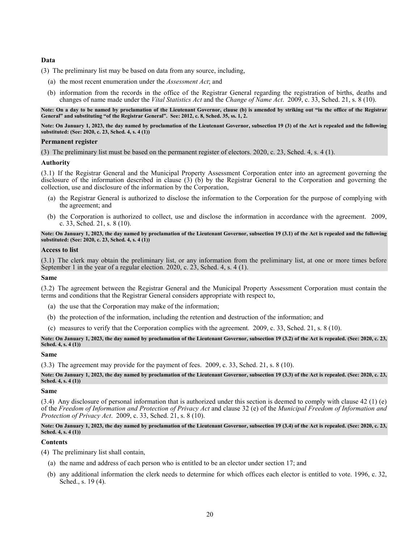## **Data**

(3) The preliminary list may be based on data from any source, including,

- (a) the most recent enumeration under the *Assessment Act*; and
- (b) information from the records in the office of the Registrar General regarding the registration of births, deaths and changes of name made under the *Vital Statistics Act* and the *Change of Name Act*. 2009, c. 33, Sched. 21, s. 8 (10).

**Note: On a day to be named by proclamation of the Lieutenant Governor, clause (b) is amended by striking out "in the office of the Registrar General" and substituting "of the Registrar General". See: 2012, c. 8, Sched. 35, ss. 1, 2.**

**Note: On January 1, 2023, the day named by proclamation of the Lieutenant Governor, subsection 19 (3) of the Act is repealed and the following substituted: (See: 2020, c. 23, Sched. 4, s. 4 (1))**

#### **Permanent register**

(3) The preliminary list must be based on the permanent register of electors. 2020, c. 23, Sched. 4, s. 4 (1).

## **Authority**

(3.1) If the Registrar General and the Municipal Property Assessment Corporation enter into an agreement governing the disclosure of the information described in clause (3) (b) by the Registrar General to the Corporation and governing the collection, use and disclosure of the information by the Corporation,

- (a) the Registrar General is authorized to disclose the information to the Corporation for the purpose of complying with the agreement; and
- (b) the Corporation is authorized to collect, use and disclose the information in accordance with the agreement. 2009, c. 33, Sched. 21, s. 8 (10).

**Note: On January 1, 2023, the day named by proclamation of the Lieutenant Governor, subsection 19 (3.1) of the Act is repealed and the following substituted: (See: 2020, c. 23, Sched. 4, s. 4 (1))**

#### **Access to list**

(3.1) The clerk may obtain the preliminary list, or any information from the preliminary list, at one or more times before September 1 in the year of a regular election. 2020, c. 23, Sched. 4, s. 4 (1).

#### **Same**

(3.2) The agreement between the Registrar General and the Municipal Property Assessment Corporation must contain the terms and conditions that the Registrar General considers appropriate with respect to,

- (a) the use that the Corporation may make of the information;
- (b) the protection of the information, including the retention and destruction of the information; and
- (c) measures to verify that the Corporation complies with the agreement. 2009, c. 33, Sched. 21, s. 8 (10).

**Note: On January 1, 2023, the day named by proclamation of the Lieutenant Governor, subsection 19 (3.2) of the Act is repealed. (See: 2020, c. 23, Sched. 4, s. 4 (1))**

#### **Same**

(3.3) The agreement may provide for the payment of fees. 2009, c. 33, Sched. 21, s. 8 (10).

**Note: On January 1, 2023, the day named by proclamation of the Lieutenant Governor, subsection 19 (3.3) of the Act is repealed. (See: 2020, c. 23, Sched. 4, s. 4 (1))**

## **Same**

(3.4) Any disclosure of personal information that is authorized under this section is deemed to comply with clause 42 (1) (e) of the *Freedom of Information and Protection of Privacy Act* and clause 32 (e) of the *Municipal Freedom of Information and Protection of Privacy Act*. 2009, c. 33, Sched. 21, s. 8 (10).

**Note: On January 1, 2023, the day named by proclamation of the Lieutenant Governor, subsection 19 (3.4) of the Act is repealed. (See: 2020, c. 23, Sched. 4, s. 4 (1))**

## **Contents**

(4) The preliminary list shall contain,

- (a) the name and address of each person who is entitled to be an elector under section 17; and
- (b) any additional information the clerk needs to determine for which offices each elector is entitled to vote. 1996, c. 32, Sched., s. 19 (4).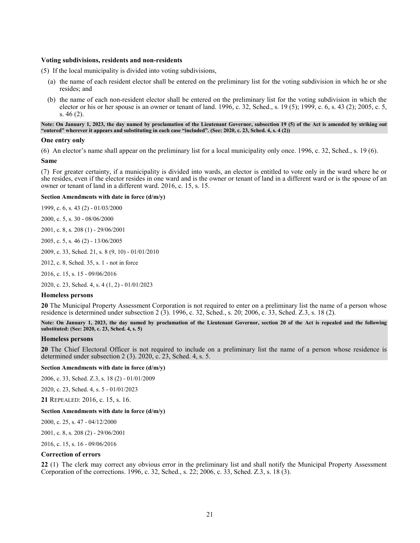## **Voting subdivisions, residents and non-residents**

(5) If the local municipality is divided into voting subdivisions,

- (a) the name of each resident elector shall be entered on the preliminary list for the voting subdivision in which he or she resides; and
- (b) the name of each non-resident elector shall be entered on the preliminary list for the voting subdivision in which the elector or his or her spouse is an owner or tenant of land. 1996, c. 32, Sched., s. 19 (5); 1999, c. 6, s. 43 (2); 2005, c. 5, s. 46 (2).

**Note: On January 1, 2023, the day named by proclamation of the Lieutenant Governor, subsection 19 (5) of the Act is amended by striking out "entered" wherever it appears and substituting in each case "included". (See: 2020, c. 23, Sched. 4, s. 4 (2))**

#### **One entry only**

(6) An elector's name shall appear on the preliminary list for a local municipality only once. 1996, c. 32, Sched., s. 19 (6).

#### **Same**

(7) For greater certainty, if a municipality is divided into wards, an elector is entitled to vote only in the ward where he or she resides, even if the elector resides in one ward and is the owner or tenant of land in a different ward or is the spouse of an owner or tenant of land in a different ward. 2016, c. 15, s. 15.

#### **Section Amendments with date in force (d/m/y)**

1999, c. 6, s. 43 (2) - 01/03/2000

[2000, c. 5, s. 30](http://www.ontario.ca/laws/statute/S00005#s30) - 08/06/2000

[2001, c. 8, s. 208 \(1\)](http://www.ontario.ca/laws/statute/S01008#s208s1) - 29/06/2001

[2005, c. 5, s. 46 \(2\)](http://www.ontario.ca/laws/statute/S05005#s46s2) - 13/06/2005

[2009, c. 33, Sched. 21, s. 8 \(9, 10\)](http://www.ontario.ca/laws/statute/S09033#sched21s8s9) - 01/01/2010

[2012, c. 8, Sched. 35, s. 1](http://www.ontario.ca/laws/statute/S12008#sched35s1) - not in force

[2016, c. 15, s. 15](http://www.ontario.ca/laws/statute/S16015#s15) - 09/06/2016

[2020, c. 23, Sched. 4, s. 4 \(1, 2\)](http://www.ontario.ca/laws/statute/S20023#sched4s4s1) - 01/01/2023

#### **Homeless persons**

<span id="page-20-0"></span>**20** The Municipal Property Assessment Corporation is not required to enter on a preliminary list the name of a person whose residence is determined under subsection 2 (3). 1996, c. 32, Sched., s. 20; 2006, c. 33, Sched. Z.3, s. 18 (2).

**Note: On January 1, 2023, the day named by proclamation of the Lieutenant Governor, section 20 of the Act is repealed and the following substituted: (See: 2020, c. 23, Sched. 4, s. 5)**

## **Homeless persons**

<span id="page-20-1"></span>**20** The Chief Electoral Officer is not required to include on a preliminary list the name of a person whose residence is determined under subsection 2 (3). 2020, c. 23, Sched. 4, s. 5.

### **Section Amendments with date in force (d/m/y)**

[2006, c. 33, Sched. Z.3, s. 18 \(2\)](http://www.ontario.ca/laws/statute/S06033#schedz3s18s2) - 01/01/2009

[2020, c. 23, Sched. 4, s. 5](http://www.ontario.ca/laws/statute/S20023#sched4s5) - 01/01/2023

**21** REPEALED: 2016, c. 15, s. 16.

#### **Section Amendments with date in force (d/m/y)**

[2000, c. 25, s. 47](http://www.ontario.ca/laws/statute/S00025#s47) - 04/12/2000

[2001, c. 8, s. 208 \(2\)](http://www.ontario.ca/laws/statute/S01008#s208s2) - 29/06/2001

[2016, c. 15, s. 16](http://www.ontario.ca/laws/statute/S16015#s16) - 09/06/2016

### **Correction of errors**

<span id="page-20-2"></span>**22** (1) The clerk may correct any obvious error in the preliminary list and shall notify the Municipal Property Assessment Corporation of the corrections. 1996, c. 32, Sched., s. 22; 2006, c. 33, Sched. Z.3, s. 18 (3).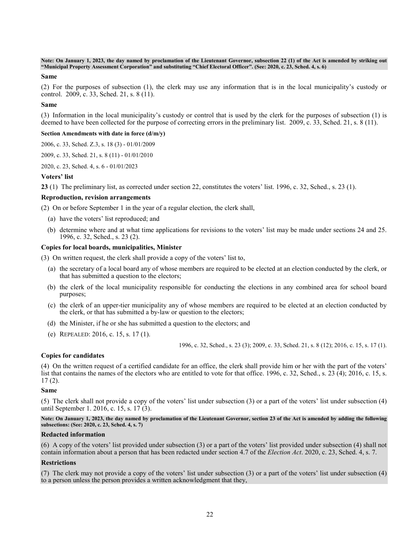**Note: On January 1, 2023, the day named by proclamation of the Lieutenant Governor, subsection 22 (1) of the Act is amended by striking out "Municipal Property Assessment Corporation" and substituting "Chief Electoral Officer". (See: 2020, c. 23, Sched. 4, s. 6)**

#### **Same**

(2) For the purposes of subsection (1), the clerk may use any information that is in the local municipality's custody or control. 2009, c. 33, Sched. 21, s. 8 (11).

#### **Same**

(3) Information in the local municipality's custody or control that is used by the clerk for the purposes of subsection (1) is deemed to have been collected for the purpose of correcting errors in the preliminary list. 2009, c. 33, Sched. 21, s. 8 (11).

#### **Section Amendments with date in force (d/m/y)**

[2006, c. 33, Sched. Z.3, s. 18 \(3\)](http://www.ontario.ca/laws/statute/S06033#schedz3s18s3) - 01/01/2009

[2009, c. 33, Sched. 21, s. 8 \(11\)](http://www.ontario.ca/laws/statute/S09033#sched21s8s11) - 01/01/2010

[2020, c. 23, Sched.](http://www.ontario.ca/laws/statute/S20023#sched4s6) 4, s. 6 - 01/01/2023

## **Voters' list**

<span id="page-21-0"></span>**23** (1) The preliminary list, as corrected under section 22, constitutes the voters' list. 1996, c. 32, Sched., s. 23 (1).

## **Reproduction, revision arrangements**

(2) On or before September 1 in the year of a regular election, the clerk shall,

- (a) have the voters' list reproduced; and
- (b) determine where and at what time applications for revisions to the voters' list may be made under sections 24 and 25. 1996, c. 32, Sched., s. 23 (2).

## **Copies for local boards, municipalities, Minister**

(3) On written request, the clerk shall provide a copy of the voters' list to,

- (a) the secretary of a local board any of whose members are required to be elected at an election conducted by the clerk, or that has submitted a question to the electors;
- (b) the clerk of the local municipality responsible for conducting the elections in any combined area for school board purposes;
- (c) the clerk of an upper-tier municipality any of whose members are required to be elected at an election conducted by the clerk, or that has submitted a by-law or question to the electors;
- (d) the Minister, if he or she has submitted a question to the electors; and
- (e) REPEALED: 2016, c. 15, s. 17 (1).

1996, c. 32, Sched., s. 23 (3); 2009, c. 33, Sched. 21, s. 8 (12); 2016, c. 15, s. 17 (1).

## **Copies for candidates**

(4) On the written request of a certified candidate for an office, the clerk shall provide him or her with the part of the voters' list that contains the names of the electors who are entitled to vote for that office. 1996, c. 32, Sched., s. 23 (4); 2016, c. 15, s. 17 (2).

#### **Same**

(5) The clerk shall not provide a copy of the voters' list under subsection (3) or a part of the voters' list under subsection (4) until September 1. 2016, c. 15, s. 17 (3).

**Note: On January 1, 2023, the day named by proclamation of the Lieutenant Governor, section 23 of the Act is amended by adding the following subsections: (See: 2020, c. 23, Sched. 4, s. 7)**

## **Redacted information**

(6) A copy of the voters' list provided under subsection (3) or a part of the voters' list provided under subsection (4) shall not contain information about a person that has been redacted under section 4.7 of the *Election Act*. 2020, c. 23, Sched. 4, s. 7.

## **Restrictions**

(7) The clerk may not provide a copy of the voters' list under subsection (3) or a part of the voters' list under subsection (4) to a person unless the person provides a written acknowledgment that they,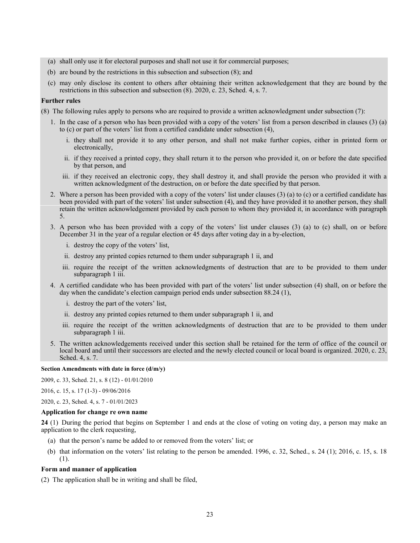- (a) shall only use it for electoral purposes and shall not use it for commercial purposes;
- (b) are bound by the restrictions in this subsection and subsection (8); and
- (c) may only disclose its content to others after obtaining their written acknowledgement that they are bound by the restrictions in this subsection and subsection (8). 2020, c. 23, Sched. 4, s. 7.

## **Further rules**

(8) The following rules apply to persons who are required to provide a written acknowledgment under subsection (7):

- 1. In the case of a person who has been provided with a copy of the voters' list from a person described in clauses (3) (a) to (c) or part of the voters' list from a certified candidate under subsection (4),
	- i. they shall not provide it to any other person, and shall not make further copies, either in printed form or electronically,
	- ii. if they received a printed copy, they shall return it to the person who provided it, on or before the date specified by that person, and
	- iii. if they received an electronic copy, they shall destroy it, and shall provide the person who provided it with a written acknowledgment of the destruction, on or before the date specified by that person.
- 2. Where a person has been provided with a copy of the voters' list under clauses (3) (a) to (c) or a certified candidate has been provided with part of the voters' list under subsection (4), and they have provided it to another person, they shall retain the written acknowledgement provided by each person to whom they provided it, in accordance with paragraph 5.
- 3. A person who has been provided with a copy of the voters' list under clauses (3) (a) to (c) shall, on or before December 31 in the year of a regular election or 45 days after voting day in a by-election,
	- i. destroy the copy of the voters' list,
	- ii. destroy any printed copies returned to them under subparagraph 1 ii, and
	- iii. require the receipt of the written acknowledgments of destruction that are to be provided to them under subparagraph 1 iii.
- 4. A certified candidate who has been provided with part of the voters' list under subsection (4) shall, on or before the day when the candidate's election campaign period ends under subsection 88.24 (1),
	- i. destroy the part of the voters' list,
	- ii. destroy any printed copies returned to them under subparagraph 1 ii, and
	- iii. require the receipt of the written acknowledgments of destruction that are to be provided to them under subparagraph 1 iii.
- 5. The written acknowledgements received under this section shall be retained for the term of office of the council or local board and until their successors are elected and the newly elected council or local board is organized. 2020, c. 23, Sched. 4, s. 7.

## **Section Amendments with date in force (d/m/y)**

2009, [c. 33, Sched. 21, s. 8 \(12\)](http://www.ontario.ca/laws/statute/S09033#sched21s8s12) - 01/01/2010

[2016, c. 15, s. 17 \(1-3\)](http://www.ontario.ca/laws/statute/S16015#s17s1) - 09/06/2016

[2020, c. 23, Sched. 4, s. 7](http://www.ontario.ca/laws/statute/S20023#sched4s7) - 01/01/2023

#### **Application for change re own name**

<span id="page-22-0"></span>**24** (1) During the period that begins on September 1 and ends at the close of voting on voting day, a person may make an application to the clerk requesting,

- (a) that the person's name be added to or removed from the voters' list; or
- (b) that information on the voters' list relating to the person be amended. 1996, c. 32, Sched., s. 24 (1); 2016, c. 15, s. 18 (1).

### **Form and manner of application**

(2) The application shall be in writing and shall be filed,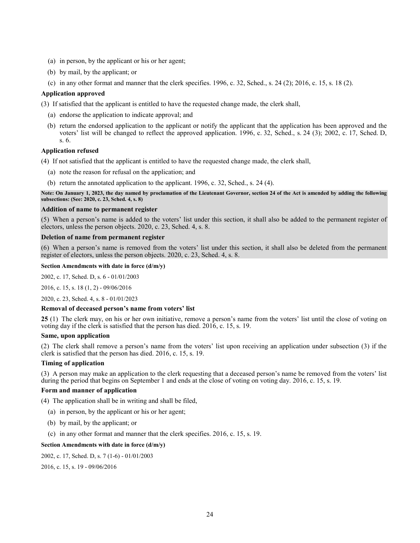- (a) in person, by the applicant or his or her agent;
- (b) by mail, by the applicant; or
- (c) in any other format and manner that the clerk specifies. 1996, c. 32, Sched., s. 24 (2); 2016, c. 15, s. 18 (2).

## **Application approved**

(3) If satisfied that the applicant is entitled to have the requested change made, the clerk shall,

- (a) endorse the application to indicate approval; and
- (b) return the endorsed application to the applicant or notify the applicant that the application has been approved and the voters' list will be changed to reflect the approved application. 1996, c. 32, Sched., s. 24 (3); 2002, c. 17, Sched. D, s. 6.

## **Application refused**

(4) If not satisfied that the applicant is entitled to have the requested change made, the clerk shall,

- (a) note the reason for refusal on the application; and
- (b) return the annotated application to the applicant. 1996, c. 32, Sched., s. 24 (4).

**Note: On January 1, 2023, the day named by proclamation of the Lieutenant Governor, section 24 of the Act is amended by adding the following subsections: (See: 2020, c. 23, Sched. 4, s. 8)**

#### **Addition of name to permanent register**

(5) When a person's name is added to the voters' list under this section, it shall also be added to the permanent register of electors, unless the person objects. 2020, c. 23, Sched. 4, s. 8.

## **Deletion of name from permanent register**

(6) When a person's name is removed from the voters' list under this section, it shall also be deleted from the permanent register of electors, unless the person objects. 2020, c. 23, Sched. 4, s. 8.

**Section Amendments with date in force (d/m/y)**

[2002, c. 17, Sched. D, s. 6](http://www.ontario.ca/laws/statute/S02017#schedds6) - 01/01/2003

[2016, c. 15,](http://www.ontario.ca/laws/statute/S16015#s18s1) s. 18 (1, 2) - 09/06/2016

[2020, c. 23, Sched. 4, s. 8](http://www.ontario.ca/laws/statute/S20023#sched4s8) - 01/01/2023

#### **Removal of deceased person's name from voters' list**

<span id="page-23-0"></span>**25** (1) The clerk may, on his or her own initiative, remove a person's name from the voters' list until the close of voting on voting day if the clerk is satisfied that the person has died. 2016, c. 15, s. 19.

### **Same, upon application**

(2) The clerk shall remove a person's name from the voters' list upon receiving an application under subsection (3) if the clerk is satisfied that the person has died. 2016, c. 15, s. 19.

#### **Timing of application**

(3) A person may make an application to the clerk requesting that a deceased person's name be removed from the voters' list during the period that begins on September 1 and ends at the close of voting on voting day. 2016, c. 15, s. 19.

#### **Form and manner of application**

(4) The application shall be in writing and shall be filed,

- (a) in person, by the applicant or his or her agent;
- (b) by mail, by the applicant; or
- (c) in any other format and manner that the clerk specifies. 2016, c. 15, s. 19.

### **Section Amendments with date in force (d/m/y)**

[2002, c. 17, Sched. D, s. 7 \(1-6\)](http://www.ontario.ca/laws/statute/S02017#schedds7s1) - 01/01/2003

[2016, c. 15, s. 19](http://www.ontario.ca/laws/statute/S16015#s19) - 09/06/2016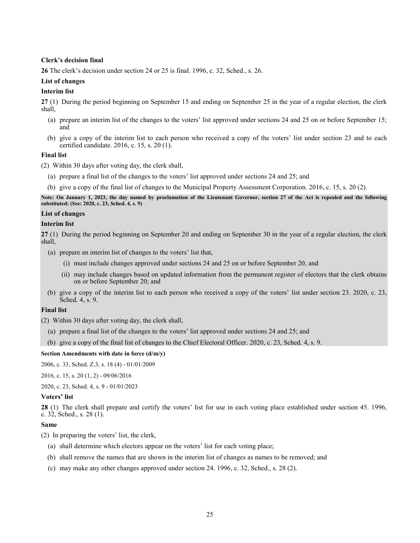## **Clerk's decision final**

<span id="page-24-0"></span>**26** The clerk's decision under section 24 or 25 is final. 1996, c. 32, Sched., s. 26.

## **List of changes**

## **Interim list**

<span id="page-24-1"></span>**27** (1) During the period beginning on September 15 and ending on September 25 in the year of a regular election, the clerk shall,

- (a) prepare an interim list of the changes to the voters' list approved under sections 24 and 25 on or before September 15; and
- (b) give a copy of the interim list to each person who received a copy of the voters' list under section 23 and to each certified candidate. 2016, c. 15, s. 20 (1).

## **Final list**

(2) Within 30 days after voting day, the clerk shall,

- (a) prepare a final list of the changes to the voters' list approved under sections 24 and 25; and
- (b) give a copy of the final list of changes to the Municipal Property Assessment Corporation. 2016, c. 15, s. 20 (2).

**Note: On January 1, 2023, the day named by proclamation of the Lieutenant Governor, section 27 of the Act is repealed and the following substituted: (See: 2020, c. 23, Sched. 4, s. 9)**

# **List of changes**

## **Interim list**

<span id="page-24-2"></span>**27** (1) During the period beginning on September 20 and ending on September 30 in the year of a regular election, the clerk shall,

- (a) prepare an interim list of changes to the voters' list that,
	- (i) must include changes approved under sections 24 and 25 on or before September 20, and
	- (ii) may include changes based on updated information from the permanent register of electors that the clerk obtains on or before September 20; and
- (b) give a copy of the interim list to each person who received a copy of the voters' list under section 23. 2020, c. 23, Sched. 4, s. 9.

## **Final list**

(2) Within 30 days after voting day, the clerk shall,

- (a) prepare a final list of the changes to the voters' list approved under sections 24 and 25; and
- (b) give a copy of the final list of changes to the Chief Electoral Officer. 2020, c. 23, Sched. 4, s. 9.

## **Section Amendments with date in force (d/m/y)**

[2006, c. 33, Sched. Z.3, s. 18 \(4\)](http://www.ontario.ca/laws/statute/S06033#schedz3s18s4) - 01/01/2009

[2016, c. 15, s. 20 \(1, 2\)](http://www.ontario.ca/laws/statute/S16015#s20s1) - 09/06/2016

[2020, c. 23, Sched. 4, s. 9](http://www.ontario.ca/laws/statute/S20023#sched4s9) - 01/01/2023

## **Voters' list**

<span id="page-24-3"></span>**28** (1) The clerk shall prepare and certify the voters' list for use in each voting place established under section 45. 1996, c. 32, Sched., s. 28 (1).

## **Same**

(2) In preparing the voters' list, the clerk,

- (a) shall determine which electors appear on the voters' list for each voting place;
- (b) shall remove the names that are shown in the interim list of changes as names to be removed; and
- (c) may make any other changes approved under section 24. 1996, c. 32, Sched., s. 28 (2).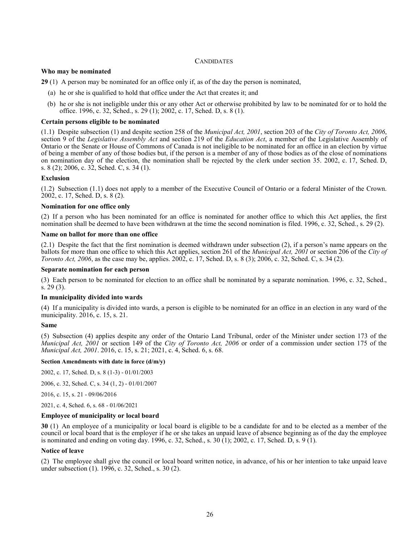## **CANDIDATES**

## <span id="page-25-0"></span>**Who may be nominated**

<span id="page-25-1"></span>**29** (1) A person may be nominated for an office only if, as of the day the person is nominated,

- (a) he or she is qualified to hold that office under the Act that creates it; and
- (b) he or she is not ineligible under this or any other Act or otherwise prohibited by law to be nominated for or to hold the office. 1996, c. 32, Sched., s. 29 (1); 2002, c. 17, Sched. D, s. 8 (1).

### **Certain persons eligible to be nominated**

(1.1) Despite subsection (1) and despite section 258 of the *Municipal Act, 2001*, section 203 of the *City of Toronto Act, 2006*, section 9 of the *Legislative Assembly Act* and section 219 of the *Education Act*, a member of the Legislative Assembly of Ontario or the Senate or House of Commons of Canada is not ineligible to be nominated for an office in an election by virtue of being a member of any of those bodies but, if the person is a member of any of those bodies as of the close of nominations on nomination day of the election, the nomination shall be rejected by the clerk under section 35. 2002, c. 17, Sched. D, s. 8 (2); 2006, c. 32, Sched. C, s. 34 (1).

## **Exclusion**

(1.2) Subsection (1.1) does not apply to a member of the Executive Council of Ontario or a federal Minister of the Crown. 2002, c. 17, Sched. D, s. 8 (2).

### **Nomination for one office only**

(2) If a person who has been nominated for an office is nominated for another office to which this Act applies, the first nomination shall be deemed to have been withdrawn at the time the second nomination is filed. 1996, c. 32, Sched., s. 29 (2).

#### **Name on ballot for more than one office**

(2.1) Despite the fact that the first nomination is deemed withdrawn under subsection (2), if a person's name appears on the ballots for more than one office to which this Act applies, section 261 of the *Municipal Act, 2001* or section 206 of the *City of Toronto Act, 2006*, as the case may be, applies. 2002, c. 17, Sched. D, s. 8 (3); 2006, c. 32, Sched. C, s. 34 (2).

#### **Separate nomination for each person**

(3) Each person to be nominated for election to an office shall be nominated by a separate nomination. 1996, c. 32, Sched., s. 29 (3).

#### **In municipality divided into wards**

(4) If a municipality is divided into wards, a person is eligible to be nominated for an office in an election in any ward of the municipality. 2016, c. 15, s. 21.

#### **Same**

(5) Subsection (4) applies despite any order of the Ontario Land Tribunal, order of the Minister under section 173 of the *Municipal Act, 2001* or section 149 of the *City of Toronto Act, 2006* or order of a commission under section 175 of the *Municipal Act, 2001*. 2016, c. 15, s. 21; 2021, c. 4, Sched. 6, s. 68.

#### **Section Amendments with date in force (d/m/y)**

[2002, c. 17, Sched. D, s. 8 \(1-3\)](http://www.ontario.ca/laws/statute/S02017#schedds8s1) - 01/01/2003

[2006, c. 32, Sched. C, s. 34 \(1, 2\)](http://www.ontario.ca/laws/statute/S06032#schedcs34s1) - 01/01/2007

[2016, c. 15, s. 21](http://www.ontario.ca/laws/statute/S16015#s21) - 09/06/2016

2021, [c. 4, Sched. 6, s. 68](http://www.ontario.ca/laws/statute/S21004#sched6s68) - 01/06/2021

#### **Employee of municipality or local board**

<span id="page-25-2"></span>**30** (1) An employee of a municipality or local board is eligible to be a candidate for and to be elected as a member of the council or local board that is the employer if he or she takes an unpaid leave of absence beginning as of the day the employee is nominated and ending on voting day. 1996, c. 32, Sched., s. 30 (1); 2002, c. 17, Sched. D, s. 9 (1).

#### **Notice of leave**

(2) The employee shall give the council or local board written notice, in advance, of his or her intention to take unpaid leave under subsection (1). 1996, c. 32, Sched., s. 30 (2).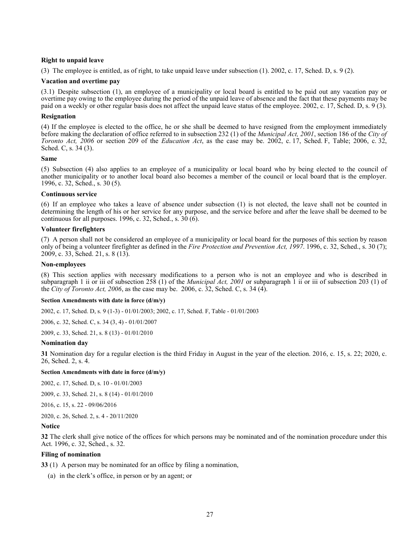## **Right to unpaid leave**

(3) The employee is entitled, as of right, to take unpaid leave under subsection (1). 2002, c. 17, Sched. D, s. 9 (2).

### **Vacation and overtime pay**

(3.1) Despite subsection (1), an employee of a municipality or local board is entitled to be paid out any vacation pay or overtime pay owing to the employee during the period of the unpaid leave of absence and the fact that these payments may be paid on a weekly or other regular basis does not affect the unpaid leave status of the employee. 2002, c. 17, Sched. D, s. 9 (3).

## **Resignation**

(4) If the employee is elected to the office, he or she shall be deemed to have resigned from the employment immediately before making the declaration of office referred to in subsection 232 (1) of the *Municipal Act, 2001*, section 186 of the *City of Toronto Act, 2006* or section 209 of the *Education Act*, as the case may be. 2002, c. 17, Sched. F, Table; 2006, c. 32, Sched. C, s. 34 (3).

### **Same**

(5) Subsection (4) also applies to an employee of a municipality or local board who by being elected to the council of another municipality or to another local board also becomes a member of the council or local board that is the employer. 1996, c. 32, Sched., s. 30 (5).

### **Continuous service**

(6) If an employee who takes a leave of absence under subsection (1) is not elected, the leave shall not be counted in determining the length of his or her service for any purpose, and the service before and after the leave shall be deemed to be continuous for all purposes. 1996, c. 32, Sched., s. 30 (6).

### **Volunteer firefighters**

(7) A person shall not be considered an employee of a municipality or local board for the purposes of this section by reason only of being a volunteer firefighter as defined in the *Fire Protection and Prevention Act, 1997*. 1996, c. 32, Sched., s. 30 (7); 2009, c. 33, Sched. 21, s. 8 (13).

### **Non-employees**

(8) This section applies with necessary modifications to a person who is not an employee and who is described in subparagraph 1 ii or iii of subsection 258 (1) of the *Municipal Act, 2001* or subparagraph 1 ii or iii of subsection 203 (1) of the *City of Toronto Act, 2006*, as the case may be. 2006, c. 32, Sched. C, s. 34 (4).

#### **Section Amendments with date in force (d/m/y)**

[2002, c. 17, Sched. D, s. 9 \(1-3\)](http://www.ontario.ca/laws/statute/S02017#schedds9s1) - 01/01/2003; [2002, c. 17, Sched. F, Table](http://www.ontario.ca/laws/statute/S02017#schedfs2) - 01/01/2003

[2006, c. 32, Sched. C, s. 34 \(3, 4\)](http://www.ontario.ca/laws/statute/S06032#schedcs34s3) - 01/01/2007

[2009, c. 33, Sched. 21, s. 8 \(13\)](http://www.ontario.ca/laws/statute/S09033#sched21s8s13) - 01/01/2010

## **Nomination day**

<span id="page-26-0"></span>**31** Nomination day for a regular election is the third Friday in August in the year of the election. 2016, c. 15, s. 22; 2020, c. 26, Sched. 2, s. 4.

#### **Section Amendments with date in force (d/m/y)**

[2002, c. 17, Sched. D, s. 10](http://www.ontario.ca/laws/statute/S02017#schedds10) - 01/01/2003

[2009, c. 33, Sched. 21, s. 8 \(14\)](http://www.ontario.ca/laws/statute/S09033#sched21s8s14) - 01/01/2010

[2016, c. 15, s. 22](http://www.ontario.ca/laws/statute/S16015#s22) - 09/06/2016

[2020, c. 26, Sched. 2, s. 4](http://www.ontario.ca/laws/statute/S20026#sched2s4) - 20/11/2020

## **Notice**

<span id="page-26-1"></span>**32** The clerk shall give notice of the offices for which persons may be nominated and of the nomination procedure under this Act. 1996, c. 32, Sched., s. 32.

## **Filing of nomination**

<span id="page-26-2"></span>**33** (1) A person may be nominated for an office by filing a nomination,

(a) in the clerk's office, in person or by an agent; or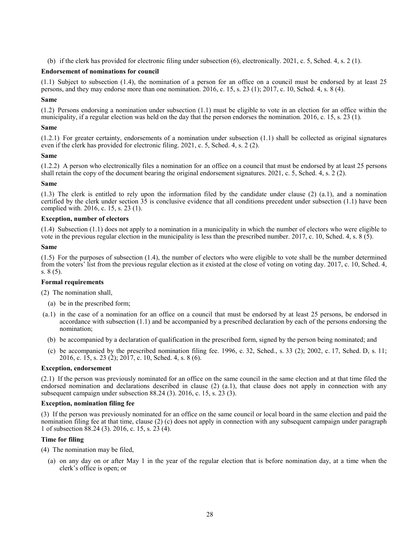(b) if the clerk has provided for electronic filing under subsection (6), electronically. 2021, c. 5, Sched. 4, s. 2 (1).

## **Endorsement of nominations for council**

(1.1) Subject to subsection (1.4), the nomination of a person for an office on a council must be endorsed by at least 25 persons, and they may endorse more than one nomination. 2016, c. 15, s. 23 (1); 2017, c. 10, Sched. 4, s. 8 (4).

## **Same**

(1.2) Persons endorsing a nomination under subsection (1.1) must be eligible to vote in an election for an office within the municipality, if a regular election was held on the day that the person endorses the nomination. 2016, c. 15, s. 23 (1).

## **Same**

(1.2.1) For greater certainty, endorsements of a nomination under subsection (1.1) shall be collected as original signatures even if the clerk has provided for electronic filing. 2021, c. 5, Sched. 4, s. 2 (2).

## **Same**

(1.2.2) A person who electronically files a nomination for an office on a council that must be endorsed by at least 25 persons shall retain the copy of the document bearing the original endorsement signatures. 2021, c. 5, Sched. 4, s. 2 (2).

## **Same**

(1.3) The clerk is entitled to rely upon the information filed by the candidate under clause (2) (a.1), and a nomination certified by the clerk under section 35 is conclusive evidence that all conditions precedent under subsection (1.1) have been complied with. 2016, c. 15, s. 23 (1).

## **Exception, number of electors**

(1.4) Subsection (1.1) does not apply to a nomination in a municipality in which the number of electors who were eligible to vote in the previous regular election in the municipality is less than the prescribed number. 2017, c. 10, Sched. 4, s. 8 (5).

### **Same**

(1.5) For the purposes of subsection (1.4), the number of electors who were eligible to vote shall be the number determined from the voters' list from the previous regular election as it existed at the close of voting on voting day. 2017, c. 10, Sched. 4, s. 8 (5).

## **Formal requirements**

(2) The nomination shall,

- (a) be in the prescribed form;
- (a.1) in the case of a nomination for an office on a council that must be endorsed by at least 25 persons, be endorsed in accordance with subsection (1.1) and be accompanied by a prescribed declaration by each of the persons endorsing the nomination;
	- (b) be accompanied by a declaration of qualification in the prescribed form, signed by the person being nominated; and
	- (c) be accompanied by the prescribed nomination filing fee. 1996, c. 32, Sched., s. 33 (2); 2002, c. 17, Sched. D, s. 11; 2016, c. 15, s. 23 (2); 2017, c. 10, Sched. 4, s. 8 (6).

## **Exception, endorsement**

(2.1) If the person was previously nominated for an office on the same council in the same election and at that time filed the endorsed nomination and declarations described in clause (2) (a.1), that clause does not apply in connection with any subsequent campaign under subsection 88.24 (3). 2016, c. 15, s. 23 (3).

## **Exception, nomination filing fee**

(3) If the person was previously nominated for an office on the same council or local board in the same election and paid the nomination filing fee at that time, clause (2) (c) does not apply in connection with any subsequent campaign under paragraph 1 of subsection 88.24 (3). 2016, c. 15, s. 23 (4).

## **Time for filing**

- (4) The nomination may be filed,
	- (a) on any day on or after May 1 in the year of the regular election that is before nomination day, at a time when the clerk's office is open; or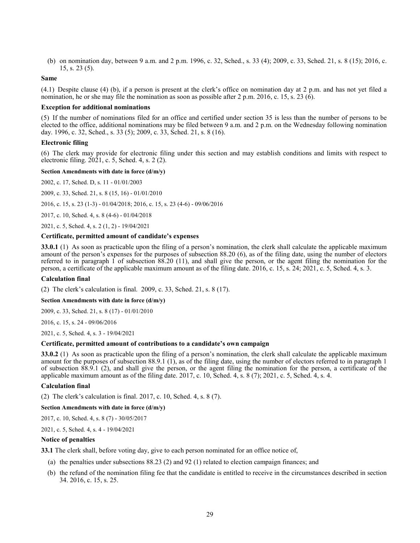(b) on nomination day, between 9 a.m. and 2 p.m. 1996, c. 32, Sched., s. 33 (4); 2009, c. 33, Sched. 21, s. 8 (15); 2016, c. 15, s. 23 (5).

### **Same**

(4.1) Despite clause (4) (b), if a person is present at the clerk's office on nomination day at 2 p.m. and has not yet filed a nomination, he or she may file the nomination as soon as possible after 2 p.m. 2016, c. 15, s. 23 (6).

#### **Exception for additional nominations**

(5) If the number of nominations filed for an office and certified under section 35 is less than the number of persons to be elected to the office, additional nominations may be filed between 9 a.m. and 2 p.m. on the Wednesday following nomination day. 1996, c. 32, Sched., s. 33 (5); 2009, c. 33, Sched. 21, s. 8 (16).

### **Electronic filing**

(6) The clerk may provide for electronic filing under this section and may establish conditions and limits with respect to electronic filing. 2021, c. 5, Sched. 4, s. 2 (2).

#### **Section Amendments with date in force (d/m/y)**

[2002, c. 17, Sched. D, s. 11](http://www.ontario.ca/laws/statute/S02017#schedds11) - 01/01/2003

[2009, c. 33, Sched. 21, s. 8 \(15, 16\)](http://www.ontario.ca/laws/statute/S09033#sched21s8s15) - 01/01/2010

[2016, c. 15, s. 23 \(1-3\)](http://www.ontario.ca/laws/statute/S16015#s23s1) - 01/04/2018; 2016, [c. 15, s. 23 \(4-6\)](http://www.ontario.ca/laws/statute/S16015#s23s4) - 09/06/2016

[2017, c. 10, Sched. 4, s. 8 \(4-6\)](http://www.ontario.ca/laws/statute/S17010#sched4s8s4) - 01/04/2018

[2021, c. 5, Sched. 4, s. 2 \(1, 2\)](http://www.ontario.ca/laws/statute/S21005#sched4s2s1) - 19/04/2021

## **Certificate, permitted amount of candidate's expenses**

<span id="page-28-0"></span>**33.0.1** (1) As soon as practicable upon the filing of a person's nomination, the clerk shall calculate the applicable maximum amount of the person's expenses for the purposes of subsection 88.20 (6), as of the filing date, using the number of electors referred to in paragraph 1 of subsection  $88.20$  (11), and shall give the person, or the agent filing the nomination for the person, a certificate of the applicable maximum amount as of the filing date. 2016, c. 15, s. 24; 2021, c. 5, Sched. 4, s. 3.

#### **Calculation final**

(2) The clerk's calculation is final. 2009, c. 33, Sched. 21, s. 8 (17).

#### **Section Amendments with date in force (d/m/y)**

2009, c. 33, [Sched. 21, s. 8 \(17\)](http://www.ontario.ca/laws/statute/S09033#sched21s8s17) - 01/01/2010

[2016, c. 15, s. 24](http://www.ontario.ca/laws/statute/S16015#s24) - 09/06/2016

[2021, c. 5, Sched. 4, s. 3](http://www.ontario.ca/laws/statute/S21005#sched4s3) - 19/04/2021

#### **Certificate, permitted amount of contributions to a candidate's own campaign**

<span id="page-28-1"></span>**33.0.2** (1) As soon as practicable upon the filing of a person's nomination, the clerk shall calculate the applicable maximum amount for the purposes of subsection 88.9.1 (1), as of the filing date, using the number of electors referred to in paragraph 1 of subsection 88.9.1 (2), and shall give the person, or the agent filing the nomination for the person, a certificate of the applicable maximum amount as of the filing date. 2017, c. 10, Sched. 4, s. 8 (7); 2021, c. 5, Sched. 4, s. 4.

#### **Calculation final**

(2) The clerk's calculation is final. 2017, c. 10, Sched. 4, s. 8 (7).

#### **Section Amendments with date in force (d/m/y)**

[2017, c. 10, Sched. 4, s. 8 \(7\)](http://www.ontario.ca/laws/statute/S17010#sched4s8s7) - 30/05/2017

[2021, c. 5, Sched. 4, s. 4](http://www.ontario.ca/laws/statute/S21005#sched4s4) - 19/04/2021

#### **Notice of penalties**

<span id="page-28-2"></span>**33.1** The clerk shall, before voting day, give to each person nominated for an office notice of,

- (a) the penalties under subsections 88.23 (2) and 92 (1) related to election campaign finances; and
- (b) the refund of the nomination filing fee that the candidate is entitled to receive in the circumstances described in section 34. 2016, c. 15, s. 25.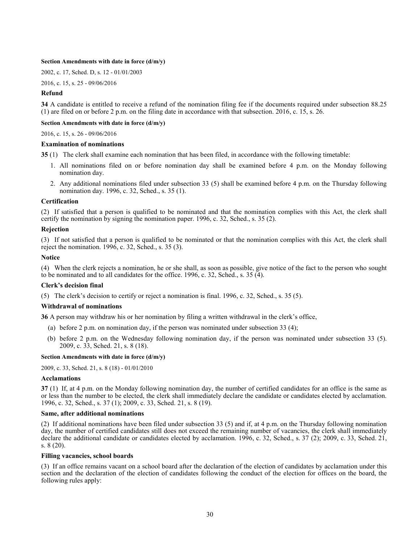#### **Section Amendments with date in force (d/m/y)**

[2002, c. 17, Sched. D, s. 12](http://www.ontario.ca/laws/statute/S02017#schedds12) - 01/01/2003

[2016, c. 15, s. 25](http://www.ontario.ca/laws/statute/S16015#s25) - 09/06/2016

## **Refund**

<span id="page-29-0"></span>**34** A candidate is entitled to receive a refund of the nomination filing fee if the documents required under subsection 88.25 (1) are filed on or before 2 p.m. on the filing date in accordance with that subsection. 2016, c. 15, s. 26.

**Section Amendments with date in force (d/m/y)**

[2016, c. 15, s. 26](http://www.ontario.ca/laws/statute/S16015#s26) - 09/06/2016

### **Examination of nominations**

<span id="page-29-1"></span>**35** (1) The clerk shall examine each nomination that has been filed, in accordance with the following timetable:

- 1. All nominations filed on or before nomination day shall be examined before 4 p.m. on the Monday following nomination day.
- 2. Any additional nominations filed under subsection 33 (5) shall be examined before 4 p.m. on the Thursday following nomination day. 1996, c. 32, Sched., s. 35 (1).

### **Certification**

(2) If satisfied that a person is qualified to be nominated and that the nomination complies with this Act, the clerk shall certify the nomination by signing the nomination paper. 1996, c. 32, Sched., s. 35 (2).

### **Rejection**

(3) If not satisfied that a person is qualified to be nominated or that the nomination complies with this Act, the clerk shall reject the nomination. 1996, c. 32, Sched., s. 35 (3).

### **Notice**

(4) When the clerk rejects a nomination, he or she shall, as soon as possible, give notice of the fact to the person who sought to be nominated and to all candidates for the office. 1996, c. 32, Sched., s. 35 (4).

## **Clerk's decision final**

(5) The clerk's decision to certify or reject a nomination is final. 1996, c. 32, Sched., s. 35 (5).

#### **Withdrawal of nominations**

<span id="page-29-2"></span>**36** A person may withdraw his or her nomination by filing a written withdrawal in the clerk's office,

- (a) before 2 p.m. on nomination day, if the person was nominated under subsection 33 (4);
- (b) before 2 p.m. on the Wednesday following nomination day, if the person was nominated under subsection 33 (5). 2009, c. 33, Sched. 21, s. 8 (18).

#### **Section Amendments with date in force (d/m/y)**

[2009, c. 33, Sched. 21, s. 8 \(18\)](http://www.ontario.ca/laws/statute/S09033#sched21s8s18) - 01/01/2010

#### **Acclamations**

<span id="page-29-3"></span>**37** (1) If, at 4 p.m. on the Monday following nomination day, the number of certified candidates for an office is the same as or less than the number to be elected, the clerk shall immediately declare the candidate or candidates elected by acclamation. 1996, c. 32, Sched., s. 37 (1); 2009, c. 33, Sched. 21, s. 8 (19).

### **Same, after additional nominations**

(2) If additional nominations have been filed under subsection 33 (5) and if, at 4 p.m. on the Thursday following nomination day, the number of certified candidates still does not exceed the remaining number of vacancies, the clerk shall immediately declare the additional candidate or candidates elected by acclamation. 1996, c. 32, Sched., s. 37 (2); 2009, c. 33, Sched. 21, s. 8 (20).

#### **Filling vacancies, school boards**

(3) If an office remains vacant on a school board after the declaration of the election of candidates by acclamation under this section and the declaration of the election of candidates following the conduct of the election for offices on the board, the following rules apply: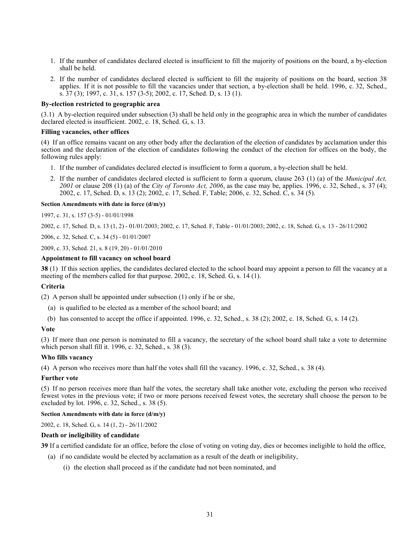- 1. If the number of candidates declared elected is insufficient to fill the majority of positions on the board, a by-election shall be held.
- 2. If the number of candidates declared elected is sufficient to fill the majority of positions on the board, section 38 applies. If it is not possible to fill the vacancies under that section, a by-election shall be held. 1996, c. 32, Sched., s.  $37(3)$ ; 1997, c.  $31$ , s.  $157(3-5)$ ; 2002, c. 17, Sched. D, s. 13 (1).

#### **By-election restricted to geographic area**

(3.1) A by-election required under subsection (3) shall be held only in the geographic area in which the number of candidates declared elected is insufficient. 2002, c. 18, Sched. G, s. 13.

### **Filling vacancies, other offices**

(4) If an office remains vacant on any other body after the declaration of the election of candidates by acclamation under this section and the declaration of the election of candidates following the conduct of the election for offices on the body, the following rules apply:

- 1. If the number of candidates declared elected is insufficient to form a quorum, a by-election shall be held.
- 2. If the number of candidates declared elected is sufficient to form a quorum, clause 263 (1) (a) of the *Municipal Act, 2001* or clause 208 (1) (a) of the *City of Toronto Act, 2006*, as the case may be, applies. 1996, c. 32, Sched., s. 37 (4); 2002, c. 17, Sched. D, s. 13 (2); 2002, c. 17, Sched. F, Table; 2006, c. 32, Sched. C, s. 34 (5).

#### **Section Amendments with date in force (d/m/y)**

1997, c. 31, s. 157 (3-5) - 01/01/1998

[2002, c. 17, Sched. D, s. 13 \(1, 2\)](http://www.ontario.ca/laws/statute/S02017#schedds13s1) - 01/01/2003; [2002, c. 17, Sched. F, Table](http://www.ontario.ca/laws/statute/S02017#schedfs2) - 01/01/2003[; 2002, c. 18, Sched. G, s. 13](http://www.ontario.ca/laws/statute/S02018#schedgs13) - 26/11/2002

[2006, c. 32, Sched. C, s. 34 \(5\)](http://www.ontario.ca/laws/statute/S06032#schedcs34s5) - 01/01/2007

[2009, c. 33, Sched. 21, s. 8 \(19, 20\)](http://www.ontario.ca/laws/statute/S09033#sched21s8s19) - 01/01/2010

## **Appointment to fill vacancy on school board**

<span id="page-30-0"></span>**38** (1) If this section applies, the candidates declared elected to the school board may appoint a person to fill the vacancy at a meeting of the members called for that purpose. 2002, c. 18, Sched. G, s. 14 (1).

#### **Criteria**

(2) A person shall be appointed under subsection (1) only if he or she,

- (a) is qualified to be elected as a member of the school board; and
- (b) has consented to accept the office if appointed. 1996, c. 32, Sched., s. 38 (2); 2002, c. 18, Sched. G, s. 14 (2).

#### **Vote**

(3) If more than one person is nominated to fill a vacancy, the secretary of the school board shall take a vote to determine which person shall fill it. 1996, c. 32, Sched., s. 38 (3).

#### **Who fills vacancy**

(4) A person who receives more than half the votes shall fill the vacancy. 1996, c. 32, Sched., s. 38 (4).

#### **Further vote**

(5) If no person receives more than half the votes, the secretary shall take another vote, excluding the person who received fewest votes in the previous vote; if two or more persons received fewest votes, the secretary shall choose the person to be excluded by lot. 1996, c. 32, Sched., s. 38 (5).

## **Section Amendments with date in force (d/m/y)**

[2002, c. 18, Sched. G, s. 14 \(1, 2\)](http://www.ontario.ca/laws/statute/S02018#schedgs14s1) - 26/11/2002

### **Death or ineligibility of candidate**

<span id="page-30-1"></span>**39** If a certified candidate for an office, before the close of voting on voting day, dies or becomes ineligible to hold the office,

- (a) if no candidate would be elected by acclamation as a result of the death or ineligibility,
	- (i) the election shall proceed as if the candidate had not been nominated, and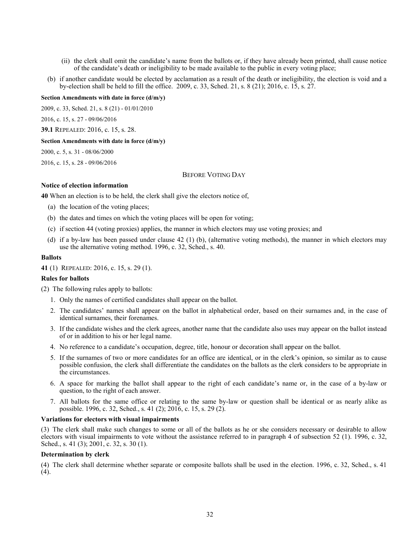- (ii) the clerk shall omit the candidate's name from the ballots or, if they have already been printed, shall cause notice of the candidate's death or ineligibility to be made available to the public in every voting place;
- (b) if another candidate would be elected by acclamation as a result of the death or ineligibility, the election is void and a by-election shall be held to fill the office. 2009, c. 33, Sched. 21, s. 8 (21); 2016, c. 15, s. 27.

#### **Section Amendments with date in force (d/m/y)**

[2009, c. 33, Sched. 21, s. 8 \(21\)](http://www.ontario.ca/laws/statute/S09033#sched21s8s21) - 01/01/2010

[2016, c. 15, s. 27](http://www.ontario.ca/laws/statute/S16015#s27) - 09/06/2016

**39.1** REPEALED: 2016, c. 15, s. 28.

#### **Section Amendments with date in force (d/m/y)**

[2000, c. 5, s. 31](http://www.ontario.ca/laws/statute/S00005#s31) - 08/06/2000

<span id="page-31-0"></span>[2016, c. 15, s. 28](http://www.ontario.ca/laws/statute/S16015#s28) - 09/06/2016

## BEFORE VOTING DAY

## **Notice of election information**

<span id="page-31-1"></span>**40** When an election is to be held, the clerk shall give the electors notice of,

- (a) the location of the voting places;
- (b) the dates and times on which the voting places will be open for voting;
- (c) if section 44 (voting proxies) applies, the manner in which electors may use voting proxies; and
- (d) if a by-law has been passed under clause 42 (1) (b), (alternative voting methods), the manner in which electors may use the alternative voting method. 1996, c. 32, Sched., s. 40.

### **Ballots**

<span id="page-31-2"></span>**41** (1) REPEALED: 2016, c. 15, s. 29 (1).

#### **Rules for ballots**

(2) The following rules apply to ballots:

- 1. Only the names of certified candidates shall appear on the ballot.
- 2. The candidates' names shall appear on the ballot in alphabetical order, based on their surnames and, in the case of identical surnames, their forenames.
- 3. If the candidate wishes and the clerk agrees, another name that the candidate also uses may appear on the ballot instead of or in addition to his or her legal name.
- 4. No reference to a candidate's occupation, degree, title, honour or decoration shall appear on the ballot.
- 5. If the surnames of two or more candidates for an office are identical, or in the clerk's opinion, so similar as to cause possible confusion, the clerk shall differentiate the candidates on the ballots as the clerk considers to be appropriate in the circumstances.
- 6. A space for marking the ballot shall appear to the right of each candidate's name or, in the case of a by-law or question, to the right of each answer.
- 7. All ballots for the same office or relating to the same by-law or question shall be identical or as nearly alike as possible. 1996, c. 32, Sched., s. 41 (2); 2016, c. 15, s. 29 (2).

#### **Variations for electors with visual impairments**

(3) The clerk shall make such changes to some or all of the ballots as he or she considers necessary or desirable to allow electors with visual impairments to vote without the assistance referred to in paragraph 4 of subsection 52 (1). 1996, c. 32, Sched., s. 41 (3); 2001, c. 32, s. 30 (1).

### **Determination by clerk**

(4) The clerk shall determine whether separate or composite ballots shall be used in the election. 1996, c. 32, Sched., s. 41 (4).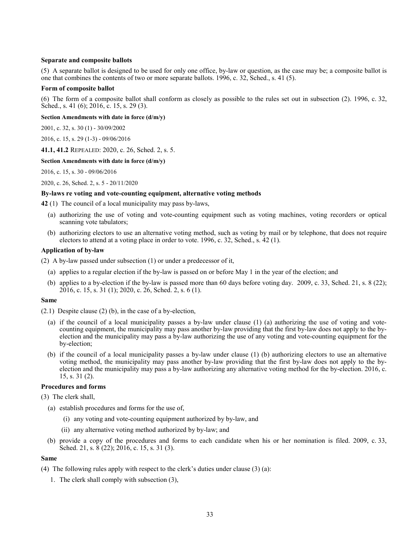### **Separate and composite ballots**

(5) A separate ballot is designed to be used for only one office, by-law or question, as the case may be; a composite ballot is one that combines the contents of two or more separate ballots. 1996, c. 32, Sched., s. 41 (5).

#### **Form of composite ballot**

(6) The form of a composite ballot shall conform as closely as possible to the rules set out in subsection (2). 1996, c. 32, Sched., s. 41 (6); 2016, c. 15, s. 29 (3).

**Section Amendments with date in force (d/m/y)**

[2001, c. 32, s. 30 \(1\)](http://www.ontario.ca/laws/statute/S01032#s30s1) - 30/09/2002

[2016, c. 15, s. 29 \(1-3\)](http://www.ontario.ca/laws/statute/S16015#s29s1) - 09/06/2016

**41.1, 41.2** REPEALED: 2020, c. 26, Sched. 2, s. 5.

#### **Section Amendments with date in force (d/m/y)**

[2016, c. 15, s. 30](http://www.ontario.ca/laws/statute/S16015#s30) - 09/06/2016

[2020, c. 26, Sched. 2, s. 5](http://www.ontario.ca/laws/statute/S20026#sched2s5) - 20/11/2020

#### **By-laws re voting and vote-counting equipment, alternative voting methods**

<span id="page-32-0"></span>**42** (1) The council of a local municipality may pass by-laws,

- (a) authorizing the use of voting and vote-counting equipment such as voting machines, voting recorders or optical scanning vote tabulators;
- (b) authorizing electors to use an alternative voting method, such as voting by mail or by telephone, that does not require electors to attend at a voting place in order to vote. 1996, c. 32, Sched., s. 42 (1).

#### **Application of by-law**

(2) A by-law passed under subsection (1) or under a predecessor of it,

- (a) applies to a regular election if the by-law is passed on or before May 1 in the year of the election; and
- (b) applies to a by-election if the by-law is passed more than 60 days before voting day. 2009, c. 33, Sched. 21, s. 8 (22); 2016, c. 15, s. 31 (1); 2020, c. 26, Sched. 2, s. 6 (1).

#### **Same**

(2.1) Despite clause (2) (b), in the case of a by-election,

- (a) if the council of a local municipality passes a by-law under clause (1) (a) authorizing the use of voting and votecounting equipment, the municipality may pass another by-law providing that the first by-law does not apply to the byelection and the municipality may pass a by-law authorizing the use of any voting and vote-counting equipment for the by-election;
- (b) if the council of a local municipality passes a by-law under clause (1) (b) authorizing electors to use an alternative voting method, the municipality may pass another by-law providing that the first by-law does not apply to the byelection and the municipality may pass a by-law authorizing any alternative voting method for the by-election. 2016, c. 15, s. 31 (2).

## **Procedures and forms**

(3) The clerk shall,

- (a) establish procedures and forms for the use of,
	- (i) any voting and vote-counting equipment authorized by by-law, and
	- (ii) any alternative voting method authorized by by-law; and
- (b) provide a copy of the procedures and forms to each candidate when his or her nomination is filed. 2009, c. 33, Sched. 21, s. 8 (22); 2016, c. 15, s. 31 (3).

#### **Same**

(4) The following rules apply with respect to the clerk's duties under clause (3) (a):

1. The clerk shall comply with subsection (3),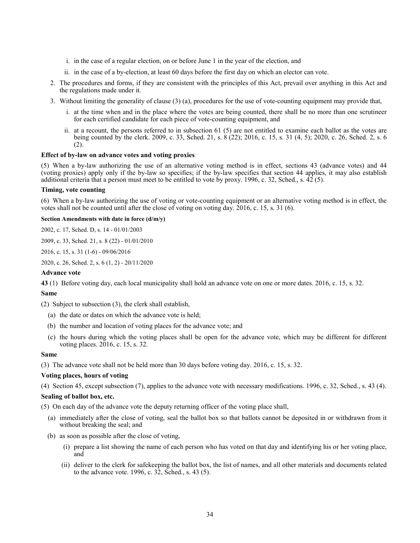- i. in the case of a regular election, on or before June 1 in the year of the election, and
- ii. in the case of a by-election, at least 60 days before the first day on which an elector can vote.
- 2. The procedures and forms, if they are consistent with the principles of this Act, prevail over anything in this Act and the regulations made under it.
- 3. Without limiting the generality of clause (3) (a), procedures for the use of vote-counting equipment may provide that,
	- i. at the time when and in the place where the votes are being counted, there shall be no more than one scrutineer for each certified candidate for each piece of vote-counting equipment, and
	- ii. at a recount, the persons referred to in subsection 61 (5) are not entitled to examine each ballot as the votes are being counted by the clerk. 2009, c. 33, Sched. 21, s. 8 (22); 2016, c. 15, s. 31 (4, 5); 2020, c. 26, Sched. 2, s. 6 (2).

## **Effect of by-law on advance votes and voting proxies**

(5) When a by-law authorizing the use of an alternative voting method is in effect, sections 43 (advance votes) and 44 (voting proxies) apply only if the by-law so specifies; if the by-law specifies that section 44 applies, it may also establish additional criteria that a person must meet to be entitled to vote by proxy. 1996, c. 32, Sched., s. 42 (5).

## **Timing, vote counting**

(6) When a by-law authorizing the use of voting or vote-counting equipment or an alternative voting method is in effect, the votes shall not be counted until after the close of voting on voting day. 2016, c. 15, s. 31 (6).

## **Section Amendments with date in force (d/m/y)**

[2002, c. 17, Sched. D, s. 14](http://www.ontario.ca/laws/statute/S02017#schedds14) - 01/01/2003

[2009, c. 33, Sched. 21, s. 8 \(22\)](http://www.ontario.ca/laws/statute/S09033#sched21s8s22) - 01/01/2010

[2016, c. 15, s. 31 \(1-6\)](http://www.ontario.ca/laws/statute/S16015#s31s1) - 09/06/2016

[2020, c. 26, Sched. 2, s. 6 \(1, 2\)](http://www.ontario.ca/laws/statute/S20026#sched2s6s1) - 20/11/2020

#### **Advance vote**

<span id="page-33-0"></span>**43** (1) Before voting day, each local municipality shall hold an advance vote on one or more dates. 2016, c. 15, s. 32.

### **Same**

(2) Subject to subsection (3), the clerk shall establish,

- (a) the date or dates on which the advance vote is held;
- (b) the number and location of voting places for the advance vote; and
- (c) the hours during which the voting places shall be open for the advance vote, which may be different for different voting places. 2016, c. 15, s. 32.

#### **Same**

(3) The advance vote shall not be held more than 30 days before voting day. 2016, c. 15, s. 32.

## **Voting places, hours of voting**

(4) Section 45, except subsection (7), applies to the advance vote with necessary modifications. 1996, c. 32, Sched., s. 43 (4).

#### **Sealing of ballot box, etc.**

(5) On each day of the advance vote the deputy returning officer of the voting place shall,

- (a) immediately after the close of voting, seal the ballot box so that ballots cannot be deposited in or withdrawn from it without breaking the seal; and
- (b) as soon as possible after the close of voting,
	- (i) prepare a list showing the name of each person who has voted on that day and identifying his or her voting place, and
	- (ii) deliver to the clerk for safekeeping the ballot box, the list of names, and all other materials and documents related to the advance vote. 1996, c. 32, Sched., s. 43 (5).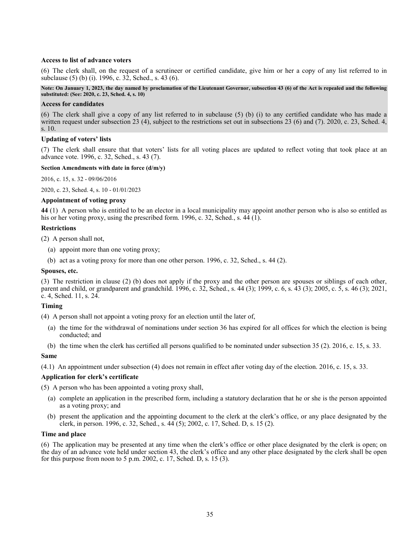## **Access to list of advance voters**

(6) The clerk shall, on the request of a scrutineer or certified candidate, give him or her a copy of any list referred to in subclause (5) (b) (i). 1996, c. 32, Sched., s. 43 (6).

### **Note: On January 1, 2023, the day named by proclamation of the Lieutenant Governor, subsection 43 (6) of the Act is repealed and the following substituted: (See: 2020, c. 23, Sched. 4, s. 10)**

### **Access for candidates**

(6) The clerk shall give a copy of any list referred to in subclause (5) (b) (i) to any certified candidate who has made a written request under subsection 23 (4), subject to the restrictions set out in subsections 23 (6) and (7). 2020, c. 23, Sched. 4, s. 10.

## **Updating of voters' lists**

(7) The clerk shall ensure that that voters' lists for all voting places are updated to reflect voting that took place at an advance vote. 1996, c. 32, Sched., s. 43 (7).

### **Section Amendments with date in force (d/m/y)**

[2016, c. 15, s. 32](http://www.ontario.ca/laws/statute/S16015#s32) - 09/06/2016

[2020, c. 23, Sched. 4, s. 10](http://www.ontario.ca/laws/statute/S20023#sched4s10) - 01/01/2023

## **Appointment of voting proxy**

<span id="page-34-0"></span>**44** (1) A person who is entitled to be an elector in a local municipality may appoint another person who is also so entitled as his or her voting proxy, using the prescribed form. 1996, c. 32, Sched., s. 44 (1).

### **Restrictions**

(2) A person shall not,

- (a) appoint more than one voting proxy;
- (b) act as a voting proxy for more than one other person. 1996, c. 32, Sched., s. 44 (2).

## **Spouses, etc.**

(3) The restriction in clause (2) (b) does not apply if the proxy and the other person are spouses or siblings of each other, parent and child, or grandparent and grandchild. 1996, c. 32, Sched., s. 44 (3); 1999, c. 6, s. 43 (3); 2005, c. 5, s. 46 (3); 2021, c. 4, Sched. 11, s. 24.

## **Timing**

(4) A person shall not appoint a voting proxy for an election until the later of,

- (a) the time for the withdrawal of nominations under section 36 has expired for all offices for which the election is being conducted; and
- (b) the time when the clerk has certified all persons qualified to be nominated under subsection 35 (2). 2016, c. 15, s. 33.

#### **Same**

(4.1) An appointment under subsection (4) does not remain in effect after voting day of the election. 2016, c. 15, s. 33.

## **Application for clerk's certificate**

(5) A person who has been appointed a voting proxy shall,

- (a) complete an application in the prescribed form, including a statutory declaration that he or she is the person appointed as a voting proxy; and
- (b) present the application and the appointing document to the clerk at the clerk's office, or any place designated by the clerk, in person. 1996, c. 32, Sched., s. 44 (5); 2002, c. 17, Sched. D, s. 15 (2).

## **Time and place**

(6) The application may be presented at any time when the clerk's office or other place designated by the clerk is open; on the day of an advance vote held under section 43, the clerk's office and any other place designated by the clerk shall be open for this purpose from noon to 5 p.m. 2002, c. 17, Sched. D, s. 15 (3).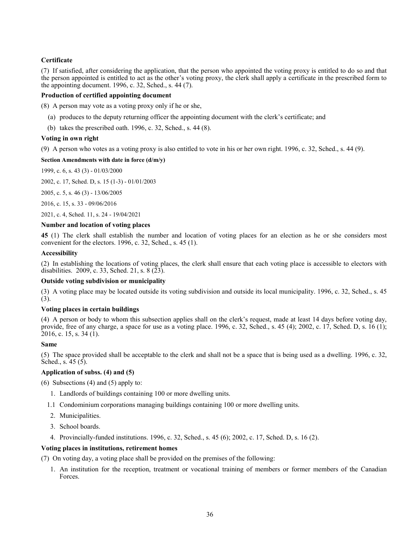# **Certificate**

(7) If satisfied, after considering the application, that the person who appointed the voting proxy is entitled to do so and that the person appointed is entitled to act as the other's voting proxy, the clerk shall apply a certificate in the prescribed form to the appointing document. 1996, c. 32, Sched., s. 44 (7).

## **Production of certified appointing document**

(8) A person may vote as a voting proxy only if he or she,

- (a) produces to the deputy returning officer the appointing document with the clerk's certificate; and
- (b) takes the prescribed oath. 1996, c. 32, Sched., s. 44 (8).

## **Voting in own right**

(9) A person who votes as a voting proxy is also entitled to vote in his or her own right. 1996, c. 32, Sched., s. 44 (9).

## **Section Amendments with date in force (d/m/y)**

1999, c. 6, s. 43 (3) - 01/03/2000

[2002, c. 17, Sched. D, s. 15 \(1-3\)](http://www.ontario.ca/laws/statute/S02017#schedds15s1) - 01/01/2003

[2005, c. 5,](http://www.ontario.ca/laws/statute/S05005#s46s3) s. 46 (3) - 13/06/2005

[2016, c. 15, s. 33](http://www.ontario.ca/laws/statute/S16015#s33) - 09/06/2016

[2021, c. 4, Sched. 11, s. 24](http://www.ontario.ca/laws/statute/S21004#sched11s24) - 19/04/2021

## **Number and location of voting places**

<span id="page-35-0"></span>**45** (1) The clerk shall establish the number and location of voting places for an election as he or she considers most convenient for the electors. 1996, c. 32, Sched., s. 45 (1).

## **Accessibility**

(2) In establishing the locations of voting places, the clerk shall ensure that each voting place is accessible to electors with disabilities. 2009, c. 33, Sched. 21, s.  $8(23)$ .

## **Outside voting subdivision or municipality**

(3) A voting place may be located outside its voting subdivision and outside its local municipality. 1996, c. 32, Sched., s. 45 (3).

## **Voting places in certain buildings**

(4) A person or body to whom this subsection applies shall on the clerk's request, made at least 14 days before voting day, provide, free of any charge, a space for use as a voting place. 1996, c. 32, Sched., s. 45 (4); 2002, c. 17, Sched. D, s. 16 (1); 2016, c. 15, s. 34 (1).

## **Same**

(5) The space provided shall be acceptable to the clerk and shall not be a space that is being used as a dwelling. 1996, c. 32, Sched., s. 45 (5).

## **Application of subss. (4) and (5)**

- (6) Subsections  $(4)$  and  $(5)$  apply to:
	- 1. Landlords of buildings containing 100 or more dwelling units.
	- 1.1 Condominium corporations managing buildings containing 100 or more dwelling units.
	- 2. Municipalities.
	- 3. School boards.
	- 4. Provincially-funded institutions. 1996, c. 32, Sched., s. 45 (6); 2002, c. 17, Sched. D, s. 16 (2).

## **Voting places in institutions, retirement homes**

(7) On voting day, a voting place shall be provided on the premises of the following:

1. An institution for the reception, treatment or vocational training of members or former members of the Canadian Forces.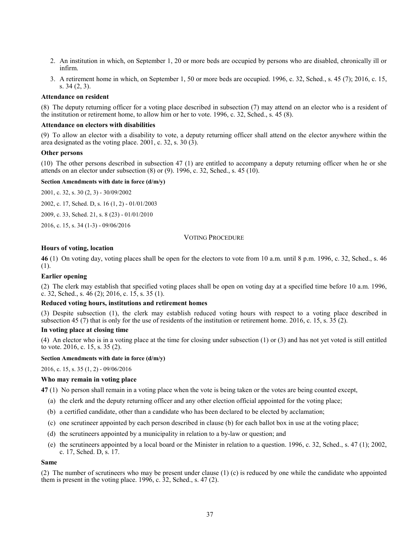- 2. An institution in which, on September 1, 20 or more beds are occupied by persons who are disabled, chronically ill or infirm.
- 3. A retirement home in which, on September 1, 50 or more beds are occupied. 1996, c. 32, Sched., s. 45 (7); 2016, c. 15, s. 34 (2, 3).

### **Attendance on resident**

(8) The deputy returning officer for a voting place described in subsection (7) may attend on an elector who is a resident of the institution or retirement home, to allow him or her to vote. 1996, c. 32, Sched., s. 45 (8).

### **Attendance on electors with disabilities**

(9) To allow an elector with a disability to vote, a deputy returning officer shall attend on the elector anywhere within the area designated as the voting place.  $2001$ , c. 32, s. 30 (3).

#### **Other persons**

(10) The other persons described in subsection 47 (1) are entitled to accompany a deputy returning officer when he or she attends on an elector under subsection (8) or (9). 1996, c. 32, Sched., s. 45 (10).

### **Section Amendments with date in force (d/m/y)**

[2001, c. 32, s. 30 \(2, 3\)](http://www.ontario.ca/laws/statute/S01032#s30s2) - 30/09/2002

[2002, c. 17, Sched. D, s. 16 \(1, 2\)](http://www.ontario.ca/laws/statute/S02017#schedds16s1) - 01/01/2003

[2009, c. 33, Sched. 21, s. 8 \(23\)](http://www.ontario.ca/laws/statute/S09033#sched21s8s23) - 01/01/2010

[2016, c. 15,](http://www.ontario.ca/laws/statute/S16015#s34s1) s. 34 (1-3) - 09/06/2016

# VOTING PROCEDURE

### **Hours of voting, location**

**46** (1) On voting day, voting places shall be open for the electors to vote from 10 a.m. until 8 p.m. 1996, c. 32, Sched., s. 46 (1).

### **Earlier opening**

(2) The clerk may establish that specified voting places shall be open on voting day at a specified time before 10 a.m. 1996, c. 32, Sched., s. 46 (2); 2016, c. 15, s. 35 (1).

### **Reduced voting hours, institutions and retirement homes**

(3) Despite subsection (1), the clerk may establish reduced voting hours with respect to a voting place described in subsection 45 (7) that is only for the use of residents of the institution or retirement home. 2016, c. 15, s. 35 (2).

#### **In voting place at closing time**

(4) An elector who is in a voting place at the time for closing under subsection (1) or (3) and has not yet voted is still entitled to vote. 2016, c. 15, s. 35 (2).

### **Section Amendments with date in force (d/m/y)**

[2016, c. 15, s. 35 \(1, 2\)](http://www.ontario.ca/laws/statute/S16015#s35s1) - 09/06/2016

#### **Who may remain in voting place**

**47** (1) No person shall remain in a voting place when the vote is being taken or the votes are being counted except,

- (a) the clerk and the deputy returning officer and any other election official appointed for the voting place;
- (b) a certified candidate, other than a candidate who has been declared to be elected by acclamation;
- (c) one scrutineer appointed by each person described in clause (b) for each ballot box in use at the voting place;
- (d) the scrutineers appointed by a municipality in relation to a by-law or question; and
- (e) the scrutineers appointed by a local board or the Minister in relation to a question. 1996, c. 32, Sched., s. 47 (1); 2002, c. 17, Sched. D, s. 17.

### **Same**

(2) The number of scrutineers who may be present under clause (1) (c) is reduced by one while the candidate who appointed them is present in the voting place. 1996, c. 32, Sched., s. 47 (2).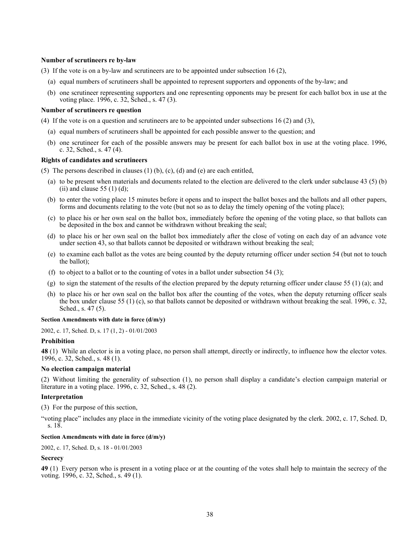### **Number of scrutineers re by-law**

(3) If the vote is on a by-law and scrutineers are to be appointed under subsection 16 (2),

- (a) equal numbers of scrutineers shall be appointed to represent supporters and opponents of the by-law; and
- (b) one scrutineer representing supporters and one representing opponents may be present for each ballot box in use at the voting place. 1996, c. 32, Sched., s. 47 (3).

### **Number of scrutineers re question**

(4) If the vote is on a question and scrutineers are to be appointed under subsections 16 (2) and (3),

- (a) equal numbers of scrutineers shall be appointed for each possible answer to the question; and
- (b) one scrutineer for each of the possible answers may be present for each ballot box in use at the voting place. 1996, c. 32, Sched., s. 47 (4).

### **Rights of candidates and scrutineers**

(5) The persons described in clauses  $(1)$  (b),  $(c)$ ,  $(d)$  and  $(e)$  are each entitled,

- (a) to be present when materials and documents related to the election are delivered to the clerk under subclause 43 (5) (b) (ii) and clause  $55(1)(d)$ ;
- (b) to enter the voting place 15 minutes before it opens and to inspect the ballot boxes and the ballots and all other papers, forms and documents relating to the vote (but not so as to delay the timely opening of the voting place);
- (c) to place his or her own seal on the ballot box, immediately before the opening of the voting place, so that ballots can be deposited in the box and cannot be withdrawn without breaking the seal;
- (d) to place his or her own seal on the ballot box immediately after the close of voting on each day of an advance vote under section 43, so that ballots cannot be deposited or withdrawn without breaking the seal;
- (e) to examine each ballot as the votes are being counted by the deputy returning officer under section 54 (but not to touch the ballot);
- (f) to object to a ballot or to the counting of votes in a ballot under subsection 54 (3);
- (g) to sign the statement of the results of the election prepared by the deputy returning officer under clause 55 (1) (a); and
- (h) to place his or her own seal on the ballot box after the counting of the votes, when the deputy returning officer seals the box under clause 55 (1) (c), so that ballots cannot be deposited or withdrawn without breaking the seal. 1996, c. 32, Sched., s. 47 (5).

### **Section Amendments with date in force (d/m/y)**

[2002, c. 17, Sched. D, s. 17 \(1, 2\)](http://www.ontario.ca/laws/statute/S02017#schedds17s1) - 01/01/2003

#### **Prohibition**

**48** (1) While an elector is in a voting place, no person shall attempt, directly or indirectly, to influence how the elector votes. 1996, c. 32, Sched., s. 48 (1).

### **No election campaign material**

(2) Without limiting the generality of subsection (1), no person shall display a candidate's election campaign material or literature in a voting place. 1996, c. 32, Sched., s. 48 (2).

### **Interpretation**

(3) For the purpose of this section,

"voting place" includes any place in the immediate vicinity of the voting place designated by the clerk. 2002, c. 17, Sched. D, s. 18.

# **Section Amendments with date in force (d/m/y)**

[2002, c. 17, Sched. D, s. 18](http://www.ontario.ca/laws/statute/S02017#schedds18) - 01/01/2003

### **Secrecy**

**49** (1) Every person who is present in a voting place or at the counting of the votes shall help to maintain the secrecy of the voting. 1996, c. 32, Sched., s. 49 (1).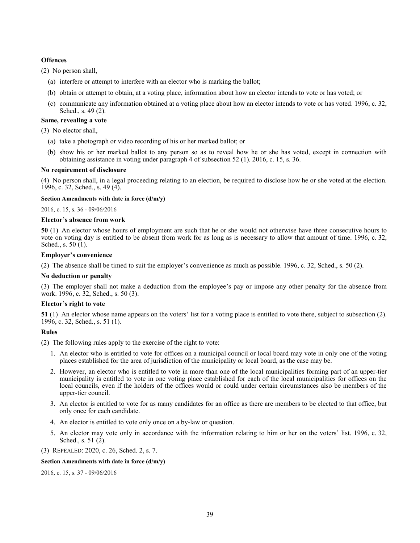# **Offences**

(2) No person shall,

- (a) interfere or attempt to interfere with an elector who is marking the ballot;
- (b) obtain or attempt to obtain, at a voting place, information about how an elector intends to vote or has voted; or
- (c) communicate any information obtained at a voting place about how an elector intends to vote or has voted. 1996, c. 32, Sched., s. 49 (2).

# **Same, revealing a vote**

(3) No elector shall,

- (a) take a photograph or video recording of his or her marked ballot; or
- (b) show his or her marked ballot to any person so as to reveal how he or she has voted, except in connection with obtaining assistance in voting under paragraph 4 of subsection 52 (1). 2016, c. 15, s. 36.

# **No requirement of disclosure**

(4) No person shall, in a legal proceeding relating to an election, be required to disclose how he or she voted at the election. 1996, c. 32, Sched., s. 49 (4).

## **Section Amendments with date in force (d/m/y)**

[2016, c. 15, s. 36](http://www.ontario.ca/laws/statute/S16015#s36) - 09/06/2016

# **Elector's absence from work**

**50** (1) An elector whose hours of employment are such that he or she would not otherwise have three consecutive hours to vote on voting day is entitled to be absent from work for as long as is necessary to allow that amount of time. 1996, c. 32, Sched., s. 50 (1).

# **Employer's convenience**

(2) The absence shall be timed to suit the employer's convenience as much as possible. 1996, c. 32, Sched., s. 50 (2).

## **No deduction or penalty**

(3) The employer shall not make a deduction from the employee's pay or impose any other penalty for the absence from work. 1996, c. 32, Sched., s. 50 (3).

# **Elector's right to vote**

**51** (1) An elector whose name appears on the voters' list for a voting place is entitled to vote there, subject to subsection (2). 1996, c. 32, Sched., s. 51 (1).

# **Rules**

(2) The following rules apply to the exercise of the right to vote:

- 1. An elector who is entitled to vote for offices on a municipal council or local board may vote in only one of the voting places established for the area of jurisdiction of the municipality or local board, as the case may be.
- 2. However, an elector who is entitled to vote in more than one of the local municipalities forming part of an upper-tier municipality is entitled to vote in one voting place established for each of the local municipalities for offices on the local councils, even if the holders of the offices would or could under certain circumstances also be members of the upper-tier council.
- 3. An elector is entitled to vote for as many candidates for an office as there are members to be elected to that office, but only once for each candidate.
- 4. An elector is entitled to vote only once on a by-law or question.
- 5. An elector may vote only in accordance with the information relating to him or her on the voters' list. 1996, c. 32, Sched., s.  $51(2)$ .
- (3) REPEALED: 2020, c. 26, Sched. 2, s. 7.

## **Section Amendments with date in force (d/m/y)**

[2016, c. 15, s. 37](http://www.ontario.ca/laws/statute/S16015#s37) - 09/06/2016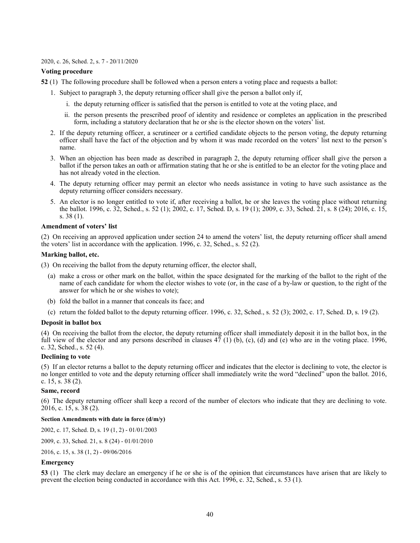#### [2020, c. 26, Sched. 2, s. 7](http://www.ontario.ca/laws/statute/S20026#sched2s7) - 20/11/2020

### **Voting procedure**

- **52** (1) The following procedure shall be followed when a person enters a voting place and requests a ballot:
	- 1. Subject to paragraph 3, the deputy returning officer shall give the person a ballot only if,
		- i. the deputy returning officer is satisfied that the person is entitled to vote at the voting place, and
		- ii. the person presents the prescribed proof of identity and residence or completes an application in the prescribed form, including a statutory declaration that he or she is the elector shown on the voters' list.
	- 2. If the deputy returning officer, a scrutineer or a certified candidate objects to the person voting, the deputy returning officer shall have the fact of the objection and by whom it was made recorded on the voters' list next to the person's name.
	- 3. When an objection has been made as described in paragraph 2, the deputy returning officer shall give the person a ballot if the person takes an oath or affirmation stating that he or she is entitled to be an elector for the voting place and has not already voted in the election.
	- 4. The deputy returning officer may permit an elector who needs assistance in voting to have such assistance as the deputy returning officer considers necessary.
	- 5. An elector is no longer entitled to vote if, after receiving a ballot, he or she leaves the voting place without returning the ballot. 1996, c. 32, Sched., s. 52 (1); 2002, c. 17, Sched. D, s. 19 (1); 2009, c. 33, Sched. 21, s. 8 (24); 2016, c. 15, s. 38 (1).

# **Amendment of voters' list**

(2) On receiving an approved application under section 24 to amend the voters' list, the deputy returning officer shall amend the voters' list in accordance with the application. 1996, c. 32, Sched., s. 52 (2).

### **Marking ballot, etc.**

(3) On receiving the ballot from the deputy returning officer, the elector shall,

- (a) make a cross or other mark on the ballot, within the space designated for the marking of the ballot to the right of the name of each candidate for whom the elector wishes to vote (or, in the case of a by-law or question, to the right of the answer for which he or she wishes to vote);
- (b) fold the ballot in a manner that conceals its face; and
- (c) return the folded ballot to the deputy returning officer. 1996, c. 32, Sched., s. 52 (3); 2002, c. 17, Sched. D, s. 19 (2).

## **Deposit in ballot box**

(4) On receiving the ballot from the elector, the deputy returning officer shall immediately deposit it in the ballot box, in the full view of the elector and any persons described in clauses 47 (1) (b), (c), (d) and (e) who are in the voting place. 1996, c. 32, Sched., s. 52 (4).

## **Declining to vote**

(5) If an elector returns a ballot to the deputy returning officer and indicates that the elector is declining to vote, the elector is no longer entitled to vote and the deputy returning officer shall immediately write the word "declined" upon the ballot. 2016, c. 15, s. 38 (2).

#### **Same, record**

(6) The deputy returning officer shall keep a record of the number of electors who indicate that they are declining to vote. 2016, c. 15, s. 38 (2).

#### **Section Amendments with date in force (d/m/y)**

[2002, c. 17, Sched. D, s. 19 \(1, 2\)](http://www.ontario.ca/laws/statute/S02017#schedds19s1) - 01/01/2003

[2009, c. 33, Sched. 21, s. 8 \(24\)](http://www.ontario.ca/laws/statute/S09033#sched21s8s24) - 01/01/2010

[2016, c. 15, s. 38 \(1, 2\)](http://www.ontario.ca/laws/statute/S16015#s38s1) - 09/06/2016

# **Emergency**

**53** (1) The clerk may declare an emergency if he or she is of the opinion that circumstances have arisen that are likely to prevent the election being conducted in accordance with this Act. 1996, c. 32, Sched., s. 53 (1).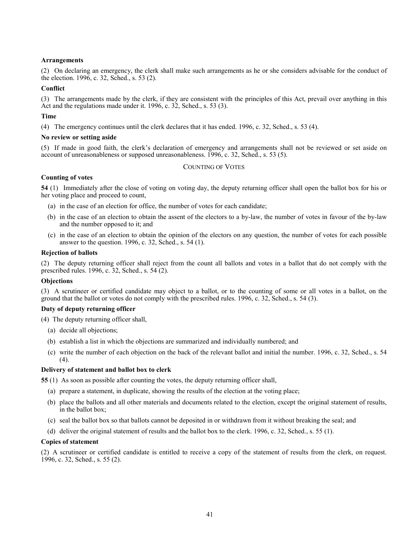# **Arrangements**

(2) On declaring an emergency, the clerk shall make such arrangements as he or she considers advisable for the conduct of the election. 1996, c. 32, Sched., s. 53 (2).

## **Conflict**

(3) The arrangements made by the clerk, if they are consistent with the principles of this Act, prevail over anything in this Act and the regulations made under it. 1996, c. 32, Sched., s. 53 (3).

## **Time**

(4) The emergency continues until the clerk declares that it has ended. 1996, c. 32, Sched., s. 53 (4).

### **No review or setting aside**

(5) If made in good faith, the clerk's declaration of emergency and arrangements shall not be reviewed or set aside on account of unreasonableness or supposed unreasonableness. 1996, c. 32, Sched., s. 53 (5).

# COUNTING OF VOTES

## **Counting of votes**

**54** (1) Immediately after the close of voting on voting day, the deputy returning officer shall open the ballot box for his or her voting place and proceed to count,

- (a) in the case of an election for office, the number of votes for each candidate;
- (b) in the case of an election to obtain the assent of the electors to a by-law, the number of votes in favour of the by-law and the number opposed to it; and
- (c) in the case of an election to obtain the opinion of the electors on any question, the number of votes for each possible answer to the question. 1996, c. 32, Sched., s. 54 (1).

## **Rejection of ballots**

(2) The deputy returning officer shall reject from the count all ballots and votes in a ballot that do not comply with the prescribed rules. 1996, c. 32, Sched., s. 54 (2).

# **Objections**

(3) A scrutineer or certified candidate may object to a ballot, or to the counting of some or all votes in a ballot, on the ground that the ballot or votes do not comply with the prescribed rules. 1996, c. 32, Sched., s. 54 (3).

## **Duty of deputy returning officer**

(4) The deputy returning officer shall,

- (a) decide all objections;
- (b) establish a list in which the objections are summarized and individually numbered; and
- (c) write the number of each objection on the back of the relevant ballot and initial the number. 1996, c. 32, Sched., s. 54  $(4)$ .

## **Delivery of statement and ballot box to clerk**

**55** (1) As soon as possible after counting the votes, the deputy returning officer shall,

- (a) prepare a statement, in duplicate, showing the results of the election at the voting place;
- (b) place the ballots and all other materials and documents related to the election, except the original statement of results, in the ballot box;
- (c) seal the ballot box so that ballots cannot be deposited in or withdrawn from it without breaking the seal; and
- (d) deliver the original statement of results and the ballot box to the clerk. 1996, c. 32, Sched., s. 55 (1).

### **Copies of statement**

(2) A scrutineer or certified candidate is entitled to receive a copy of the statement of results from the clerk, on request. 1996, c. 32, Sched., s. 55 (2).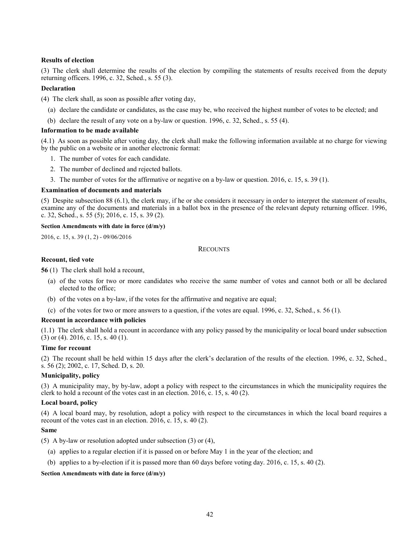# **Results of election**

(3) The clerk shall determine the results of the election by compiling the statements of results received from the deputy returning officers. 1996, c. 32, Sched., s. 55 (3).

## **Declaration**

- (4) The clerk shall, as soon as possible after voting day,
	- (a) declare the candidate or candidates, as the case may be, who received the highest number of votes to be elected; and
	- (b) declare the result of any vote on a by-law or question. 1996, c. 32, Sched., s. 55 (4).

# **Information to be made available**

(4.1) As soon as possible after voting day, the clerk shall make the following information available at no charge for viewing by the public on a website or in another electronic format:

- 1. The number of votes for each candidate.
- 2. The number of declined and rejected ballots.
- 3. The number of votes for the affirmative or negative on a by-law or question. 2016, c. 15, s. 39 (1).

## **Examination of documents and materials**

(5) Despite subsection 88 (6.1), the clerk may, if he or she considers it necessary in order to interpret the statement of results, examine any of the documents and materials in a ballot box in the presence of the relevant deputy returning officer. 1996, c. 32, Sched., s. 55 (5); 2016, c. 15, s. 39 (2).

# **Section Amendments with date in force (d/m/y)**

[2016, c. 15, s. 39 \(1, 2\)](http://www.ontario.ca/laws/statute/S16015#s39s1) - 09/06/2016

# **RECOUNTS**

## **Recount, tied vote**

**56** (1) The clerk shall hold a recount,

- (a) of the votes for two or more candidates who receive the same number of votes and cannot both or all be declared elected to the office;
- (b) of the votes on a by-law, if the votes for the affirmative and negative are equal;
- (c) of the votes for two or more answers to a question, if the votes are equal. 1996, c. 32, Sched., s. 56 (1).

## **Recount in accordance with policies**

(1.1) The clerk shall hold a recount in accordance with any policy passed by the municipality or local board under subsection (3) or (4). 2016, c. 15, s. 40 (1).

## **Time for recount**

(2) The recount shall be held within 15 days after the clerk's declaration of the results of the election. 1996, c. 32, Sched., s. 56 (2); 2002, c. 17, Sched. D, s. 20.

## **Municipality, policy**

(3) A municipality may, by by-law, adopt a policy with respect to the circumstances in which the municipality requires the clerk to hold a recount of the votes cast in an election. 2016, c. 15, s. 40 (2).

# **Local board, policy**

(4) A local board may, by resolution, adopt a policy with respect to the circumstances in which the local board requires a recount of the votes cast in an election. 2016, c. 15, s. 40 (2).

## **Same**

(5) A by-law or resolution adopted under subsection (3) or (4),

- (a) applies to a regular election if it is passed on or before May 1 in the year of the election; and
- (b) applies to a by-election if it is passed more than 60 days before voting day. 2016, c. 15, s. 40 (2).

## **Section Amendments with date in force (d/m/y)**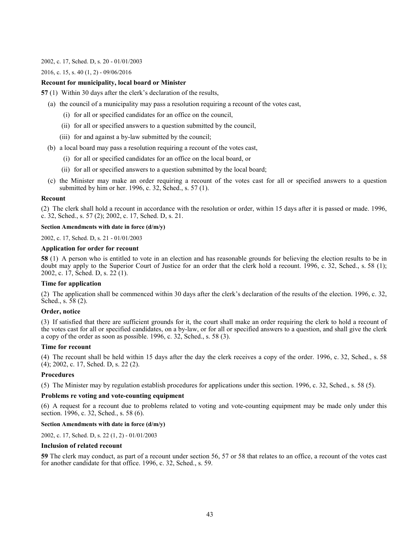#### [2002, c. 17, Sched. D, s. 20](http://www.ontario.ca/laws/statute/S02017#schedds20) - 01/01/2003

## [2016, c. 15, s. 40 \(1, 2\)](http://www.ontario.ca/laws/statute/S16015#s40s1) - 09/06/2016

# **Recount for municipality, local board or Minister**

**57** (1) Within 30 days after the clerk's declaration of the results,

- (a) the council of a municipality may pass a resolution requiring a recount of the votes cast,
	- (i) for all or specified candidates for an office on the council,
	- (ii) for all or specified answers to a question submitted by the council,
	- (iii) for and against a by-law submitted by the council;
- (b) a local board may pass a resolution requiring a recount of the votes cast,
	- (i) for all or specified candidates for an office on the local board, or
	- (ii) for all or specified answers to a question submitted by the local board;
- (c) the Minister may make an order requiring a recount of the votes cast for all or specified answers to a question submitted by him or her. 1996, c. 32, Sched., s. 57 (1).

## **Recount**

(2) The clerk shall hold a recount in accordance with the resolution or order, within 15 days after it is passed or made. 1996, c. 32, Sched., s. 57 (2); 2002, c. 17, Sched. D, s. 21.

## **Section Amendments with date in force (d/m/y)**

[2002, c. 17, Sched. D, s. 21](http://www.ontario.ca/laws/statute/S02017#schedds21) - 01/01/2003

### **Application for order for recount**

**58** (1) A person who is entitled to vote in an election and has reasonable grounds for believing the election results to be in doubt may apply to the Superior Court of Justice for an order that the clerk hold a recount. 1996, c. 32, Sched., s. 58 (1); 2002, c. 17, Sched. D, s. 22 (1).

## **Time for application**

(2) The application shall be commenced within 30 days after the clerk's declaration of the results of the election. 1996, c. 32, Sched., s. 58 (2).

## **Order, notice**

(3) If satisfied that there are sufficient grounds for it, the court shall make an order requiring the clerk to hold a recount of the votes cast for all or specified candidates, on a by-law, or for all or specified answers to a question, and shall give the clerk a copy of the order as soon as possible. 1996, c. 32, Sched., s. 58 (3).

## **Time for recount**

(4) The recount shall be held within 15 days after the day the clerk receives a copy of the order. 1996, c. 32, Sched., s. 58 (4); 2002, c. 17, Sched. D, s. 22 (2).

## **Procedures**

(5) The Minister may by regulation establish procedures for applications under this section. 1996, c. 32, Sched., s. 58 (5).

# **Problems re voting and vote-counting equipment**

(6) A request for a recount due to problems related to voting and vote-counting equipment may be made only under this section. 1996, c. 32, Sched., s. 58 (6).

# **Section Amendments with date in force (d/m/y)**

[2002, c. 17, Sched. D, s. 22 \(1, 2\)](http://www.ontario.ca/laws/statute/S02017#schedds22s1) - 01/01/2003

#### **Inclusion of related recount**

**59** The clerk may conduct, as part of a recount under section 56, 57 or 58 that relates to an office, a recount of the votes cast for another candidate for that office. 1996, c. 32, Sched., s. 59.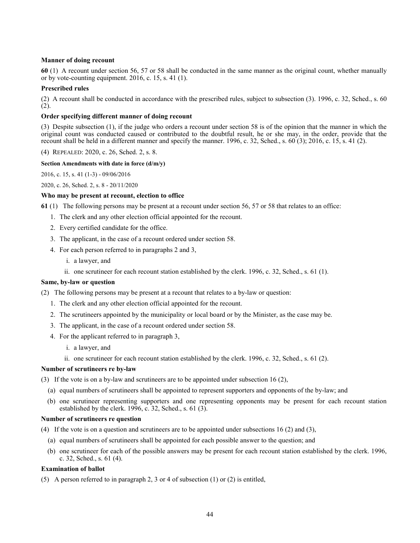# **Manner of doing recount**

**60** (1) A recount under section 56, 57 or 58 shall be conducted in the same manner as the original count, whether manually or by vote-counting equipment. 2016, c. 15, s. 41 (1).

# **Prescribed rules**

(2) A recount shall be conducted in accordance with the prescribed rules, subject to subsection (3). 1996, c. 32, Sched., s. 60 (2).

# **Order specifying different manner of doing recount**

(3) Despite subsection (1), if the judge who orders a recount under section 58 is of the opinion that the manner in which the original count was conducted caused or contributed to the doubtful result, he or she may, in the order, provide that the recount shall be held in a different manner and specify the manner. 1996, c. 32, Sched., s. 60 (3); 2016, c. 15, s. 41 (2).

(4) REPEALED: 2020, c. 26, Sched. 2, s. 8.

# **Section Amendments with date in force (d/m/y)**

[2016, c. 15, s. 41 \(1-3\)](http://www.ontario.ca/laws/statute/S16015#s41s1) - 09/06/2016

[2020, c. 26, Sched. 2, s. 8](http://www.ontario.ca/laws/statute/S20026#sched2s8) - 20/11/2020

# **Who may be present at recount, election to office**

**61** (1) The following persons may be present at a recount under section 56, 57 or 58 that relates to an office:

- 1. The clerk and any other election official appointed for the recount.
- 2. Every certified candidate for the office.
- 3. The applicant, in the case of a recount ordered under section 58.
- 4. For each person referred to in paragraphs 2 and 3,
	- i. a lawyer, and
	- ii. one scrutineer for each recount station established by the clerk. 1996, c. 32, Sched., s. 61 (1).

## **Same, by-law or question**

(2) The following persons may be present at a recount that relates to a by-law or question:

- 1. The clerk and any other election official appointed for the recount.
- 2. The scrutineers appointed by the municipality or local board or by the Minister, as the case may be.
- 3. The applicant, in the case of a recount ordered under section 58.
- 4. For the applicant referred to in paragraph 3,
	- i. a lawyer, and
	- ii. one scrutineer for each recount station established by the clerk. 1996, c. 32, Sched., s. 61 (2).

## **Number of scrutineers re by-law**

(3) If the vote is on a by-law and scrutineers are to be appointed under subsection 16 (2),

- (a) equal numbers of scrutineers shall be appointed to represent supporters and opponents of the by-law; and
- (b) one scrutineer representing supporters and one representing opponents may be present for each recount station established by the clerk. 1996, c. 32, Sched., s. 61 (3).

## **Number of scrutineers re question**

(4) If the vote is on a question and scrutineers are to be appointed under subsections 16 (2) and (3),

- (a) equal numbers of scrutineers shall be appointed for each possible answer to the question; and
- (b) one scrutineer for each of the possible answers may be present for each recount station established by the clerk. 1996, c. 32, Sched., s. 61 (4).

## **Examination of ballot**

(5) A person referred to in paragraph 2, 3 or 4 of subsection (1) or (2) is entitled,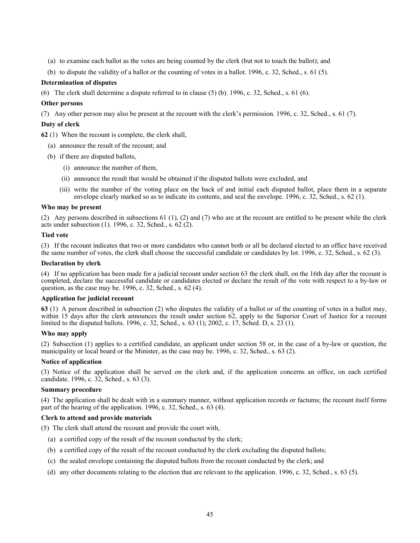- (a) to examine each ballot as the votes are being counted by the clerk (but not to touch the ballot); and
- (b) to dispute the validity of a ballot or the counting of votes in a ballot. 1996, c. 32, Sched., s. 61 (5).

# **Determination of disputes**

(6) The clerk shall determine a dispute referred to in clause (5) (b). 1996, c. 32, Sched., s. 61 (6).

# **Other persons**

(7) Any other person may also be present at the recount with the clerk's permission. 1996, c. 32, Sched., s. 61 (7).

# **Duty of clerk**

**62** (1) When the recount is complete, the clerk shall,

- (a) announce the result of the recount; and
- (b) if there are disputed ballots,
	- (i) announce the number of them,
	- (ii) announce the result that would be obtained if the disputed ballots were excluded, and
	- (iii) write the number of the voting place on the back of and initial each disputed ballot, place them in a separate envelope clearly marked so as to indicate its contents, and seal the envelope. 1996, c. 32, Sched., s. 62 (1).

## **Who may be present**

(2) Any persons described in subsections 61 (1), (2) and (7) who are at the recount are entitled to be present while the clerk acts under subsection (1). 1996, c. 32, Sched., s. 62 (2).

## **Tied vote**

(3) If the recount indicates that two or more candidates who cannot both or all be declared elected to an office have received the same number of votes, the clerk shall choose the successful candidate or candidates by lot. 1996, c. 32, Sched., s. 62 (3).

### **Declaration by clerk**

(4) If no application has been made for a judicial recount under section 63 the clerk shall, on the 16th day after the recount is completed, declare the successful candidate or candidates elected or declare the result of the vote with respect to a by-law or question, as the case may be. 1996, c. 32, Sched., s. 62 (4).

## **Application for judicial recount**

**63** (1) A person described in subsection (2) who disputes the validity of a ballot or of the counting of votes in a ballot may, within 15 days after the clerk announces the result under section 62, apply to the Superior Court of Justice for a recount limited to the disputed ballots. 1996, c. 32, Sched., s. 63 (1); 2002, c. 17, Sched. D, s. 23 (1).

# **Who may apply**

(2) Subsection (1) applies to a certified candidate, an applicant under section 58 or, in the case of a by-law or question, the municipality or local board or the Minister, as the case may be. 1996, c. 32, Sched., s. 63 (2).

## **Notice of application**

(3) Notice of the application shall be served on the clerk and, if the application concerns an office, on each certified candidate. 1996, c. 32, Sched., s. 63 (3).

## **Summary procedure**

(4) The application shall be dealt with in a summary manner, without application records or factums; the recount itself forms part of the hearing of the application. 1996, c. 32, Sched., s. 63 (4).

## **Clerk to attend and provide materials**

(5) The clerk shall attend the recount and provide the court with,

- (a) a certified copy of the result of the recount conducted by the clerk;
- (b) a certified copy of the result of the recount conducted by the clerk excluding the disputed ballots;
- (c) the sealed envelope containing the disputed ballots from the recount conducted by the clerk; and
- (d) any other documents relating to the election that are relevant to the application. 1996, c. 32, Sched., s. 63 (5).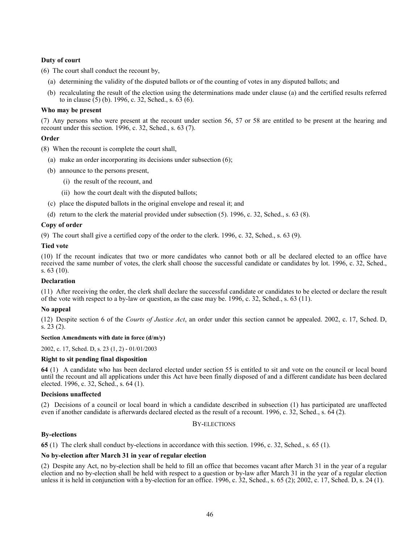# **Duty of court**

(6) The court shall conduct the recount by,

- (a) determining the validity of the disputed ballots or of the counting of votes in any disputed ballots; and
- (b) recalculating the result of the election using the determinations made under clause (a) and the certified results referred to in clause (5) (b). 1996, c. 32, Sched., s. 63 (6).

## **Who may be present**

(7) Any persons who were present at the recount under section 56, 57 or 58 are entitled to be present at the hearing and recount under this section. 1996, c. 32, Sched., s. 63 (7).

# **Order**

(8) When the recount is complete the court shall,

- (a) make an order incorporating its decisions under subsection (6);
- (b) announce to the persons present,
	- (i) the result of the recount, and
	- (ii) how the court dealt with the disputed ballots;
- (c) place the disputed ballots in the original envelope and reseal it; and
- (d) return to the clerk the material provided under subsection (5). 1996, c. 32, Sched., s. 63 (8).

# **Copy of order**

(9) The court shall give a certified copy of the order to the clerk. 1996, c. 32, Sched., s. 63 (9).

# **Tied vote**

(10) If the recount indicates that two or more candidates who cannot both or all be declared elected to an office have received the same number of votes, the clerk shall choose the successful candidate or candidates by lot. 1996, c. 32, Sched., s. 63 (10).

## **Declaration**

(11) After receiving the order, the clerk shall declare the successful candidate or candidates to be elected or declare the result of the vote with respect to a by-law or question, as the case may be. 1996, c. 32, Sched., s. 63 (11).

## **No appeal**

(12) Despite section 6 of the *Courts of Justice Act*, an order under this section cannot be appealed. 2002, c. 17, Sched. D, s. 23 (2).

## **Section Amendments with date in force (d/m/y)**

[2002, c. 17, Sched. D, s. 23 \(1, 2\)](http://www.ontario.ca/laws/statute/S02017#schedds23s1) - 01/01/2003

## **Right to sit pending final disposition**

**64** (1) A candidate who has been declared elected under section 55 is entitled to sit and vote on the council or local board until the recount and all applications under this Act have been finally disposed of and a different candidate has been declared elected. 1996, c. 32, Sched., s. 64 (1).

## **Decisions unaffected**

(2) Decisions of a council or local board in which a candidate described in subsection (1) has participated are unaffected even if another candidate is afterwards declared elected as the result of a recount. 1996, c. 32, Sched., s. 64 (2).

# BY-ELECTIONS

## **By-elections**

**65** (1) The clerk shall conduct by-elections in accordance with this section. 1996, c. 32, Sched., s. 65 (1).

## **No by-election after March 31 in year of regular election**

(2) Despite any Act, no by-election shall be held to fill an office that becomes vacant after March 31 in the year of a regular election and no by-election shall be held with respect to a question or by-law after March 31 in the year of a regular election unless it is held in conjunction with a by-election for an office. 1996, c.  $32$ , Sched., s.  $65$  (2); 2002, c. 17, Sched. D, s. 24 (1).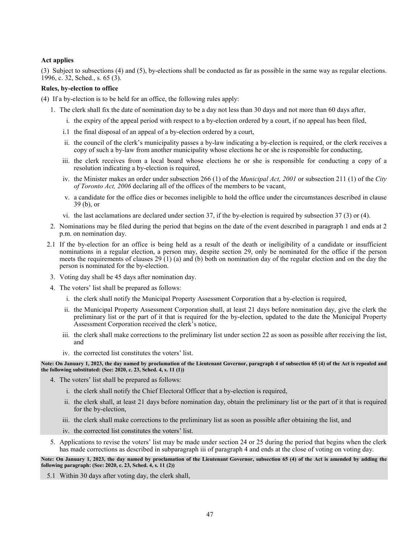# **Act applies**

(3) Subject to subsections (4) and (5), by-elections shall be conducted as far as possible in the same way as regular elections. 1996, c. 32, Sched., s. 65 (3).

## **Rules, by-election to office**

- (4) If a by-election is to be held for an office, the following rules apply:
	- 1. The clerk shall fix the date of nomination day to be a day not less than 30 days and not more than 60 days after,
		- i. the expiry of the appeal period with respect to a by-election ordered by a court, if no appeal has been filed,
		- i.1 the final disposal of an appeal of a by-election ordered by a court,
		- ii. the council of the clerk's municipality passes a by-law indicating a by-election is required, or the clerk receives a copy of such a by-law from another municipality whose elections he or she is responsible for conducting,
		- iii. the clerk receives from a local board whose elections he or she is responsible for conducting a copy of a resolution indicating a by-election is required,
		- iv. the Minister makes an order under subsection 266 (1) of the *Municipal Act, 2001* or subsection 211 (1) of the *City of Toronto Act, 2006* declaring all of the offices of the members to be vacant,
		- v. a candidate for the office dies or becomes ineligible to hold the office under the circumstances described in clause 39 (b), or
		- vi. the last acclamations are declared under section 37, if the by-election is required by subsection 37 (3) or (4).
	- 2. Nominations may be filed during the period that begins on the date of the event described in paragraph 1 and ends at 2 p.m. on nomination day.
	- 2.1 If the by-election for an office is being held as a result of the death or ineligibility of a candidate or insufficient nominations in a regular election, a person may, despite section 29, only be nominated for the office if the person meets the requirements of clauses 29 (1) (a) and (b) both on nomination day of the regular election and on the day the person is nominated for the by-election.
	- 3. Voting day shall be 45 days after nomination day.
	- 4. The voters' list shall be prepared as follows:
		- i. the clerk shall notify the Municipal Property Assessment Corporation that a by-election is required,
		- ii. the Municipal Property Assessment Corporation shall, at least 21 days before nomination day, give the clerk the preliminary list or the part of it that is required for the by-election, updated to the date the Municipal Property Assessment Corporation received the clerk's notice,
		- iii. the clerk shall make corrections to the preliminary list under section 22 as soon as possible after receiving the list, and
		- iv. the corrected list constitutes the voters' list.

**Note: On January 1, 2023, the day named by proclamation of the Lieutenant Governor, paragraph 4 of subsection 65 (4) of the Act is repealed and the following substituted: (See: 2020, c. 23, Sched. 4, s. 11 (1))**

- 4. The voters' list shall be prepared as follows:
	- i. the clerk shall notify the Chief Electoral Officer that a by-election is required,
	- ii. the clerk shall, at least 21 days before nomination day, obtain the preliminary list or the part of it that is required for the by-election,
	- iii. the clerk shall make corrections to the preliminary list as soon as possible after obtaining the list, and
	- iv. the corrected list constitutes the voters' list.
- 5. Applications to revise the voters' list may be made under section 24 or 25 during the period that begins when the clerk has made corrections as described in subparagraph iii of paragraph 4 and ends at the close of voting on voting day.

**Note: On January 1, 2023, the day named by proclamation of the Lieutenant Governor, subsection 65 (4) of the Act is amended by adding the following paragraph: (See: 2020, c. 23, Sched. 4, s. 11 (2))**

5.1 Within 30 days after voting day, the clerk shall,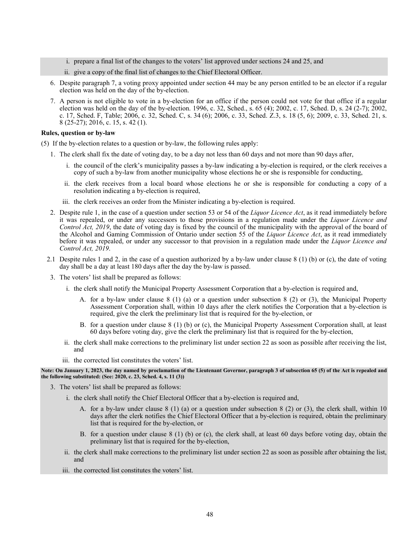- i. prepare a final list of the changes to the voters' list approved under sections 24 and 25, and
- ii. give a copy of the final list of changes to the Chief Electoral Officer.
- 6. Despite paragraph 7, a voting proxy appointed under section 44 may be any person entitled to be an elector if a regular election was held on the day of the by-election.
- 7. A person is not eligible to vote in a by-election for an office if the person could not vote for that office if a regular election was held on the day of the by-election. 1996, c. 32, Sched., s. 65 (4); 2002, c. 17, Sched. D, s. 24 (2-7); 2002, c. 17, Sched. F, Table; 2006, c. 32, Sched. C, s. 34 (6); 2006, c. 33, Sched. Z.3, s. 18 (5, 6); 2009, c. 33, Sched. 21, s. 8 (25-27); 2016, c. 15, s. 42 (1).

### **Rules, question or by-law**

- (5) If the by-election relates to a question or by-law, the following rules apply:
	- 1. The clerk shall fix the date of voting day, to be a day not less than 60 days and not more than 90 days after,
		- i. the council of the clerk's municipality passes a by-law indicating a by-election is required, or the clerk receives a copy of such a by-law from another municipality whose elections he or she is responsible for conducting,
		- ii. the clerk receives from a local board whose elections he or she is responsible for conducting a copy of a resolution indicating a by-election is required,
		- iii. the clerk receives an order from the Minister indicating a by-election is required.
	- 2. Despite rule 1, in the case of a question under section 53 or 54 of the *Liquor Licence Act*, as it read immediately before it was repealed, or under any successors to those provisions in a regulation made under the *Liquor Licence and Control Act, 2019*, the date of voting day is fixed by the council of the municipality with the approval of the board of the Alcohol and Gaming Commission of Ontario under section 55 of the *Liquor Licence Act*, as it read immediately before it was repealed, or under any successor to that provision in a regulation made under the *Liquor Licence and Control Act, 2019*.
	- 2.1 Despite rules 1 and 2, in the case of a question authorized by a by-law under clause  $8(1)$  (b) or (c), the date of voting day shall be a day at least 180 days after the day the by-law is passed.
	- 3. The voters' list shall be prepared as follows:
		- i. the clerk shall notify the Municipal Property Assessment Corporation that a by-election is required and,
			- A. for a by-law under clause 8 (1) (a) or a question under subsection 8 (2) or (3), the Municipal Property Assessment Corporation shall, within 10 days after the clerk notifies the Corporation that a by-election is required, give the clerk the preliminary list that is required for the by-election, or
			- B. for a question under clause 8 (1) (b) or (c), the Municipal Property Assessment Corporation shall, at least 60 days before voting day, give the clerk the preliminary list that is required for the by-election,
		- ii. the clerk shall make corrections to the preliminary list under section 22 as soon as possible after receiving the list, and
		- iii. the corrected list constitutes the voters' list.

### **Note: On January 1, 2023, the day named by proclamation of the Lieutenant Governor, paragraph 3 of subsection 65 (5) of the Act is repealed and the following substituted: (See: 2020, c. 23, Sched. 4, s. 11 (3))**

- 3. The voters' list shall be prepared as follows:
	- i. the clerk shall notify the Chief Electoral Officer that a by-election is required and,
		- A. for a by-law under clause 8 (1) (a) or a question under subsection 8 (2) or (3), the clerk shall, within 10 days after the clerk notifies the Chief Electoral Officer that a by-election is required, obtain the preliminary list that is required for the by-election, or
		- B. for a question under clause 8 (1) (b) or (c), the clerk shall, at least 60 days before voting day, obtain the preliminary list that is required for the by-election,
	- ii. the clerk shall make corrections to the preliminary list under section 22 as soon as possible after obtaining the list, and
	- iii. the corrected list constitutes the voters' list.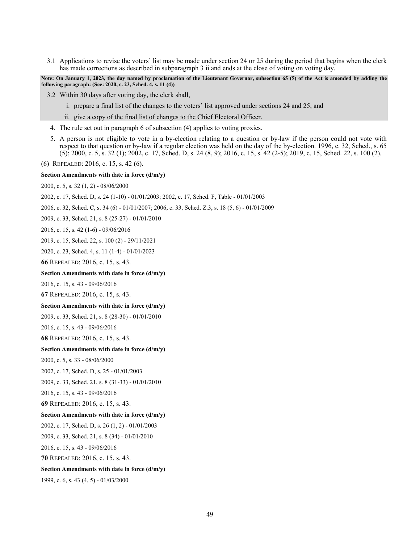3.1 Applications to revise the voters' list may be made under section 24 or 25 during the period that begins when the clerk has made corrections as described in subparagraph 3 ii and ends at the close of voting on voting day.

**Note: On January 1, 2023, the day named by proclamation of the Lieutenant Governor, subsection 65 (5) of the Act is amended by adding the following paragraph: (See: 2020, c. 23, Sched. 4, s. 11 (4))**

- 3.2 Within 30 days after voting day, the clerk shall,
	- i. prepare a final list of the changes to the voters' list approved under sections 24 and 25, and
	- ii. give a copy of the final list of changes to the Chief Electoral Officer.
- 4. The rule set out in paragraph 6 of subsection (4) applies to voting proxies.
- 5. A person is not eligible to vote in a by-election relating to a question or by-law if the person could not vote with respect to that question or by-law if a regular election was held on the day of the by-election. 1996, c. 32, Sched., s. 65 (5); 2000, c. 5, s. 32 (1); 2002, c. 17, Sched. D, s. 24 (8, 9); 2016, c. 15, s. 42 (2-5); 2019, c. 15, Sched. 22, s. 100 (2).
- (6) REPEALED: 2016, c. 15, s. 42 (6).

#### **Section Amendments with date in force (d/m/y)**

[2000, c. 5, s. 32 \(1, 2\)](http://www.ontario.ca/laws/statute/S00005#s32s1) - 08/06/2000

[2002, c. 17, Sched. D, s. 24 \(1-10\)](http://www.ontario.ca/laws/statute/S02017#schedds24s1) - 01/01/2003; [2002, c. 17, Sched. F, Table](http://www.ontario.ca/laws/statute/S02017#schedfs2) - 01/01/2003

- [2006, c. 32, Sched. C, s. 34 \(6\)](http://www.ontario.ca/laws/statute/S06032#schedcs34s6) 01/01/2007[; 2006, c. 33, Sched. Z.3,](http://www.ontario.ca/laws/statute/S06033#schedz3s18s5) s. 18 (5, 6) 01/01/2009
- [2009, c. 33, Sched. 21, s. 8 \(25-27\)](http://www.ontario.ca/laws/statute/S09033#sched21s8s25) 01/01/2010
- [2016, c. 15, s. 42 \(1-6\)](http://www.ontario.ca/laws/statute/S16015#s42s1) 09/06/2016
- [2019, c. 15, Sched. 22, s. 100 \(2\)](http://www.ontario.ca/laws/statute/S19015#sched22s100s2) 29/11/2021
- [2020, c. 23, Sched. 4, s. 11 \(1-4\)](http://www.ontario.ca/laws/statute/S20023#sched4s11s1) 01/01/2023

**66** REPEALED: 2016, c. 15, s. 43.

#### **Section Amendments with date in force (d/m/y)**

[2016, c. 15, s. 43](http://www.ontario.ca/laws/statute/S16015#s43) - 09/06/2016

**67** REPEALED: 2016, c. 15, s. 43.

### **Section Amendments with date in force (d/m/y)**

[2009, c. 33, Sched. 21, s. 8 \(28-30\)](http://www.ontario.ca/laws/statute/S09033#sched21s8s28) - 01/01/2010

[2016, c. 15, s. 43](http://www.ontario.ca/laws/statute/S16015#s43) - 09/06/2016

**68** REPEALED: 2016, c. 15, s. 43.

#### **Section Amendments with date in force (d/m/y)**

[2000, c.](http://www.ontario.ca/laws/statute/S00005#s33) 5, s. 33 - 08/06/2000

[2002, c. 17, Sched. D, s. 25](http://www.ontario.ca/laws/statute/S02017#schedds25) - 01/01/2003

[2009, c. 33, Sched. 21, s. 8 \(31-33\)](http://www.ontario.ca/laws/statute/S09033#sched21s8s31) - 01/01/2010

[2016, c. 15, s. 43](http://www.ontario.ca/laws/statute/S16015#s43) - 09/06/2016

**69** REPEALED: 2016, c. 15, s. 43.

#### **Section Amendments with date in force (d/m/y)**

[2002, c. 17, Sched. D, s. 26 \(1, 2\)](http://www.ontario.ca/laws/statute/S02017#schedds26s1) - 01/01/2003

[2009, c. 33, Sched. 21, s. 8 \(34\)](http://www.ontario.ca/laws/statute/S09033#sched21s8s34) - 01/01/2010

[2016, c. 15,](http://www.ontario.ca/laws/statute/S16015#s43) s. 43 - 09/06/2016

**70** REPEALED: 2016, c. 15, s. 43.

## **Section Amendments with date in force (d/m/y)**

1999, c. 6, s. 43 (4, 5) - 01/03/2000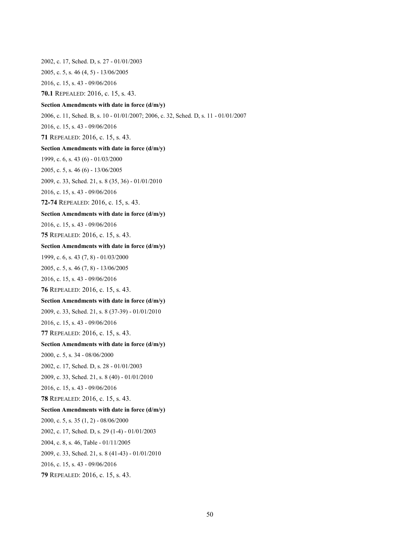[2002, c. 17, Sched. D, s. 27](http://www.ontario.ca/laws/statute/S02017#schedds27) - 01/01/2003 [2005, c. 5, s. 46 \(4, 5\)](http://www.ontario.ca/laws/statute/S05005#s46s4) - 13/06/2005 [2016, c. 15, s. 43](http://www.ontario.ca/laws/statute/S16015#s43) - 09/06/2016 **70.1** REPEALED: 2016, c. 15, s. 43. **Section Amendments with date in force (d/m/y)** [2006, c. 11, Sched. B,](http://www.ontario.ca/laws/statute/S06011#schedbs10) s. 10 - 01/01/2007[; 2006, c. 32, Sched. D, s. 11](http://www.ontario.ca/laws/statute/S06032#schedds11) - 01/01/2007 [2016, c. 15, s. 43](http://www.ontario.ca/laws/statute/S16015#s43) - 09/06/2016 **71** REPEALED: 2016, c. 15, s. 43. **Section Amendments with date in force (d/m/y)** 1999, c. 6, s. 43 (6) - 01/03/2000 [2005, c. 5, s. 46 \(6\)](http://www.ontario.ca/laws/statute/S05005#s46s6) - 13/06/2005 [2009, c. 33, Sched. 21, s. 8 \(35, 36\)](http://www.ontario.ca/laws/statute/S09033#sched21s8s35) - 01/01/2010 [2016, c. 15, s. 43](http://www.ontario.ca/laws/statute/S16015#s43) - 09/06/2016 **72-74** REPEALED: 2016, c. 15, s. 43. **Section Amendments with date in force (d/m/y)** 2016, c. [15, s. 43](http://www.ontario.ca/laws/statute/S16015#s43) - 09/06/2016 **75** REPEALED: 2016, c. 15, s. 43. **Section Amendments with date in force (d/m/y)** 1999, c. 6, s. 43 (7, 8) - 01/03/2000 [2005, c. 5, s. 46 \(7, 8\)](http://www.ontario.ca/laws/statute/S05005#s46s7) - 13/06/2005 [2016, c. 15, s. 43](http://www.ontario.ca/laws/statute/S16015#s43) - 09/06/2016 **76** REPEALED: 2016, c. 15, s. 43. **Section Amendments with date in force (d/m/y)** [2009, c. 33, Sched. 21, s. 8 \(37-39\)](http://www.ontario.ca/laws/statute/S09033#sched21s8s37) - 01/01/2010 [2016, c. 15, s. 43](http://www.ontario.ca/laws/statute/S16015#s43) - 09/06/2016 **77** REPEALED: 2016, c. 15, s. 43. **Section Amendments with date in force (d/m/y)** [2000, c. 5, s. 34](http://www.ontario.ca/laws/statute/S00005#s34) - 08/06/2000 [2002, c. 17, Sched. D, s. 28](http://www.ontario.ca/laws/statute/S02017#schedds28) - 01/01/2003 [2009, c. 33, Sched. 21, s. 8 \(40\)](http://www.ontario.ca/laws/statute/S09033#sched21s8s40) - 01/01/2010 [2016, c. 15, s. 43](http://www.ontario.ca/laws/statute/S16015#s43) - 09/06/2016 **78** REPEALED: 2016, c. 15, s. 43. **Section Amendments with date in force (d/m/y)** [2000, c.](http://www.ontario.ca/laws/statute/S00005#s35s1) 5, s. 35 (1, 2) - 08/06/2000 [2002, c. 17, Sched. D, s. 29 \(1-4\)](http://www.ontario.ca/laws/statute/S02017#schedds29s1) - 01/01/2003 [2004, c. 8, s. 46, Table](http://www.ontario.ca/laws/statute/S04008#s46s2) - 01/11/2005 [2009, c. 33, Sched. 21, s. 8 \(41-43\)](http://www.ontario.ca/laws/statute/S09033#sched21s8s41) - 01/01/2010 [2016, c. 15, s. 43](http://www.ontario.ca/laws/statute/S16015#s43) - 09/06/2016 **79** REPEALED: 2016, c. 15, s. 43.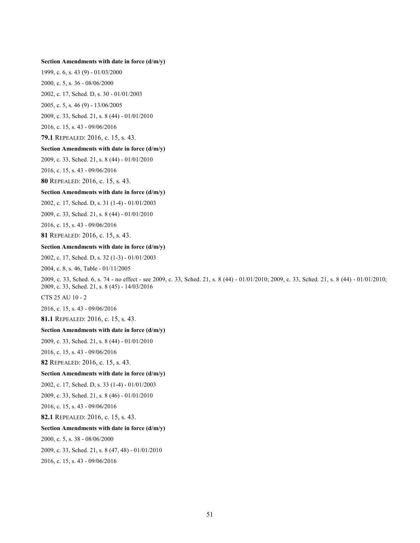#### **Section Amendments with date in force (d/m/y)**

1999, c. 6, s. 43 (9) - 01/03/2000

[2000, c. 5, s. 36](http://www.ontario.ca/laws/statute/S00005#s36) - 08/06/2000

[2002, c. 17, Sched. D, s. 30](http://www.ontario.ca/laws/statute/S02017#schedds30) - 01/01/2003

[2005, c. 5, s.](http://www.ontario.ca/laws/statute/S05005#s46s9) 46 (9) - 13/06/2005

[2009, c. 33, Sched. 21, s.](http://www.ontario.ca/laws/statute/S09033#sched21s8s44) 8 (44) - 01/01/2010

[2016, c. 15, s. 43](http://www.ontario.ca/laws/statute/S16015#s43) - 09/06/2016

**79.1** REPEALED: 2016, c. 15, s. 43.

### **Section Amendments with date in force (d/m/y)**

[2009, c. 33, Sched. 21, s. 8 \(44\)](http://www.ontario.ca/laws/statute/S09033#sched21s8s44) - 01/01/2010

[2016, c. 15, s. 43](http://www.ontario.ca/laws/statute/S16015#s43) - 09/06/2016

**80** REPEALED: 2016, c. 15, s. 43.

## **Section Amendments with date in force (d/m/y)**

[2002, c. 17, Sched. D, s. 31 \(1-4\)](http://www.ontario.ca/laws/statute/S02017#schedds31s1) - 01/01/2003

2009, c. 33, [Sched. 21, s. 8 \(44\)](http://www.ontario.ca/laws/statute/S09033#sched21s8s44) - 01/01/2010

[2016, c. 15, s. 43](http://www.ontario.ca/laws/statute/S16015#s43) - 09/06/2016

**81** REPEALED: 2016, c. 15, s. 43.

#### **Section Amendments with date in force (d/m/y)**

[2002, c. 17, Sched. D,](http://www.ontario.ca/laws/statute/S02017#schedds32s1) s. 32 (1-3) - 01/01/2003

[2004, c. 8, s. 46, Table](http://www.ontario.ca/laws/statute/S04008#s46s2) - 01/11/2005

[2009, c. 33, Sched. 6, s. 74](http://www.ontario.ca/laws/statute/S09033#sched6s74) - no effect - see [2009, c. 33, Sched. 21, s. 8 \(44\)](http://www.ontario.ca/laws/statute/S09033#sched21s8s44) - 01/01/2010; [2009, c. 33, Sched. 21, s. 8 \(44\)](http://www.ontario.ca/laws/statute/S09033#sched21s8s44) - 01/01/2010; [2009, c. 33, Sched. 21, s. 8 \(45\)](http://www.ontario.ca/laws/statute/S09033#sched21s8s45) - 14/03/2016

[CTS 25 AU 10 -](http://www.ontario.ca/laws/consolidated-statutes-change-notices) 2

[2016, c. 15, s. 43](http://www.ontario.ca/laws/statute/S16015#s43) - 09/06/2016

**81.1** REPEALED: 2016, c. 15, s. 43.

### **Section Amendments with date in force (d/m/y)**

[2009, c. 33, Sched. 21, s. 8 \(44\)](http://www.ontario.ca/laws/statute/S09033#sched21s8s44) - 01/01/2010

[2016, c. 15, s. 43](http://www.ontario.ca/laws/statute/S16015#s43) - 09/06/2016

**82** REPEALED: 2016, c. 15, s. 43.

### **Section Amendments with date in force (d/m/y)**

[2002, c. 17, Sched. D, s. 33 \(1-4\)](http://www.ontario.ca/laws/statute/S02017#schedds33s1) - 01/01/2003

[2009, c. 33, Sched. 21, s. 8 \(46\)](http://www.ontario.ca/laws/statute/S09033#sched21s8s46) - 01/01/2010

2016, [c. 15, s. 43](http://www.ontario.ca/laws/statute/S16015#s43) - 09/06/2016

**82.1** REPEALED: 2016, c. 15, s. 43.

#### **Section Amendments with date in force (d/m/y)**

[2000, c. 5, s. 38](http://www.ontario.ca/laws/statute/S00005#s38) - 08/06/2000

[2009, c. 33, Sched. 21, s. 8 \(47, 48\)](http://www.ontario.ca/laws/statute/S09033#sched21s8s47) - 01/01/2010

[2016, c. 15, s. 43](http://www.ontario.ca/laws/statute/S16015#s43) - 09/06/2016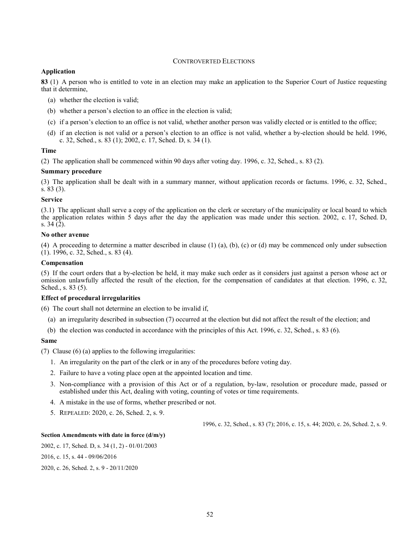# CONTROVERTED ELECTIONS

# **Application**

**83** (1) A person who is entitled to vote in an election may make an application to the Superior Court of Justice requesting that it determine,

- (a) whether the election is valid;
- (b) whether a person's election to an office in the election is valid;
- (c) if a person's election to an office is not valid, whether another person was validly elected or is entitled to the office;
- (d) if an election is not valid or a person's election to an office is not valid, whether a by-election should be held. 1996, c. 32, Sched., s. 83 (1); 2002, c. 17, Sched. D, s. 34 (1).

# **Time**

(2) The application shall be commenced within 90 days after voting day. 1996, c. 32, Sched., s. 83 (2).

### **Summary procedure**

(3) The application shall be dealt with in a summary manner, without application records or factums. 1996, c. 32, Sched., s. 83 (3).

### **Service**

(3.1) The applicant shall serve a copy of the application on the clerk or secretary of the municipality or local board to which the application relates within 5 days after the day the application was made under this section. 2002, c. 17, Sched. D, s. 34 (2).

## **No other avenue**

(4) A proceeding to determine a matter described in clause (1) (a), (b), (c) or (d) may be commenced only under subsection  $(1)$ . 1996, c. 32, Sched., s. 83 (4).

## **Compensation**

(5) If the court orders that a by-election be held, it may make such order as it considers just against a person whose act or omission unlawfully affected the result of the election, for the compensation of candidates at that election. 1996, c. 32, Sched., s. 83 (5).

## **Effect of procedural irregularities**

(6) The court shall not determine an election to be invalid if,

- (a) an irregularity described in subsection (7) occurred at the election but did not affect the result of the election; and
- (b) the election was conducted in accordance with the principles of this Act. 1996, c. 32, Sched., s. 83 (6).

## **Same**

(7) Clause (6) (a) applies to the following irregularities:

- 1. An irregularity on the part of the clerk or in any of the procedures before voting day.
- 2. Failure to have a voting place open at the appointed location and time.
- 3. Non-compliance with a provision of this Act or of a regulation, by-law, resolution or procedure made, passed or established under this Act, dealing with voting, counting of votes or time requirements.
- 4. A mistake in the use of forms, whether prescribed or not.
- 5. REPEALED: 2020, c. 26, Sched. 2, s. 9.

1996, c. 32, Sched., s. 83 (7); 2016, c. 15, s. 44; 2020, c. 26, Sched. 2, s. 9.

## **Section Amendments with date in force (d/m/y)**

[2002, c. 17, Sched. D, s. 34 \(1, 2\)](http://www.ontario.ca/laws/statute/S02017#schedds34s1) - 01/01/2003

[2016, c. 15, s. 44](http://www.ontario.ca/laws/statute/S16015#s44) - 09/06/2016

[2020, c. 26, Sched. 2, s. 9](http://www.ontario.ca/laws/statute/S20026#sched2s9) - 20/11/2020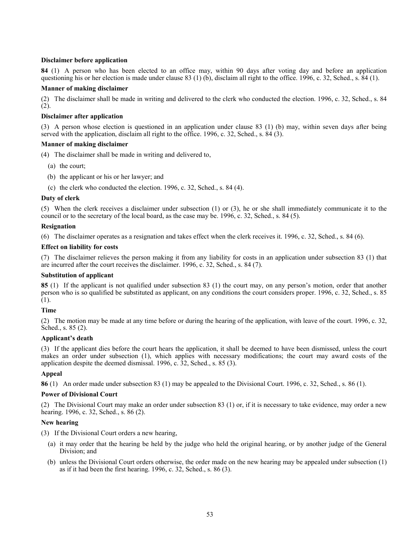# **Disclaimer before application**

**84** (1) A person who has been elected to an office may, within 90 days after voting day and before an application questioning his or her election is made under clause 83 (1) (b), disclaim all right to the office. 1996, c. 32, Sched., s. 84 (1).

## **Manner of making disclaimer**

(2) The disclaimer shall be made in writing and delivered to the clerk who conducted the election. 1996, c. 32, Sched., s. 84 (2).

# **Disclaimer after application**

(3) A person whose election is questioned in an application under clause 83 (1) (b) may, within seven days after being served with the application, disclaim all right to the office. 1996, c. 32, Sched., s. 84 (3).

## **Manner of making disclaimer**

(4) The disclaimer shall be made in writing and delivered to,

- (a) the court;
- (b) the applicant or his or her lawyer; and
- (c) the clerk who conducted the election. 1996, c. 32, Sched., s. 84 (4).

# **Duty of clerk**

(5) When the clerk receives a disclaimer under subsection (1) or (3), he or she shall immediately communicate it to the council or to the secretary of the local board, as the case may be. 1996, c. 32, Sched., s. 84 (5).

## **Resignation**

(6) The disclaimer operates as a resignation and takes effect when the clerk receives it. 1996, c. 32, Sched., s. 84 (6).

## **Effect on liability for costs**

(7) The disclaimer relieves the person making it from any liability for costs in an application under subsection 83 (1) that are incurred after the court receives the disclaimer. 1996, c. 32, Sched., s. 84 (7).

# **Substitution of applicant**

**85** (1) If the applicant is not qualified under subsection 83 (1) the court may, on any person's motion, order that another person who is so qualified be substituted as applicant, on any conditions the court considers proper. 1996, c. 32, Sched., s. 85 (1).

## **Time**

(2) The motion may be made at any time before or during the hearing of the application, with leave of the court. 1996, c. 32, Sched., s. 85 (2).

# **Applicant's death**

(3) If the applicant dies before the court hears the application, it shall be deemed to have been dismissed, unless the court makes an order under subsection (1), which applies with necessary modifications; the court may award costs of the application despite the deemed dismissal. 1996, c. 32, Sched., s. 85 (3).

# **Appeal**

**86** (1) An order made under subsection 83 (1) may be appealed to the Divisional Court. 1996, c. 32, Sched., s. 86 (1).

## **Power of Divisional Court**

(2) The Divisional Court may make an order under subsection 83 (1) or, if it is necessary to take evidence, may order a new hearing. 1996, c. 32, Sched., s. 86 (2).

# **New hearing**

(3) If the Divisional Court orders a new hearing,

- (a) it may order that the hearing be held by the judge who held the original hearing, or by another judge of the General Division; and
- (b) unless the Divisional Court orders otherwise, the order made on the new hearing may be appealed under subsection (1) as if it had been the first hearing. 1996, c. 32, Sched., s. 86 (3).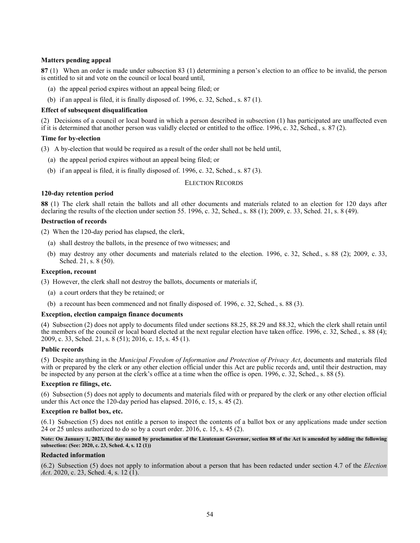# **Matters pending appeal**

**87** (1) When an order is made under subsection 83 (1) determining a person's election to an office to be invalid, the person is entitled to sit and vote on the council or local board until,

- (a) the appeal period expires without an appeal being filed; or
- (b) if an appeal is filed, it is finally disposed of. 1996, c. 32, Sched., s. 87 (1).

# **Effect of subsequent disqualification**

(2) Decisions of a council or local board in which a person described in subsection (1) has participated are unaffected even if it is determined that another person was validly elected or entitled to the office. 1996, c. 32, Sched., s. 87 (2).

## **Time for by-election**

(3) A by-election that would be required as a result of the order shall not be held until,

- (a) the appeal period expires without an appeal being filed; or
- (b) if an appeal is filed, it is finally disposed of. 1996, c. 32, Sched., s. 87 (3).

### ELECTION RECORDS

## **120-day retention period**

**88** (1) The clerk shall retain the ballots and all other documents and materials related to an election for 120 days after declaring the results of the election under section 55. 1996, c. 32, Sched., s. 88 (1); 2009, c. 33, Sched. 21, s. 8 (49).

### **Destruction of records**

(2) When the 120-day period has elapsed, the clerk,

- (a) shall destroy the ballots, in the presence of two witnesses; and
- (b) may destroy any other documents and materials related to the election. 1996, c. 32, Sched., s. 88 (2); 2009, c. 33, Sched. 21, s. 8 (50).

# **Exception, recount**

(3) However, the clerk shall not destroy the ballots, documents or materials if,

- (a) a court orders that they be retained; or
- (b) a recount has been commenced and not finally disposed of. 1996, c. 32, Sched., s. 88 (3).

## **Exception, election campaign finance documents**

(4) Subsection (2) does not apply to documents filed under sections 88.25, 88.29 and 88.32, which the clerk shall retain until the members of the council or local board elected at the next regular election have taken office. 1996, c. 32, Sched., s. 88 (4); 2009, c. 33, Sched. 21, s. 8 (51); 2016, c. 15, s. 45 (1).

## **Public records**

(5) Despite anything in the *Municipal Freedom of Information and Protection of Privacy Act*, documents and materials filed with or prepared by the clerk or any other election official under this Act are public records and, until their destruction, may be inspected by any person at the clerk's office at a time when the office is open. 1996, c. 32, Sched., s. 88 (5).

# **Exception re filings, etc.**

(6) Subsection (5) does not apply to documents and materials filed with or prepared by the clerk or any other election official under this Act once the 120-day period has elapsed. 2016, c. 15, s. 45 (2).

### **Exception re ballot box, etc.**

(6.1) Subsection (5) does not entitle a person to inspect the contents of a ballot box or any applications made under section 24 or 25 unless authorized to do so by a court order. 2016, c. 15, s. 45 (2).

**Note: On January 1, 2023, the day named by proclamation of the Lieutenant Governor, section 88 of the Act is amended by adding the following subsection: (See: 2020, c. 23, Sched. 4, s. 12 (1))**

#### **Redacted information**

(6.2) Subsection (5) does not apply to information about a person that has been redacted under section 4.7 of the *Election Act*. 2020, c. 23, Sched. 4, s. 12 (1).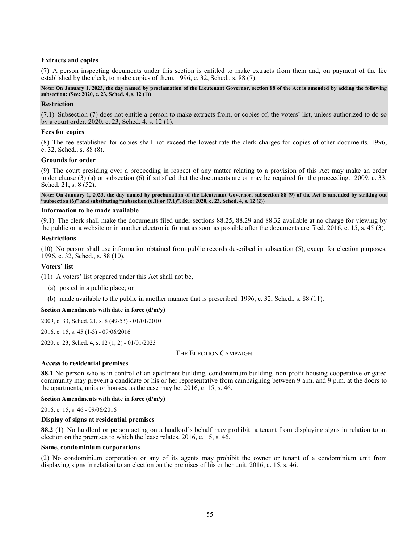## **Extracts and copies**

(7) A person inspecting documents under this section is entitled to make extracts from them and, on payment of the fee established by the clerk, to make copies of them. 1996, c. 32, Sched., s. 88 (7).

### **Note: On January 1, 2023, the day named by proclamation of the Lieutenant Governor, section 88 of the Act is amended by adding the following subsection: (See: 2020, c. 23, Sched. 4, s. 12 (1))**

### **Restriction**

(7.1) Subsection (7) does not entitle a person to make extracts from, or copies of, the voters' list, unless authorized to do so by a court order. 2020, c. 23, Sched. 4, s. 12 (1).

### **Fees for copies**

(8) The fee established for copies shall not exceed the lowest rate the clerk charges for copies of other documents. 1996, c. 32, Sched., s. 88 (8).

### **Grounds for order**

(9) The court presiding over a proceeding in respect of any matter relating to a provision of this Act may make an order under clause  $(3)$  (a) or subsection  $(6)$  if satisfied that the documents are or may be required for the proceeding. 2009, c. 33, Sched. 21, s. 8 (52).

**Note: On January 1, 2023, the day named by proclamation of the Lieutenant Governor, subsection 88 (9) of the Act is amended by striking out "subsection (6)" and substituting "subsection (6.1) or (7.1)". (See: 2020, c. 23, Sched. 4, s. 12 (2))**

## **Information to be made available**

(9.1) The clerk shall make the documents filed under sections 88.25, 88.29 and 88.32 available at no charge for viewing by the public on a website or in another electronic format as soon as possible after the documents are filed. 2016, c. 15, s. 45 (3).

### **Restrictions**

(10) No person shall use information obtained from public records described in subsection (5), except for election purposes. 1996, c. 32, Sched., s. 88 (10).

### **Voters' list**

(11) A voters' list prepared under this Act shall not be,

- (a) posted in a public place; or
- (b) made available to the public in another manner that is prescribed. 1996, c. 32, Sched., s. 88 (11).

# **Section Amendments with date in force (d/m/y)**

[2009, c. 33, Sched. 21, s. 8 \(49-53\)](http://www.ontario.ca/laws/statute/S09033#sched21s8s49) - 01/01/2010

[2016, c. 15, s. 45 \(1-3\)](http://www.ontario.ca/laws/statute/S16015#s45s1) - 09/06/2016

[2020, c. 23, Sched. 4, s. 12 \(1, 2\)](http://www.ontario.ca/laws/statute/S20023#sched4s12s1) - 01/01/2023

## THE ELECTION CAMPAIGN

#### **Access to residential premises**

**88.1** No person who is in control of an apartment building, condominium building, non-profit housing cooperative or gated community may prevent a candidate or his or her representative from campaigning between 9 a.m. and 9 p.m. at the doors to the apartments, units or houses, as the case may be. 2016, c. 15, s. 46.

### **Section Amendments with date in force (d/m/y)**

[2016, c. 15, s. 46](http://www.ontario.ca/laws/statute/S16015#s46) - 09/06/2016

### **Display of signs at residential premises**

**88.2** (1) No landlord or person acting on a landlord's behalf may prohibit a tenant from displaying signs in relation to an election on the premises to which the lease relates. 2016, c. 15, s. 46.

### **Same, condominium corporations**

(2) No condominium corporation or any of its agents may prohibit the owner or tenant of a condominium unit from displaying signs in relation to an election on the premises of his or her unit. 2016, c. 15, s. 46.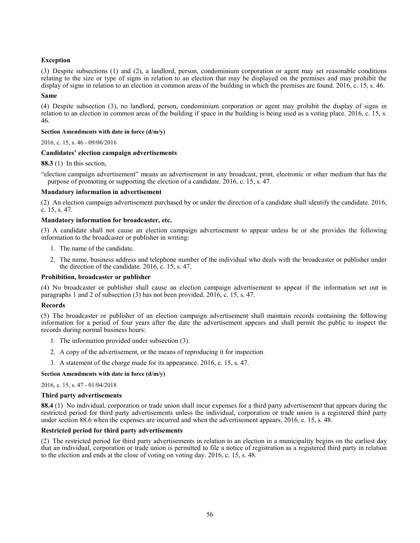# **Exception**

(3) Despite subsections (1) and (2), a landlord, person, condominium corporation or agent may set reasonable conditions relating to the size or type of signs in relation to an election that may be displayed on the premises and may prohibit the display of signs in relation to an election in common areas of the building in which the premises are found. 2016, c. 15, s. 46.

#### **Same**

(4) Despite subsection (3), no landlord, person, condominium corporation or agent may prohibit the display of signs in relation to an election in common areas of the building if space in the building is being used as a voting place. 2016, c. 15, s. 46.

### **Section Amendments with date in force (d/m/y)**

[2016, c. 15, s. 46](http://www.ontario.ca/laws/statute/S16015#s46) - 09/06/2016

## **Candidates' election campaign advertisements**

## **88.3** (1) In this section,

"election campaign advertisement" means an advertisement in any broadcast, print, electronic or other medium that has the purpose of promoting or supporting the election of a candidate. 2016, c. 15, s. 47.

## **Mandatory information in advertisement**

(2) An election campaign advertisement purchased by or under the direction of a candidate shall identify the candidate. 2016, c. 15, s. 47.

## **Mandatory information for broadcaster, etc.**

(3) A candidate shall not cause an election campaign advertisement to appear unless he or she provides the following information to the broadcaster or publisher in writing:

- 1. The name of the candidate.
- 2. The name, business address and telephone number of the individual who deals with the broadcaster or publisher under the direction of the candidate. 2016, c. 15, s. 47.

## **Prohibition, broadcaster or publisher**

(4) No broadcaster or publisher shall cause an election campaign advertisement to appear if the information set out in paragraphs 1 and 2 of subsection (3) has not been provided. 2016, c. 15, s. 47.

## **Records**

(5) The broadcaster or publisher of an election campaign advertisement shall maintain records containing the following information for a period of four years after the date the advertisement appears and shall permit the public to inspect the records during normal business hours:

- 1. The information provided under subsection (3).
- 2. A copy of the advertisement, or the means of reproducing it for inspection.
- 3. A statement of the charge made for its appearance. 2016, c. 15, s. 47.

## **Section Amendments with date in force (d/m/y)**

[2016, c. 15, s. 47](http://www.ontario.ca/laws/statute/S16015#s47) - 01/04/2018

#### **Third party advertisements**

**88.4** (1) No individual, corporation or trade union shall incur expenses for a third party advertisement that appears during the restricted period for third party advertisements unless the individual, corporation or trade union is a registered third party under section 88.6 when the expenses are incurred and when the advertisement appears. 2016, c. 15, s. 48.

#### **Restricted period for third party advertisements**

(2) The restricted period for third party advertisements in relation to an election in a municipality begins on the earliest day that an individual, corporation or trade union is permitted to file a notice of registration as a registered third party in relation to the election and ends at the close of voting on voting day. 2016, c. 15, s. 48.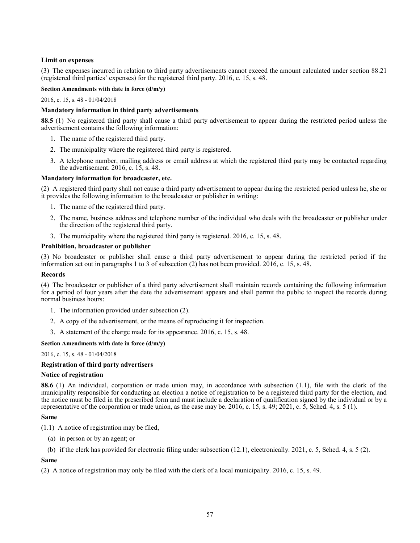# **Limit on expenses**

(3) The expenses incurred in relation to third party advertisements cannot exceed the amount calculated under section 88.21 (registered third parties' expenses) for the registered third party. 2016, c. 15, s. 48.

## **Section Amendments with date in force (d/m/y)**

[2016, c. 15, s. 48](http://www.ontario.ca/laws/statute/S16015#s48) - 01/04/2018

# **Mandatory information in third party advertisements**

**88.5** (1) No registered third party shall cause a third party advertisement to appear during the restricted period unless the advertisement contains the following information:

- 1. The name of the registered third party.
- 2. The municipality where the registered third party is registered.
- 3. A telephone number, mailing address or email address at which the registered third party may be contacted regarding the advertisement. 2016, c. 15, s. 48.

# **Mandatory information for broadcaster, etc.**

(2) A registered third party shall not cause a third party advertisement to appear during the restricted period unless he, she or it provides the following information to the broadcaster or publisher in writing:

- 1. The name of the registered third party.
- 2. The name, business address and telephone number of the individual who deals with the broadcaster or publisher under the direction of the registered third party.
- 3. The municipality where the registered third party is registered. 2016, c. 15, s. 48.

## **Prohibition, broadcaster or publisher**

(3) No broadcaster or publisher shall cause a third party advertisement to appear during the restricted period if the information set out in paragraphs 1 to 3 of subsection (2) has not been provided. 2016, c. 15, s. 48.

## **Records**

(4) The broadcaster or publisher of a third party advertisement shall maintain records containing the following information for a period of four years after the date the advertisement appears and shall permit the public to inspect the records during normal business hours:

- 1. The information provided under subsection (2).
- 2. A copy of the advertisement, or the means of reproducing it for inspection.
- 3. A statement of the charge made for its appearance. 2016, c. 15, s. 48.

## **Section Amendments with date in force (d/m/y)**

## [2016, c. 15, s. 48](http://www.ontario.ca/laws/statute/S16015#s48) - 01/04/2018

# **Registration of third party advertisers**

## **Notice of registration**

**88.6** (1) An individual, corporation or trade union may, in accordance with subsection (1.1), file with the clerk of the municipality responsible for conducting an election a notice of registration to be a registered third party for the election, and the notice must be filed in the prescribed form and must include a declaration of qualification signed by the individual or by a representative of the corporation or trade union, as the case may be. 2016, c. 15, s. 49; 2021, c. 5, Sched. 4, s. 5 (1).

## **Same**

(1.1) A notice of registration may be filed,

- (a) in person or by an agent; or
- (b) if the clerk has provided for electronic filing under subsection (12.1), electronically. 2021, c. 5, Sched. 4, s. 5 (2).

## **Same**

(2) A notice of registration may only be filed with the clerk of a local municipality. 2016, c. 15, s. 49.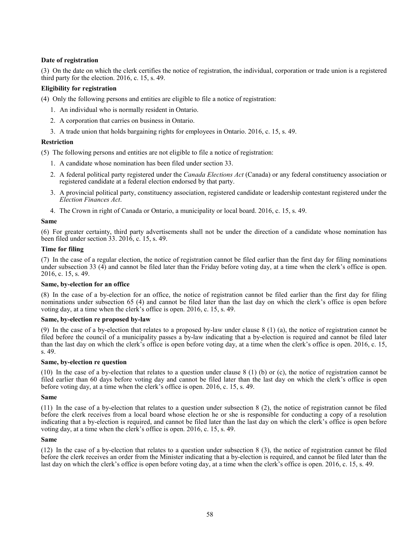# **Date of registration**

(3) On the date on which the clerk certifies the notice of registration, the individual, corporation or trade union is a registered third party for the election. 2016, c. 15, s. 49.

# **Eligibility for registration**

(4) Only the following persons and entities are eligible to file a notice of registration:

- 1. An individual who is normally resident in Ontario.
- 2. A corporation that carries on business in Ontario.
- 3. A trade union that holds bargaining rights for employees in Ontario. 2016, c. 15, s. 49.

## **Restriction**

(5) The following persons and entities are not eligible to file a notice of registration:

- 1. A candidate whose nomination has been filed under section 33.
- 2. A federal political party registered under the *Canada Elections Act* (Canada) or any federal constituency association or registered candidate at a federal election endorsed by that party.
- 3. A provincial political party, constituency association, registered candidate or leadership contestant registered under the *Election Finances Act*.
- 4. The Crown in right of Canada or Ontario, a municipality or local board. 2016, c. 15, s. 49.

## **Same**

(6) For greater certainty, third party advertisements shall not be under the direction of a candidate whose nomination has been filed under section 33. 2016, c. 15, s. 49.

## **Time for filing**

(7) In the case of a regular election, the notice of registration cannot be filed earlier than the first day for filing nominations under subsection 33 (4) and cannot be filed later than the Friday before voting day, at a time when the clerk's office is open. 2016, c. 15, s. 49.

## **Same, by-election for an office**

(8) In the case of a by-election for an office, the notice of registration cannot be filed earlier than the first day for filing nominations under subsection 65 (4) and cannot be filed later than the last day on which the clerk's office is open before voting day, at a time when the clerk's office is open. 2016, c. 15, s. 49.

# **Same, by-election re proposed by-law**

(9) In the case of a by-election that relates to a proposed by-law under clause 8 (1) (a), the notice of registration cannot be filed before the council of a municipality passes a by-law indicating that a by-election is required and cannot be filed later than the last day on which the clerk's office is open before voting day, at a time when the clerk's office is open. 2016, c. 15, s. 49.

## **Same, by-election re question**

(10) In the case of a by-election that relates to a question under clause 8 (1) (b) or (c), the notice of registration cannot be filed earlier than 60 days before voting day and cannot be filed later than the last day on which the clerk's office is open before voting day, at a time when the clerk's office is open. 2016, c. 15, s. 49.

## **Same**

(11) In the case of a by-election that relates to a question under subsection 8 (2), the notice of registration cannot be filed before the clerk receives from a local board whose election he or she is responsible for conducting a copy of a resolution indicating that a by-election is required, and cannot be filed later than the last day on which the clerk's office is open before voting day, at a time when the clerk's office is open. 2016, c. 15, s. 49.

## **Same**

(12) In the case of a by-election that relates to a question under subsection 8 (3), the notice of registration cannot be filed before the clerk receives an order from the Minister indicating that a by-election is required, and cannot be filed later than the last day on which the clerk's office is open before voting day, at a time when the clerk's office is open. 2016, c. 15, s. 49.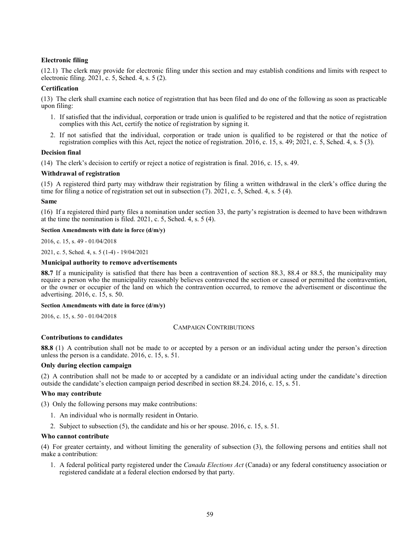# **Electronic filing**

(12.1) The clerk may provide for electronic filing under this section and may establish conditions and limits with respect to electronic filing. 2021, c. 5, Sched. 4, s. 5 (2).

# **Certification**

(13) The clerk shall examine each notice of registration that has been filed and do one of the following as soon as practicable upon filing:

- 1. If satisfied that the individual, corporation or trade union is qualified to be registered and that the notice of registration complies with this Act, certify the notice of registration by signing it.
- 2. If not satisfied that the individual, corporation or trade union is qualified to be registered or that the notice of registration complies with this Act, reject the notice of registration. 2016, c. 15, s. 49; 2021, c. 5, Sched. 4, s. 5 (3).

## **Decision final**

(14) The clerk's decision to certify or reject a notice of registration is final. 2016, c. 15, s. 49.

# **Withdrawal of registration**

(15) A registered third party may withdraw their registration by filing a written withdrawal in the clerk's office during the time for filing a notice of registration set out in subsection (7). 2021, c. 5, Sched. 4, s. 5 (4).

## **Same**

(16) If a registered third party files a nomination under section 33, the party's registration is deemed to have been withdrawn at the time the nomination is filed. 2021, c. 5, Sched. 4, s. 5 (4).

## **Section Amendments with date in force (d/m/y)**

[2016, c. 15, s. 49](http://www.ontario.ca/laws/statute/S16015#s49) - 01/04/2018

[2021, c. 5, Sched. 4, s. 5 \(1-4\)](http://www.ontario.ca/laws/statute/S21005#sched4s5s1) - 19/04/2021

## **Municipal authority to remove advertisements**

**88.7** If a municipality is satisfied that there has been a contravention of section 88.3, 88.4 or 88.5, the municipality may require a person who the municipality reasonably believes contravened the section or caused or permitted the contravention, or the owner or occupier of the land on which the contravention occurred, to remove the advertisement or discontinue the advertising. 2016, c. 15, s. 50.

# **Section Amendments with date in force (d/m/y)**

[2016, c. 15, s. 50](http://www.ontario.ca/laws/statute/S16015#s50) - 01/04/2018

## CAMPAIGN CONTRIBUTIONS

# **Contributions to candidates**

**88.8** (1) A contribution shall not be made to or accepted by a person or an individual acting under the person's direction unless the person is a candidate. 2016, c. 15, s. 51.

# **Only during election campaign**

(2) A contribution shall not be made to or accepted by a candidate or an individual acting under the candidate's direction outside the candidate's election campaign period described in section 88.24. 2016, c. 15, s. 51.

## **Who may contribute**

(3) Only the following persons may make contributions:

- 1. An individual who is normally resident in Ontario.
- 2. Subject to subsection (5), the candidate and his or her spouse. 2016, c. 15, s. 51.

## **Who cannot contribute**

(4) For greater certainty, and without limiting the generality of subsection (3), the following persons and entities shall not make a contribution:

1. A federal political party registered under the *Canada Elections Act* (Canada) or any federal constituency association or registered candidate at a federal election endorsed by that party.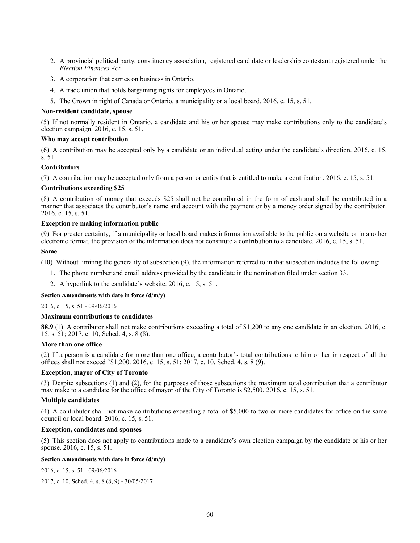- 2. A provincial political party, constituency association, registered candidate or leadership contestant registered under the *Election Finances Act*.
- 3. A corporation that carries on business in Ontario.
- 4. A trade union that holds bargaining rights for employees in Ontario.
- 5. The Crown in right of Canada or Ontario, a municipality or a local board. 2016, c. 15, s. 51.

#### **Non-resident candidate, spouse**

(5) If not normally resident in Ontario, a candidate and his or her spouse may make contributions only to the candidate's election campaign. 2016, c. 15, s. 51.

# **Who may accept contribution**

(6) A contribution may be accepted only by a candidate or an individual acting under the candidate's direction. 2016, c. 15, s. 51.

# **Contributors**

(7) A contribution may be accepted only from a person or entity that is entitled to make a contribution. 2016, c. 15, s. 51.

### **Contributions exceeding \$25**

(8) A contribution of money that exceeds \$25 shall not be contributed in the form of cash and shall be contributed in a manner that associates the contributor's name and account with the payment or by a money order signed by the contributor. 2016, c. 15, s. 51.

### **Exception re making information public**

(9) For greater certainty, if a municipality or local board makes information available to the public on a website or in another electronic format, the provision of the information does not constitute a contribution to a candidate. 2016, c. 15, s. 51.

### **Same**

(10) Without limiting the generality of subsection (9), the information referred to in that subsection includes the following:

- 1. The phone number and email address provided by the candidate in the nomination filed under section 33.
- 2. A hyperlink to the candidate's website. 2016, c. 15, s. 51.

### **Section Amendments with date in force (d/m/y)**

[2016, c. 15, s. 51](http://www.ontario.ca/laws/statute/S16015#s51) - 09/06/2016

## **Maximum contributions to candidates**

**88.9** (1) A contributor shall not make contributions exceeding a total of \$1,200 to any one candidate in an election. 2016, c. 15, s. 51; 2017, c. 10, Sched. 4, s. 8 (8).

#### **More than one office**

(2) If a person is a candidate for more than one office, a contributor's total contributions to him or her in respect of all the offices shall not exceed "\$1,200. 2016, c. 15, s. 51; 2017, c. 10, Sched. 4, s. 8 (9).

# **Exception, mayor of City of Toronto**

(3) Despite subsections (1) and (2), for the purposes of those subsections the maximum total contribution that a contributor may make to a candidate for the office of mayor of the City of Toronto is \$2,500. 2016, c. 15, s. 51.

## **Multiple candidates**

(4) A contributor shall not make contributions exceeding a total of \$5,000 to two or more candidates for office on the same council or local board. 2016, c. 15, s. 51.

## **Exception, candidates and spouses**

(5) This section does not apply to contributions made to a candidate's own election campaign by the candidate or his or her spouse. 2016, c. 15, s. 51.

# **Section Amendments with date in force (d/m/y)**

[2016, c. 15, s. 51](http://www.ontario.ca/laws/statute/S16015#s51) - 09/06/2016

[2017, c. 10, Sched. 4, s. 8 \(8, 9\)](http://www.ontario.ca/laws/statute/S17010#sched4s8s8) - 30/05/2017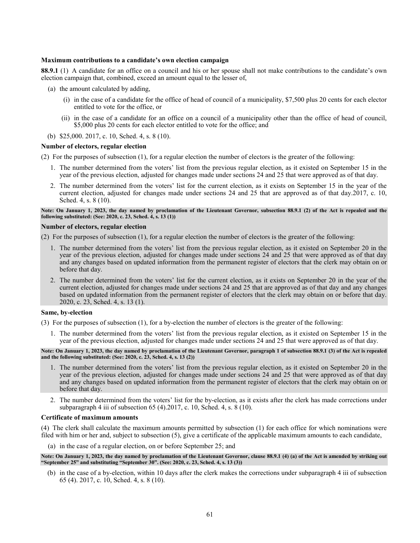### **Maximum contributions to a candidate's own election campaign**

**88.9.1** (1) A candidate for an office on a council and his or her spouse shall not make contributions to the candidate's own election campaign that, combined, exceed an amount equal to the lesser of,

- (a) the amount calculated by adding,
	- (i) in the case of a candidate for the office of head of council of a municipality, \$7,500 plus 20 cents for each elector entitled to vote for the office, or
	- (ii) in the case of a candidate for an office on a council of a municipality other than the office of head of council, \$5,000 plus 20 cents for each elector entitled to vote for the office; and
- (b) \$25,000. 2017, c. 10, Sched. 4, s. 8 (10).

#### **Number of electors, regular election**

(2) For the purposes of subsection (1), for a regular election the number of electors is the greater of the following:

- 1. The number determined from the voters' list from the previous regular election, as it existed on September 15 in the year of the previous election, adjusted for changes made under sections 24 and 25 that were approved as of that day.
- 2. The number determined from the voters' list for the current election, as it exists on September 15 in the year of the current election, adjusted for changes made under sections 24 and 25 that are approved as of that day.2017, c. 10, Sched. 4, s. 8 (10).

#### **Note: On January 1, 2023, the day named by proclamation of the Lieutenant Governor, subsection 88.9.1 (2) of the Act is repealed and the following substituted: (See: 2020, c. 23, Sched. 4, s. 13 (1))**

### **Number of electors, regular election**

(2) For the purposes of subsection (1), for a regular election the number of electors is the greater of the following:

- 1. The number determined from the voters' list from the previous regular election, as it existed on September 20 in the year of the previous election, adjusted for changes made under sections 24 and 25 that were approved as of that day and any changes based on updated information from the permanent register of electors that the clerk may obtain on or before that day.
- 2. The number determined from the voters' list for the current election, as it exists on September 20 in the year of the current election, adjusted for changes made under sections 24 and 25 that are approved as of that day and any changes based on updated information from the permanent register of electors that the clerk may obtain on or before that day. 2020, c. 23, Sched. 4, s. 13 (1).

#### **Same, by-election**

(3) For the purposes of subsection (1), for a by-election the number of electors is the greater of the following:

1. The number determined from the voters' list from the previous regular election, as it existed on September 15 in the year of the previous election, adjusted for changes made under sections 24 and 25 that were approved as of that day.

**Note: On January 1, 2023, the day named by proclamation of the Lieutenant Governor, paragraph 1 of subsection 88.9.1 (3) of the Act is repealed and the following substituted: (See: 2020, c. 23, Sched. 4, s. 13 (2))**

- 1. The number determined from the voters' list from the previous regular election, as it existed on September 20 in the year of the previous election, adjusted for changes made under sections 24 and 25 that were approved as of that day and any changes based on updated information from the permanent register of electors that the clerk may obtain on or before that day.
- 2. The number determined from the voters' list for the by-election, as it exists after the clerk has made corrections under subparagraph 4 iii of subsection 65 (4).2017, c. 10, Sched. 4, s. 8 (10).

#### **Certificate of maximum amounts**

(4) The clerk shall calculate the maximum amounts permitted by subsection (1) for each office for which nominations were filed with him or her and, subject to subsection (5), give a certificate of the applicable maximum amounts to each candidate,

(a) in the case of a regular election, on or before September 25; and

**Note: On January 1, 2023, the day named by proclamation of the Lieutenant Governor, clause 88.9.1 (4) (a) of the Act is amended by striking out "September 25" and substituting "September 30". (See: 2020, c. 23, Sched. 4, s. 13 (3))**

(b) in the case of a by-election, within 10 days after the clerk makes the corrections under subparagraph 4 iii of subsection 65 (4). 2017, c. 10, Sched. 4, s. 8 (10).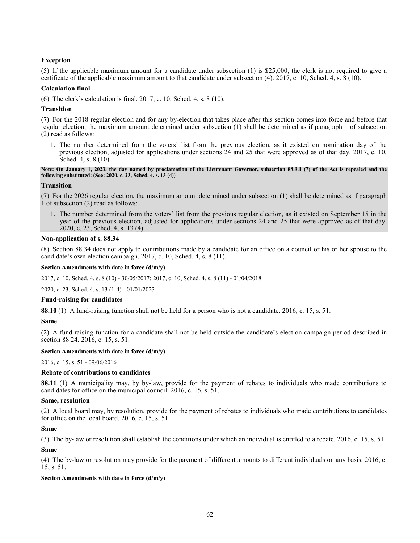# **Exception**

(5) If the applicable maximum amount for a candidate under subsection (1) is \$25,000, the clerk is not required to give a certificate of the applicable maximum amount to that candidate under subsection (4). 2017, c. 10, Sched. 4, s. 8 (10).

#### **Calculation final**

(6) The clerk's calculation is final. 2017, c. 10, Sched. 4, s. 8 (10).

### **Transition**

(7) For the 2018 regular election and for any by-election that takes place after this section comes into force and before that regular election, the maximum amount determined under subsection (1) shall be determined as if paragraph 1 of subsection (2) read as follows:

1. The number determined from the voters' list from the previous election, as it existed on nomination day of the previous election, adjusted for applications under sections 24 and 25 that were approved as of that day. 2017, c. 10, Sched. 4, s. 8 (10).

**Note: On January 1, 2023, the day named by proclamation of the Lieutenant Governor, subsection 88.9.1 (7) of the Act is repealed and the following substituted: (See: 2020, c. 23, Sched. 4, s. 13 (4))**

### **Transition**

(7) For the 2026 regular election, the maximum amount determined under subsection (1) shall be determined as if paragraph 1 of subsection (2) read as follows:

1. The number determined from the voters' list from the previous regular election, as it existed on September 15 in the year of the previous election, adjusted for applications under sections 24 and 25 that were approved as of that day. 2020, c. 23, Sched. 4, s. 13 (4).

### **Non-application of s. 88.34**

(8) Section 88.34 does not apply to contributions made by a candidate for an office on a council or his or her spouse to the candidate's own election campaign. 2017, c. 10, Sched. 4, s. 8 (11).

#### **Section Amendments with date in force (d/m/y)**

[2017, c. 10, Sched. 4, s. 8 \(10\)](http://www.ontario.ca/laws/statute/S17010#sched4s8s10) - 30/05/2017; [2017, c. 10, Sched. 4, s. 8 \(11\)](http://www.ontario.ca/laws/statute/S17010#sched4s8s11) - 01/04/2018

[2020, c. 23, Sched. 4, s. 13 \(1-4\)](http://www.ontario.ca/laws/statute/S20023#sched4s13s1) - 01/01/2023

#### **Fund-raising for candidates**

**88.10** (1) A fund-raising function shall not be held for a person who is not a candidate. 2016, c. 15, s. 51.

### **Same**

(2) A fund-raising function for a candidate shall not be held outside the candidate's election campaign period described in section 88.24. 2016, c. 15, s. 51.

### **Section Amendments with date in force (d/m/y)**

[2016, c. 15, s. 51](http://www.ontario.ca/laws/statute/S16015#s51) - 09/06/2016

## **Rebate of contributions to candidates**

**88.11** (1) A municipality may, by by-law, provide for the payment of rebates to individuals who made contributions to candidates for office on the municipal council. 2016, c. 15, s. 51.

#### **Same, resolution**

(2) A local board may, by resolution, provide for the payment of rebates to individuals who made contributions to candidates for office on the local board. 2016, c. 15, s. 51.

## **Same**

(3) The by-law or resolution shall establish the conditions under which an individual is entitled to a rebate. 2016, c. 15, s. 51.

**Same**

(4) The by-law or resolution may provide for the payment of different amounts to different individuals on any basis. 2016, c. 15, s. 51.

## **Section Amendments with date in force (d/m/y)**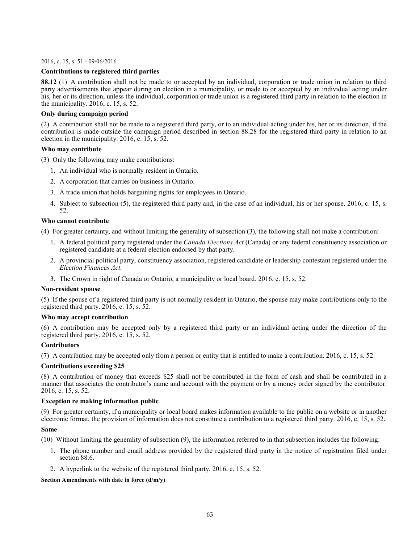[2016, c. 15, s. 51](http://www.ontario.ca/laws/statute/S16015#s51) - 09/06/2016

# **Contributions to registered third parties**

**88.12** (1) A contribution shall not be made to or accepted by an individual, corporation or trade union in relation to third party advertisements that appear during an election in a municipality, or made to or accepted by an individual acting under his, her or its direction, unless the individual, corporation or trade union is a registered third party in relation to the election in the municipality. 2016, c. 15, s. 52.

## **Only during campaign period**

(2) A contribution shall not be made to a registered third party, or to an individual acting under his, her or its direction, if the contribution is made outside the campaign period described in section 88.28 for the registered third party in relation to an election in the municipality. 2016, c. 15, s. 52.

## **Who may contribute**

(3) Only the following may make contributions:

- 1. An individual who is normally resident in Ontario.
- 2. A corporation that carries on business in Ontario.
- 3. A trade union that holds bargaining rights for employees in Ontario.
- 4. Subject to subsection (5), the registered third party and, in the case of an individual, his or her spouse. 2016, c. 15, s. 52.

## **Who cannot contribute**

(4) For greater certainty, and without limiting the generality of subsection (3), the following shall not make a contribution:

- 1. A federal political party registered under the *Canada Elections Act* (Canada) or any federal constituency association or registered candidate at a federal election endorsed by that party.
- 2. A provincial political party, constituency association, registered candidate or leadership contestant registered under the *Election Finances Act*.
- 3. The Crown in right of Canada or Ontario, a municipality or local board. 2016, c. 15, s. 52.

## **Non-resident spouse**

(5) If the spouse of a registered third party is not normally resident in Ontario, the spouse may make contributions only to the registered third party. 2016, c. 15, s. 52.

## **Who may accept contribution**

(6) A contribution may be accepted only by a registered third party or an individual acting under the direction of the registered third party. 2016, c. 15, s. 52.

## **Contributors**

(7) A contribution may be accepted only from a person or entity that is entitled to make a contribution. 2016, c. 15, s. 52.

#### **Contributions exceeding \$25**

(8) A contribution of money that exceeds \$25 shall not be contributed in the form of cash and shall be contributed in a manner that associates the contributor's name and account with the payment or by a money order signed by the contributor. 2016, c. 15, s. 52.

## **Exception re making information public**

(9) For greater certainty, if a municipality or local board makes information available to the public on a website or in another electronic format, the provision of information does not constitute a contribution to a registered third party. 2016, c. 15, s. 52.

#### **Same**

(10) Without limiting the generality of subsection (9), the information referred to in that subsection includes the following:

- 1. The phone number and email address provided by the registered third party in the notice of registration filed under section 88.6.
- 2. A hyperlink to the website of the registered third party. 2016, c. 15, s. 52.

#### **Section Amendments with date in force (d/m/y)**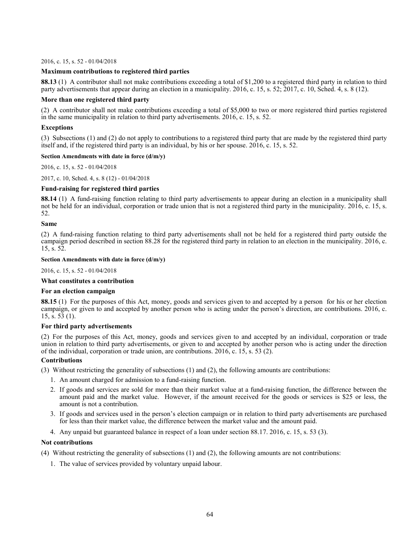[2016, c. 15, s. 52](http://www.ontario.ca/laws/statute/S16015#s52) - 01/04/2018

## **Maximum contributions to registered third parties**

**88.13** (1) A contributor shall not make contributions exceeding a total of \$1,200 to a registered third party in relation to third party advertisements that appear during an election in a municipality. 2016, c. 15, s. 52; 2017, c. 10, Sched. 4, s. 8 (12).

# **More than one registered third party**

(2) A contributor shall not make contributions exceeding a total of \$5,000 to two or more registered third parties registered in the same municipality in relation to third party advertisements. 2016, c. 15, s. 52.

# **Exceptions**

(3) Subsections (1) and (2) do not apply to contributions to a registered third party that are made by the registered third party itself and, if the registered third party is an individual, by his or her spouse. 2016, c. 15, s. 52.

## **Section Amendments with date in force (d/m/y)**

[2016, c. 15, s. 52](http://www.ontario.ca/laws/statute/S16015#s52) - 01/04/2018

[2017, c. 10, Sched. 4, s. 8 \(12\)](http://www.ontario.ca/laws/statute/S17010#sched4s8s12) - 01/04/2018

# **Fund-raising for registered third parties**

**88.14** (1) A fund-raising function relating to third party advertisements to appear during an election in a municipality shall not be held for an individual, corporation or trade union that is not a registered third party in the municipality. 2016, c. 15, s. 52.

## **Same**

(2) A fund-raising function relating to third party advertisements shall not be held for a registered third party outside the campaign period described in section 88.28 for the registered third party in relation to an election in the municipality. 2016, c. 15, s. 52.

### **Section Amendments with date in force (d/m/y)**

[2016, c. 15, s. 52](http://www.ontario.ca/laws/statute/S16015#s52) - 01/04/2018

# **What constitutes a contribution**

## **For an election campaign**

**88.15** (1) For the purposes of this Act, money, goods and services given to and accepted by a person for his or her election campaign, or given to and accepted by another person who is acting under the person's direction, are contributions. 2016, c. 15, s. 53 (1).

## **For third party advertisements**

(2) For the purposes of this Act, money, goods and services given to and accepted by an individual, corporation or trade union in relation to third party advertisements, or given to and accepted by another person who is acting under the direction of the individual, corporation or trade union, are contributions. 2016, c. 15, s. 53 (2).

## **Contributions**

(3) Without restricting the generality of subsections (1) and (2), the following amounts are contributions:

- 1. An amount charged for admission to a fund-raising function.
- 2. If goods and services are sold for more than their market value at a fund-raising function, the difference between the amount paid and the market value. However, if the amount received for the goods or services is \$25 or less, the amount is not a contribution.
- 3. If goods and services used in the person's election campaign or in relation to third party advertisements are purchased for less than their market value, the difference between the market value and the amount paid.
- 4. Any unpaid but guaranteed balance in respect of a loan under section 88.17. 2016, c. 15, s. 53 (3).

## **Not contributions**

(4) Without restricting the generality of subsections (1) and (2), the following amounts are not contributions:

1. The value of services provided by voluntary unpaid labour.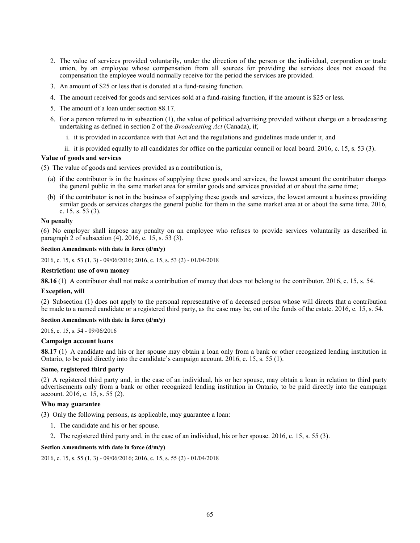- 2. The value of services provided voluntarily, under the direction of the person or the individual, corporation or trade union, by an employee whose compensation from all sources for providing the services does not exceed the compensation the employee would normally receive for the period the services are provided.
- 3. An amount of \$25 or less that is donated at a fund-raising function.
- 4. The amount received for goods and services sold at a fund-raising function, if the amount is \$25 or less.
- 5. The amount of a loan under section 88.17.
- 6. For a person referred to in subsection (1), the value of political advertising provided without charge on a broadcasting undertaking as defined in section 2 of the *Broadcasting Act* (Canada), if,
	- i. it is provided in accordance with that Act and the regulations and guidelines made under it, and
	- ii. it is provided equally to all candidates for office on the particular council or local board. 2016, c. 15, s. 53 (3).

### **Value of goods and services**

(5) The value of goods and services provided as a contribution is,

- (a) if the contributor is in the business of supplying these goods and services, the lowest amount the contributor charges the general public in the same market area for similar goods and services provided at or about the same time;
- (b) if the contributor is not in the business of supplying these goods and services, the lowest amount a business providing similar goods or services charges the general public for them in the same market area at or about the same time. 2016, c. 15, s. 53 (3).

### **No penalty**

(6) No employer shall impose any penalty on an employee who refuses to provide services voluntarily as described in paragraph  $2$  of subsection  $(4)$ . 2016, c. 15, s. 53 (3).

# **Section Amendments with date in force (d/m/y)**

[2016, c. 15, s. 53 \(1, 3\)](http://www.ontario.ca/laws/statute/S16015#s53s1) - 09/06/2016[; 2016, c. 15, s. 53 \(2\)](http://www.ontario.ca/laws/statute/S16015#s53s2) - 01/04/2018

# **Restriction: use of own money**

**88.16** (1) A contributor shall not make a contribution of money that does not belong to the contributor. 2016, c. 15, s. 54.

### **Exception, will**

(2) Subsection (1) does not apply to the personal representative of a deceased person whose will directs that a contribution be made to a named candidate or a registered third party, as the case may be, out of the funds of the estate. 2016, c. 15, s. 54.

# **Section Amendments with date in force (d/m/y)**

[2016, c. 15, s. 54](http://www.ontario.ca/laws/statute/S16015#s54) - 09/06/2016

#### **Campaign account loans**

**88.17** (1) A candidate and his or her spouse may obtain a loan only from a bank or other recognized lending institution in Ontario, to be paid directly into the candidate's campaign account. 2016, c. 15, s. 55 (1).

### **Same, registered third party**

(2) A registered third party and, in the case of an individual, his or her spouse, may obtain a loan in relation to third party advertisements only from a bank or other recognized lending institution in Ontario, to be paid directly into the campaign account. 2016, c. 15, s. 55 (2).

### **Who may guarantee**

(3) Only the following persons, as applicable, may guarantee a loan:

- 1. The candidate and his or her spouse.
- 2. The registered third party and, in the case of an individual, his or her spouse. 2016, c. 15, s. 55 (3).

#### **Section Amendments with date in force (d/m/y)**

[2016, c. 15, s. 55 \(1, 3\)](http://www.ontario.ca/laws/statute/S16015#s55s1) - 09/06/2016[; 2016, c. 15, s. 55 \(2\)](http://www.ontario.ca/laws/statute/S16015#s55s2) - 01/04/2018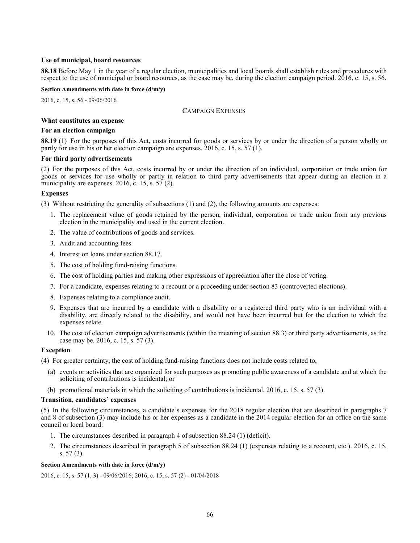# **Use of municipal, board resources**

**88.18** Before May 1 in the year of a regular election, municipalities and local boards shall establish rules and procedures with respect to the use of municipal or board resources, as the case may be, during the election campaign period. 2016, c. 15, s. 56.

### **Section Amendments with date in force (d/m/y)**

[2016, c. 15, s. 56](http://www.ontario.ca/laws/statute/S16015#s56) - 09/06/2016

### CAMPAIGN EXPENSES

### **What constitutes an expense**

# **For an election campaign**

**88.19** (1) For the purposes of this Act, costs incurred for goods or services by or under the direction of a person wholly or partly for use in his or her election campaign are expenses. 2016, c. 15, s. 57 (1).

### **For third party advertisements**

(2) For the purposes of this Act, costs incurred by or under the direction of an individual, corporation or trade union for goods or services for use wholly or partly in relation to third party advertisements that appear during an election in a municipality are expenses. 2016, c. 15, s. 57 (2).

### **Expenses**

(3) Without restricting the generality of subsections (1) and (2), the following amounts are expenses:

- 1. The replacement value of goods retained by the person, individual, corporation or trade union from any previous election in the municipality and used in the current election.
- 2. The value of contributions of goods and services.
- 3. Audit and accounting fees.
- 4. Interest on loans under section 88.17.
- 5. The cost of holding fund-raising functions.
- 6. The cost of holding parties and making other expressions of appreciation after the close of voting.
- 7. For a candidate, expenses relating to a recount or a proceeding under section 83 (controverted elections).
- 8. Expenses relating to a compliance audit.
- 9. Expenses that are incurred by a candidate with a disability or a registered third party who is an individual with a disability, are directly related to the disability, and would not have been incurred but for the election to which the expenses relate.
- 10. The cost of election campaign advertisements (within the meaning of section 88.3) or third party advertisements, as the case may be. 2016, c. 15, s. 57 (3).

### **Exception**

(4) For greater certainty, the cost of holding fund-raising functions does not include costs related to,

- (a) events or activities that are organized for such purposes as promoting public awareness of a candidate and at which the soliciting of contributions is incidental; or
- (b) promotional materials in which the soliciting of contributions is incidental. 2016, c. 15, s. 57 (3).

#### **Transition, candidates' expenses**

(5) In the following circumstances, a candidate's expenses for the 2018 regular election that are described in paragraphs 7 and 8 of subsection (3) may include his or her expenses as a candidate in the 2014 regular election for an office on the same council or local board:

- 1. The circumstances described in paragraph 4 of subsection 88.24 (1) (deficit).
- 2. The circumstances described in paragraph 5 of subsection 88.24 (1) (expenses relating to a recount, etc.). 2016, c. 15, s. 57 (3).

#### **Section Amendments with date in force (d/m/y)**

[2016, c. 15, s. 57 \(1, 3\)](http://www.ontario.ca/laws/statute/S16015#s57s1) - 09/06/2016[; 2016, c. 15, s. 57 \(2\)](http://www.ontario.ca/laws/statute/S16015#s57s2) - 01/04/2018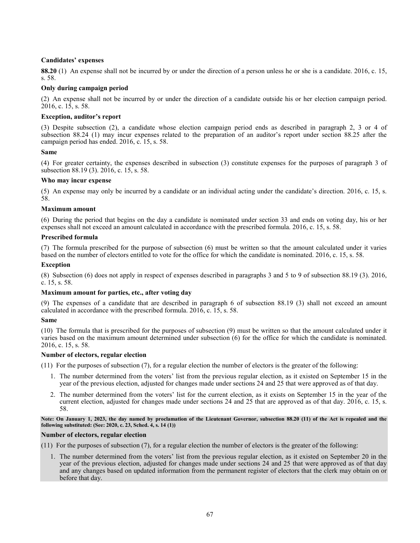# **Candidates' expenses**

**88.20** (1) An expense shall not be incurred by or under the direction of a person unless he or she is a candidate. 2016, c. 15, s. 58.

# **Only during campaign period**

(2) An expense shall not be incurred by or under the direction of a candidate outside his or her election campaign period. 2016, c. 15, s. 58.

# **Exception, auditor's report**

(3) Despite subsection (2), a candidate whose election campaign period ends as described in paragraph 2, 3 or 4 of subsection 88.24 (1) may incur expenses related to the preparation of an auditor's report under section 88.25 after the campaign period has ended. 2016, c. 15, s. 58.

# **Same**

(4) For greater certainty, the expenses described in subsection (3) constitute expenses for the purposes of paragraph 3 of subsection 88.19 (3). 2016, c. 15, s. 58.

# **Who may incur expense**

(5) An expense may only be incurred by a candidate or an individual acting under the candidate's direction. 2016, c. 15, s. 58.

# **Maximum amount**

(6) During the period that begins on the day a candidate is nominated under section 33 and ends on voting day, his or her expenses shall not exceed an amount calculated in accordance with the prescribed formula. 2016, c. 15, s. 58.

## **Prescribed formula**

(7) The formula prescribed for the purpose of subsection (6) must be written so that the amount calculated under it varies based on the number of electors entitled to vote for the office for which the candidate is nominated. 2016, c. 15, s. 58.

## **Exception**

(8) Subsection (6) does not apply in respect of expenses described in paragraphs 3 and 5 to 9 of subsection 88.19 (3). 2016, c. 15, s. 58.

## **Maximum amount for parties, etc., after voting day**

(9) The expenses of a candidate that are described in paragraph 6 of subsection 88.19 (3) shall not exceed an amount calculated in accordance with the prescribed formula. 2016, c. 15, s. 58.

## **Same**

(10) The formula that is prescribed for the purposes of subsection (9) must be written so that the amount calculated under it varies based on the maximum amount determined under subsection (6) for the office for which the candidate is nominated. 2016, c. 15, s. 58.

# **Number of electors, regular election**

(11) For the purposes of subsection (7), for a regular election the number of electors is the greater of the following:

- 1. The number determined from the voters' list from the previous regular election, as it existed on September 15 in the year of the previous election, adjusted for changes made under sections 24 and 25 that were approved as of that day.
- 2. The number determined from the voters' list for the current election, as it exists on September 15 in the year of the current election, adjusted for changes made under sections 24 and 25 that are approved as of that day. 2016, c. 15, s. 58.

**Note: On January 1, 2023, the day named by proclamation of the Lieutenant Governor, subsection 88.20 (11) of the Act is repealed and the following substituted: (See: 2020, c. 23, Sched. 4, s. 14 (1))**

## **Number of electors, regular election**

(11) For the purposes of subsection (7), for a regular election the number of electors is the greater of the following:

1. The number determined from the voters' list from the previous regular election, as it existed on September 20 in the year of the previous election, adjusted for changes made under sections 24 and 25 that were approved as of that day and any changes based on updated information from the permanent register of electors that the clerk may obtain on or before that day.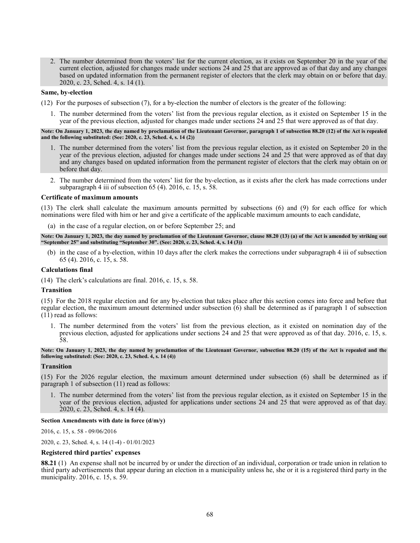2. The number determined from the voters' list for the current election, as it exists on September 20 in the year of the current election, adjusted for changes made under sections 24 and 25 that are approved as of that day and any changes based on updated information from the permanent register of electors that the clerk may obtain on or before that day. 2020, c. 23, Sched. 4, s. 14 (1).

#### **Same, by-election**

(12) For the purposes of subsection (7), for a by-election the number of electors is the greater of the following:

1. The number determined from the voters' list from the previous regular election, as it existed on September 15 in the year of the previous election, adjusted for changes made under sections 24 and 25 that were approved as of that day.

#### **Note: On January 1, 2023, the day named by proclamation of the Lieutenant Governor, paragraph 1 of subsection 88.20 (12) of the Act is repealed and the following substituted: (See: 2020, c. 23, Sched. 4, s. 14 (2))**

- 1. The number determined from the voters' list from the previous regular election, as it existed on September 20 in the year of the previous election, adjusted for changes made under sections 24 and 25 that were approved as of that day and any changes based on updated information from the permanent register of electors that the clerk may obtain on or before that day.
- 2. The number determined from the voters' list for the by-election, as it exists after the clerk has made corrections under subparagraph 4 iii of subsection 65 (4). 2016, c. 15, s. 58.

#### **Certificate of maximum amounts**

(13) The clerk shall calculate the maximum amounts permitted by subsections (6) and (9) for each office for which nominations were filed with him or her and give a certificate of the applicable maximum amounts to each candidate,

(a) in the case of a regular election, on or before September 25; and

**Note: On January 1, 2023, the day named by proclamation of the Lieutenant Governor, clause 88.20 (13) (a) of the Act is amended by striking out "September 25" and substituting "September 30". (See: 2020, c. 23, Sched. 4, s. 14 (3))**

(b) in the case of a by-election, within 10 days after the clerk makes the corrections under subparagraph 4 iii of subsection 65 (4). 2016, c. 15, s. 58.

#### **Calculations final**

(14) The clerk's calculations are final. 2016, c. 15, s. 58.

#### **Transition**

(15) For the 2018 regular election and for any by-election that takes place after this section comes into force and before that regular election, the maximum amount determined under subsection (6) shall be determined as if paragraph 1 of subsection (11) read as follows:

1. The number determined from the voters' list from the previous election, as it existed on nomination day of the previous election, adjusted for applications under sections 24 and 25 that were approved as of that day. 2016, c. 15, s. 58.

**Note: On January 1, 2023, the day named by proclamation of the Lieutenant Governor, subsection 88.20 (15) of the Act is repealed and the following substituted: (See: 2020, c. 23, Sched. 4, s. 14 (4))**

#### **Transition**

(15) For the 2026 regular election, the maximum amount determined under subsection (6) shall be determined as if paragraph 1 of subsection (11) read as follows:

1. The number determined from the voters' list from the previous regular election, as it existed on September 15 in the year of the previous election, adjusted for applications under sections 24 and 25 that were approved as of that day. 2020, c. 23, Sched. 4, s. 14 (4).

#### **Section Amendments with date in force (d/m/y)**

[2016, c. 15, s. 58](http://www.ontario.ca/laws/statute/S16015#s58) - 09/06/2016

[2020, c. 23, Sched. 4, s. 14 \(1-4\)](http://www.ontario.ca/fr/lois/loi/S20023#sched4s14s1) - 01/01/2023

### **Registered third parties' expenses**

**88.21** (1) An expense shall not be incurred by or under the direction of an individual, corporation or trade union in relation to third party advertisements that appear during an election in a municipality unless he, she or it is a registered third party in the municipality. 2016, c. 15, s. 59.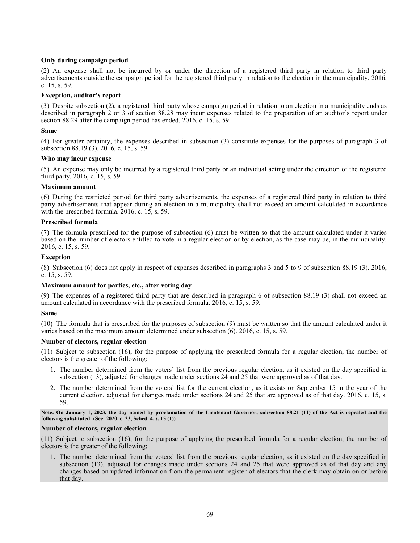# **Only during campaign period**

(2) An expense shall not be incurred by or under the direction of a registered third party in relation to third party advertisements outside the campaign period for the registered third party in relation to the election in the municipality. 2016, c. 15, s. 59.

## **Exception, auditor's report**

(3) Despite subsection (2), a registered third party whose campaign period in relation to an election in a municipality ends as described in paragraph 2 or 3 of section 88.28 may incur expenses related to the preparation of an auditor's report under section 88.29 after the campaign period has ended. 2016, c. 15, s. 59.

# **Same**

(4) For greater certainty, the expenses described in subsection (3) constitute expenses for the purposes of paragraph 3 of subsection 88.19 (3). 2016, c. 15, s. 59.

## **Who may incur expense**

(5) An expense may only be incurred by a registered third party or an individual acting under the direction of the registered third party. 2016, c. 15, s. 59.

## **Maximum amount**

(6) During the restricted period for third party advertisements, the expenses of a registered third party in relation to third party advertisements that appear during an election in a municipality shall not exceed an amount calculated in accordance with the prescribed formula. 2016, c. 15, s. 59.

# **Prescribed formula**

(7) The formula prescribed for the purpose of subsection (6) must be written so that the amount calculated under it varies based on the number of electors entitled to vote in a regular election or by-election, as the case may be, in the municipality. 2016, c. 15, s. 59.

### **Exception**

(8) Subsection (6) does not apply in respect of expenses described in paragraphs 3 and 5 to 9 of subsection 88.19 (3). 2016, c. 15, s. 59.

## **Maximum amount for parties, etc., after voting day**

(9) The expenses of a registered third party that are described in paragraph 6 of subsection 88.19 (3) shall not exceed an amount calculated in accordance with the prescribed formula. 2016, c. 15, s. 59.

## **Same**

(10) The formula that is prescribed for the purposes of subsection (9) must be written so that the amount calculated under it varies based on the maximum amount determined under subsection (6). 2016, c. 15, s. 59.

## **Number of electors, regular election**

(11) Subject to subsection (16), for the purpose of applying the prescribed formula for a regular election, the number of electors is the greater of the following:

- 1. The number determined from the voters' list from the previous regular election, as it existed on the day specified in subsection (13), adjusted for changes made under sections 24 and 25 that were approved as of that day.
- 2. The number determined from the voters' list for the current election, as it exists on September 15 in the year of the current election, adjusted for changes made under sections 24 and 25 that are approved as of that day. 2016, c. 15, s. 59.

**Note: On January 1, 2023, the day named by proclamation of the Lieutenant Governor, subsection 88.21 (11) of the Act is repealed and the following substituted: (See: 2020, c. 23, Sched. 4, s. 15 (1))**

## **Number of electors, regular election**

(11) Subject to subsection (16), for the purpose of applying the prescribed formula for a regular election, the number of electors is the greater of the following:

1. The number determined from the voters' list from the previous regular election, as it existed on the day specified in subsection (13), adjusted for changes made under sections 24 and 25 that were approved as of that day and any changes based on updated information from the permanent register of electors that the clerk may obtain on or before that day.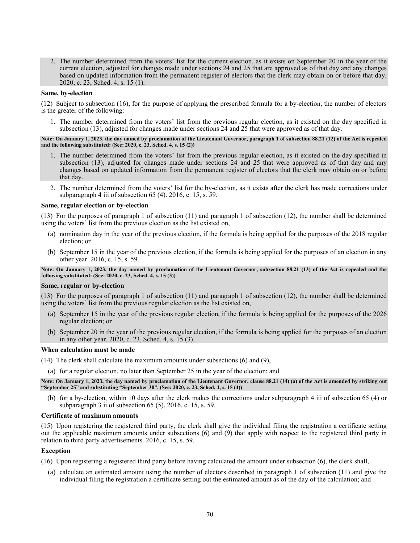2. The number determined from the voters' list for the current election, as it exists on September 20 in the year of the current election, adjusted for changes made under sections 24 and 25 that are approved as of that day and any changes based on updated information from the permanent register of electors that the clerk may obtain on or before that day. 2020, c. 23, Sched. 4, s. 15 (1).

#### **Same, by-election**

(12) Subject to subsection (16), for the purpose of applying the prescribed formula for a by-election, the number of electors is the greater of the following:

1. The number determined from the voters' list from the previous regular election, as it existed on the day specified in subsection (13), adjusted for changes made under sections 24 and 25 that were approved as of that day.

### **Note: On January 1, 2023, the day named by proclamation of the Lieutenant Governor, paragraph 1 of subsection 88.21 (12) of the Act is repealed and the following substituted: (See: 2020, c. 23, Sched. 4, s. 15 (2))**

- 1. The number determined from the voters' list from the previous regular election, as it existed on the day specified in subsection (13), adjusted for changes made under sections 24 and 25 that were approved as of that day and any changes based on updated information from the permanent register of electors that the clerk may obtain on or before that day.
- 2. The number determined from the voters' list for the by-election, as it exists after the clerk has made corrections under subparagraph 4 iii of subsection 65 (4). 2016, c. 15, s. 59.

#### **Same, regular election or by-election**

(13) For the purposes of paragraph 1 of subsection (11) and paragraph 1 of subsection (12), the number shall be determined using the voters' list from the previous election as the list existed on,

- (a) nomination day in the year of the previous election, if the formula is being applied for the purposes of the 2018 regular election; or
- (b) September 15 in the year of the previous election, if the formula is being applied for the purposes of an election in any other year. 2016, c. 15, s. 59.

**Note: On January 1, 2023, the day named by proclamation of the Lieutenant Governor, subsection 88.21 (13) of the Act is repealed and the following substituted: (See: 2020, c. 23, Sched. 4, s. 15 (3))**

### **Same, regular or by-election**

(13) For the purposes of paragraph 1 of subsection (11) and paragraph 1 of subsection (12), the number shall be determined using the voters' list from the previous regular election as the list existed on,

- (a) September 15 in the year of the previous regular election, if the formula is being applied for the purposes of the 2026 regular election; or
- (b) September 20 in the year of the previous regular election, if the formula is being applied for the purposes of an election in any other year. 2020, c. 23, Sched. 4, s. 15 (3).

# **When calculation must be made**

- (14) The clerk shall calculate the maximum amounts under subsections (6) and (9),
	- (a) for a regular election, no later than September 25 in the year of the election; and

**Note: On January 1, 2023, the day named by proclamation of the Lieutenant Governor, clause 88.21 (14) (a) of the Act is amended by striking out "September 25" and substituting "September 30". (See: 2020, c. 23, Sched. 4, s. 15 (4))**

(b) for a by-election, within 10 days after the clerk makes the corrections under subparagraph 4 iii of subsection 65 (4) or subparagraph 3 ii of subsection 65 (5). 2016, c. 15, s. 59.

# **Certificate of maximum amounts**

(15) Upon registering the registered third party, the clerk shall give the individual filing the registration a certificate setting out the applicable maximum amounts under subsections (6) and (9) that apply with respect to the registered third party in relation to third party advertisements. 2016, c. 15, s. 59.

#### **Exception**

- (16) Upon registering a registered third party before having calculated the amount under subsection (6), the clerk shall,
	- (a) calculate an estimated amount using the number of electors described in paragraph 1 of subsection (11) and give the individual filing the registration a certificate setting out the estimated amount as of the day of the calculation; and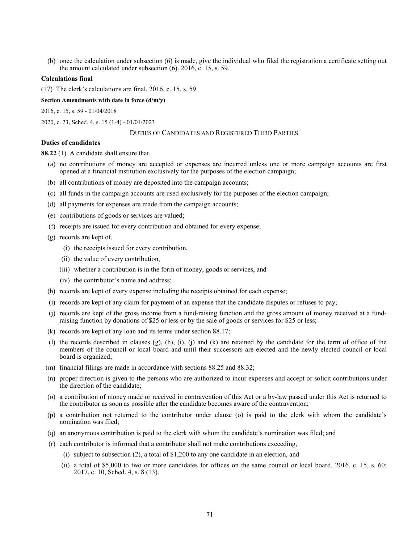(b) once the calculation under subsection (6) is made, give the individual who filed the registration a certificate setting out the amount calculated under subsection (6). 2016, c. 15, s. 59.

### **Calculations final**

(17) The clerk's calculations are final. 2016, c. 15, s. 59.

**Section Amendments with date in force (d/m/y)**

[2016, c. 15, s. 59](http://www.ontario.ca/laws/statute/S16015#s59) - 01/04/2018

[2020, c. 23, Sched. 4, s. 15 \(1-4\)](http://www.ontario.ca/laws/statute/S20023#sched4s15s1) - 01/01/2023

## DUTIES OF CANDIDATES AND REGISTERED THIRD PARTIES

### **Duties of candidates**

**88.22** (1) A candidate shall ensure that,

- (a) no contributions of money are accepted or expenses are incurred unless one or more campaign accounts are first opened at a financial institution exclusively for the purposes of the election campaign;
- (b) all contributions of money are deposited into the campaign accounts;
- (c) all funds in the campaign accounts are used exclusively for the purposes of the election campaign;
- (d) all payments for expenses are made from the campaign accounts;
- (e) contributions of goods or services are valued;
- (f) receipts are issued for every contribution and obtained for every expense;
- (g) records are kept of,
	- (i) the receipts issued for every contribution,
	- (ii) the value of every contribution,
	- (iii) whether a contribution is in the form of money, goods or services, and
	- (iv) the contributor's name and address;
- (h) records are kept of every expense including the receipts obtained for each expense;
- (i) records are kept of any claim for payment of an expense that the candidate disputes or refuses to pay;
- (j) records are kept of the gross income from a fund-raising function and the gross amount of money received at a fundraising function by donations of \$25 or less or by the sale of goods or services for \$25 or less;
- (k) records are kept of any loan and its terms under section 88.17;
- (l) the records described in clauses (g), (h), (i), (j) and (k) are retained by the candidate for the term of office of the members of the council or local board and until their successors are elected and the newly elected council or local board is organized;
- (m) financial filings are made in accordance with sections 88.25 and 88.32;
- (n) proper direction is given to the persons who are authorized to incur expenses and accept or solicit contributions under the direction of the candidate;
- (o) a contribution of money made or received in contravention of this Act or a by-law passed under this Act is returned to the contributor as soon as possible after the candidate becomes aware of the contravention;
- (p) a contribution not returned to the contributor under clause (o) is paid to the clerk with whom the candidate's nomination was filed;
- (q) an anonymous contribution is paid to the clerk with whom the candidate's nomination was filed; and
- (r) each contributor is informed that a contributor shall not make contributions exceeding,
	- (i) subject to subsection (2), a total of \$1,200 to any one candidate in an election, and
	- (ii) a total of \$5,000 to two or more candidates for offices on the same council or local board. 2016, c. 15, s. 60; 2017, c. 10, Sched. 4, s. 8 (13).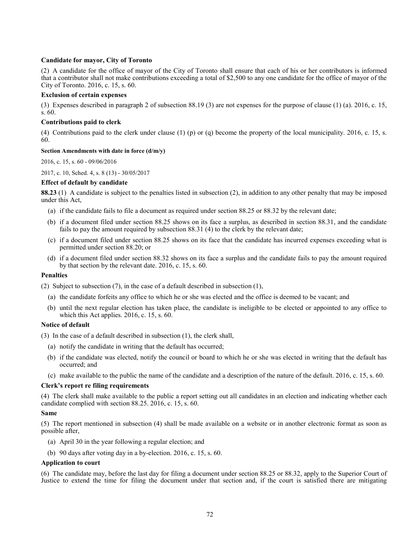# **Candidate for mayor, City of Toronto**

(2) A candidate for the office of mayor of the City of Toronto shall ensure that each of his or her contributors is informed that a contributor shall not make contributions exceeding a total of \$2,500 to any one candidate for the office of mayor of the City of Toronto. 2016, c. 15, s. 60.

# **Exclusion of certain expenses**

(3) Expenses described in paragraph 2 of subsection 88.19 (3) are not expenses for the purpose of clause (1) (a). 2016, c. 15, s. 60.

# **Contributions paid to clerk**

(4) Contributions paid to the clerk under clause (1) (p) or (q) become the property of the local municipality. 2016, c. 15, s. 60.

# **Section Amendments with date in force (d/m/y)**

[2016, c. 15, s. 60](http://www.ontario.ca/laws/statute/S16015#s60) - 09/06/2016

[2017, c. 10, Sched. 4, s. 8 \(13\)](http://www.ontario.ca/laws/statute/S17010#sched4s8s13) - 30/05/2017

# **Effect of default by candidate**

**88.23** (1) A candidate is subject to the penalties listed in subsection (2), in addition to any other penalty that may be imposed under this Act,

- (a) if the candidate fails to file a document as required under section 88.25 or 88.32 by the relevant date;
- (b) if a document filed under section 88.25 shows on its face a surplus, as described in section 88.31, and the candidate fails to pay the amount required by subsection 88.31 (4) to the clerk by the relevant date;
- (c) if a document filed under section 88.25 shows on its face that the candidate has incurred expenses exceeding what is permitted under section 88.20; or
- (d) if a document filed under section 88.32 shows on its face a surplus and the candidate fails to pay the amount required by that section by the relevant date. 2016, c. 15, s. 60.

## **Penalties**

(2) Subject to subsection (7), in the case of a default described in subsection (1),

- (a) the candidate forfeits any office to which he or she was elected and the office is deemed to be vacant; and
- (b) until the next regular election has taken place, the candidate is ineligible to be elected or appointed to any office to which this Act applies. 2016, c. 15, s. 60.

# **Notice of default**

(3) In the case of a default described in subsection (1), the clerk shall,

- (a) notify the candidate in writing that the default has occurred;
- (b) if the candidate was elected, notify the council or board to which he or she was elected in writing that the default has occurred; and
- (c) make available to the public the name of the candidate and a description of the nature of the default. 2016, c. 15, s. 60.

## **Clerk's report re filing requirements**

(4) The clerk shall make available to the public a report setting out all candidates in an election and indicating whether each candidate complied with section 88.25. 2016, c. 15, s. 60.

## **Same**

(5) The report mentioned in subsection (4) shall be made available on a website or in another electronic format as soon as possible after,

- (a) April 30 in the year following a regular election; and
- (b) 90 days after voting day in a by-election. 2016, c. 15, s. 60.

## **Application to court**

(6) The candidate may, before the last day for filing a document under section 88.25 or 88.32, apply to the Superior Court of Justice to extend the time for filing the document under that section and, if the court is satisfied there are mitigating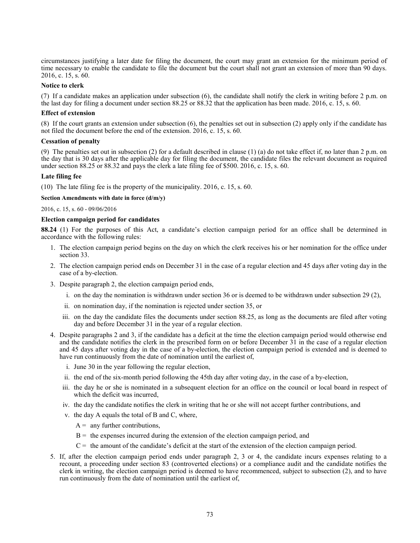circumstances justifying a later date for filing the document, the court may grant an extension for the minimum period of time necessary to enable the candidate to file the document but the court shall not grant an extension of more than 90 days. 2016, c. 15, s. 60.

### **Notice to clerk**

(7) If a candidate makes an application under subsection (6), the candidate shall notify the clerk in writing before 2 p.m. on the last day for filing a document under section 88.25 or 88.32 that the application has been made. 2016, c. 15, s. 60.

### **Effect of extension**

(8) If the court grants an extension under subsection (6), the penalties set out in subsection (2) apply only if the candidate has not filed the document before the end of the extension. 2016, c. 15, s. 60.

### **Cessation of penalty**

(9) The penalties set out in subsection (2) for a default described in clause (1) (a) do not take effect if, no later than 2 p.m. on the day that is 30 days after the applicable day for filing the document, the candidate files the relevant document as required under section 88.25 or 88.32 and pays the clerk a late filing fee of \$500. 2016, c. 15, s. 60.

### **Late filing fee**

(10) The late filing fee is the property of the municipality. 2016, c. 15, s. 60.

### **Section Amendments with date in force (d/m/y)**

[2016, c. 15, s. 60](http://www.ontario.ca/laws/statute/S16015#s60) - 09/06/2016

### **Election campaign period for candidates**

**88.24** (1) For the purposes of this Act, a candidate's election campaign period for an office shall be determined in accordance with the following rules:

- 1. The election campaign period begins on the day on which the clerk receives his or her nomination for the office under section 33.
- 2. The election campaign period ends on December 31 in the case of a regular election and 45 days after voting day in the case of a by-election.
- 3. Despite paragraph 2, the election campaign period ends,
	- i. on the day the nomination is withdrawn under section 36 or is deemed to be withdrawn under subsection 29 (2),
	- ii. on nomination day, if the nomination is rejected under section 35, or
	- iii. on the day the candidate files the documents under section 88.25, as long as the documents are filed after voting day and before December 31 in the year of a regular election.
- 4. Despite paragraphs 2 and 3, if the candidate has a deficit at the time the election campaign period would otherwise end and the candidate notifies the clerk in the prescribed form on or before December 31 in the case of a regular election and 45 days after voting day in the case of a by-election, the election campaign period is extended and is deemed to have run continuously from the date of nomination until the earliest of,
	- i. June 30 in the year following the regular election,
	- ii. the end of the six-month period following the 45th day after voting day, in the case of a by-election,
	- iii. the day he or she is nominated in a subsequent election for an office on the council or local board in respect of which the deficit was incurred,
	- iv. the day the candidate notifies the clerk in writing that he or she will not accept further contributions, and
	- v. the day A equals the total of B and C, where,
		- $A =$  any further contributions,
		- $B =$  the expenses incurred during the extension of the election campaign period, and
		- $C =$  the amount of the candidate's deficit at the start of the extension of the election campaign period.
- 5. If, after the election campaign period ends under paragraph 2, 3 or 4, the candidate incurs expenses relating to a recount, a proceeding under section 83 (controverted elections) or a compliance audit and the candidate notifies the clerk in writing, the election campaign period is deemed to have recommenced, subject to subsection (2), and to have run continuously from the date of nomination until the earliest of,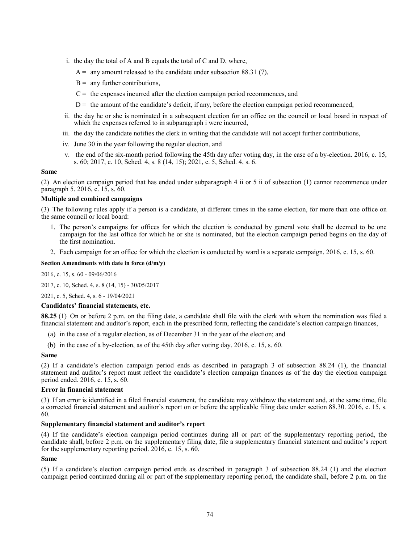- i. the day the total of A and B equals the total of C and D, where,
	- $A =$  any amount released to the candidate under subsection 88.31 (7),
	- $B =$  any further contributions,
	- $C =$  the expenses incurred after the election campaign period recommences, and
	- $D =$  the amount of the candidate's deficit, if any, before the election campaign period recommenced,
- ii. the day he or she is nominated in a subsequent election for an office on the council or local board in respect of which the expenses referred to in subparagraph i were incurred,
- iii. the day the candidate notifies the clerk in writing that the candidate will not accept further contributions,
- iv. June 30 in the year following the regular election, and
- v. the end of the six-month period following the 45th day after voting day, in the case of a by-election. 2016, c. 15, s. 60; 2017, c. 10, Sched. 4, s. 8 (14, 15); 2021, c. 5, Sched. 4, s. 6.

(2) An election campaign period that has ended under subparagraph 4 ii or 5 ii of subsection (1) cannot recommence under paragraph 5. 2016, c. 15, s. 60.

### **Multiple and combined campaigns**

(3) The following rules apply if a person is a candidate, at different times in the same election, for more than one office on the same council or local board:

- 1. The person's campaigns for offices for which the election is conducted by general vote shall be deemed to be one campaign for the last office for which he or she is nominated, but the election campaign period begins on the day of the first nomination.
- 2. Each campaign for an office for which the election is conducted by ward is a separate campaign. 2016, c. 15, s. 60.

### **Section Amendments with date in force (d/m/y)**

[2016, c. 15, s. 60](http://www.ontario.ca/laws/statute/S16015#s60) - 09/06/2016

[2017, c. 10, Sched. 4, s. 8 \(14, 15\)](http://www.ontario.ca/laws/statute/S17010#sched4s8s14) - 30/05/2017

[2021, c. 5, Sched. 4, s. 6](http://www.ontario.ca/laws/statute/S21005#sched4s6) - 19/04/2021

### **Candidates' financial statements, etc.**

**88.25** (1) On or before 2 p.m. on the filing date, a candidate shall file with the clerk with whom the nomination was filed a financial statement and auditor's report, each in the prescribed form, reflecting the candidate's election campaign finances,

- (a) in the case of a regular election, as of December 31 in the year of the election; and
- (b) in the case of a by-election, as of the 45th day after voting day. 2016, c. 15, s. 60.

#### **Same**

(2) If a candidate's election campaign period ends as described in paragraph 3 of subsection 88.24 (1), the financial statement and auditor's report must reflect the candidate's election campaign finances as of the day the election campaign period ended. 2016, c. 15, s. 60.

#### **Error in financial statement**

(3) If an error is identified in a filed financial statement, the candidate may withdraw the statement and, at the same time, file a corrected financial statement and auditor's report on or before the applicable filing date under section 88.30. 2016, c. 15, s. 60.

### **Supplementary financial statement and auditor's report**

(4) If the candidate's election campaign period continues during all or part of the supplementary reporting period, the candidate shall, before 2 p.m. on the supplementary filing date, file a supplementary financial statement and auditor's report for the supplementary reporting period. 2016, c. 15, s. 60.

### **Same**

(5) If a candidate's election campaign period ends as described in paragraph 3 of subsection 88.24 (1) and the election campaign period continued during all or part of the supplementary reporting period, the candidate shall, before 2 p.m. on the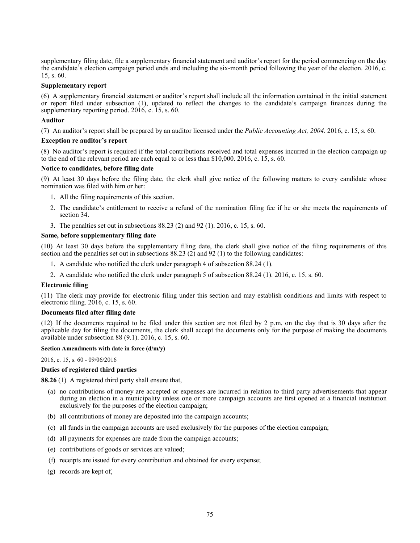supplementary filing date, file a supplementary financial statement and auditor's report for the period commencing on the day the candidate's election campaign period ends and including the six-month period following the year of the election. 2016, c. 15, s. 60.

# **Supplementary report**

(6) A supplementary financial statement or auditor's report shall include all the information contained in the initial statement or report filed under subsection (1), updated to reflect the changes to the candidate's campaign finances during the supplementary reporting period. 2016, c. 15, s. 60.

# **Auditor**

(7) An auditor's report shall be prepared by an auditor licensed under the *Public Accounting Act, 2004*. 2016, c. 15, s. 60.

# **Exception re auditor's report**

(8) No auditor's report is required if the total contributions received and total expenses incurred in the election campaign up to the end of the relevant period are each equal to or less than \$10,000. 2016, c. 15, s. 60.

# **Notice to candidates, before filing date**

(9) At least 30 days before the filing date, the clerk shall give notice of the following matters to every candidate whose nomination was filed with him or her:

- 1. All the filing requirements of this section.
- 2. The candidate's entitlement to receive a refund of the nomination filing fee if he or she meets the requirements of section 34.
- 3. The penalties set out in subsections 88.23 (2) and 92 (1). 2016, c. 15, s. 60.

# **Same, before supplementary filing date**

(10) At least 30 days before the supplementary filing date, the clerk shall give notice of the filing requirements of this section and the penalties set out in subsections 88.23 (2) and 92 (1) to the following candidates:

- 1. A candidate who notified the clerk under paragraph 4 of subsection 88.24 (1).
- 2. A candidate who notified the clerk under paragraph 5 of subsection 88.24 (1). 2016, c. 15, s. 60.

# **Electronic filing**

(11) The clerk may provide for electronic filing under this section and may establish conditions and limits with respect to electronic filing. 2016, c. 15, s. 60.

# **Documents filed after filing date**

(12) If the documents required to be filed under this section are not filed by 2 p.m. on the day that is 30 days after the applicable day for filing the documents, the clerk shall accept the documents only for the purpose of making the documents available under subsection 88 (9.1). 2016, c. 15, s. 60.

# **Section Amendments with date in force (d/m/y)**

[2016, c. 15, s. 60](http://www.ontario.ca/laws/statute/S16015#s60) - 09/06/2016

# **Duties of registered third parties**

**88.26** (1) A registered third party shall ensure that,

- (a) no contributions of money are accepted or expenses are incurred in relation to third party advertisements that appear during an election in a municipality unless one or more campaign accounts are first opened at a financial institution exclusively for the purposes of the election campaign;
- (b) all contributions of money are deposited into the campaign accounts;
- (c) all funds in the campaign accounts are used exclusively for the purposes of the election campaign;
- (d) all payments for expenses are made from the campaign accounts;
- (e) contributions of goods or services are valued;
- (f) receipts are issued for every contribution and obtained for every expense;
- (g) records are kept of,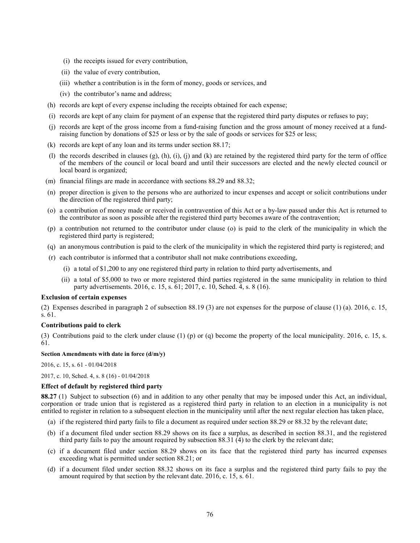- (i) the receipts issued for every contribution,
- (ii) the value of every contribution,
- (iii) whether a contribution is in the form of money, goods or services, and
- (iv) the contributor's name and address;
- (h) records are kept of every expense including the receipts obtained for each expense;
- (i) records are kept of any claim for payment of an expense that the registered third party disputes or refuses to pay;
- (j) records are kept of the gross income from a fund-raising function and the gross amount of money received at a fundraising function by donations of \$25 or less or by the sale of goods or services for \$25 or less;
- (k) records are kept of any loan and its terms under section 88.17;
- (l) the records described in clauses (g), (h), (i), (j) and (k) are retained by the registered third party for the term of office of the members of the council or local board and until their successors are elected and the newly elected council or local board is organized;
- (m) financial filings are made in accordance with sections 88.29 and 88.32;
- (n) proper direction is given to the persons who are authorized to incur expenses and accept or solicit contributions under the direction of the registered third party;
- (o) a contribution of money made or received in contravention of this Act or a by-law passed under this Act is returned to the contributor as soon as possible after the registered third party becomes aware of the contravention;
- (p) a contribution not returned to the contributor under clause (o) is paid to the clerk of the municipality in which the registered third party is registered;
- (q) an anonymous contribution is paid to the clerk of the municipality in which the registered third party is registered; and
- (r) each contributor is informed that a contributor shall not make contributions exceeding,
	- (i) a total of \$1,200 to any one registered third party in relation to third party advertisements, and
	- (ii) a total of \$5,000 to two or more registered third parties registered in the same municipality in relation to third party advertisements. 2016, c. 15, s. 61; 2017, c. 10, Sched. 4, s. 8 (16).

### **Exclusion of certain expenses**

(2) Expenses described in paragraph 2 of subsection 88.19 (3) are not expenses for the purpose of clause (1) (a). 2016, c. 15, s. 61.

#### **Contributions paid to clerk**

(3) Contributions paid to the clerk under clause (1) (p) or (q) become the property of the local municipality. 2016, c. 15, s. 61.

#### **Section Amendments with date in force (d/m/y)**

[2016, c. 15, s. 61](http://www.ontario.ca/laws/statute/S16015#s61) - 01/04/2018

[2017, c. 10, Sched. 4, s. 8 \(16\)](http://www.ontario.ca/laws/statute/S17010#sched4s8s16) - 01/04/2018

#### **Effect of default by registered third party**

**88.27** (1) Subject to subsection (6) and in addition to any other penalty that may be imposed under this Act, an individual, corporation or trade union that is registered as a registered third party in relation to an election in a municipality is not entitled to register in relation to a subsequent election in the municipality until after the next regular election has taken place,

- (a) if the registered third party fails to file a document as required under section 88.29 or 88.32 by the relevant date;
- (b) if a document filed under section 88.29 shows on its face a surplus, as described in section 88.31, and the registered third party fails to pay the amount required by subsection 88.31 (4) to the clerk by the relevant date;
- (c) if a document filed under section 88.29 shows on its face that the registered third party has incurred expenses exceeding what is permitted under section 88.21; or
- (d) if a document filed under section 88.32 shows on its face a surplus and the registered third party fails to pay the amount required by that section by the relevant date. 2016, c. 15, s. 61.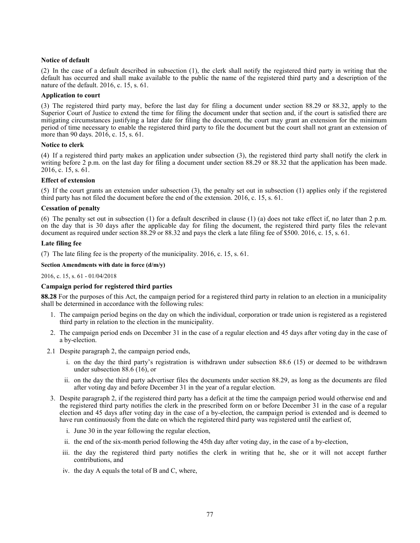# **Notice of default**

(2) In the case of a default described in subsection (1), the clerk shall notify the registered third party in writing that the default has occurred and shall make available to the public the name of the registered third party and a description of the nature of the default. 2016, c. 15, s. 61.

### **Application to court**

(3) The registered third party may, before the last day for filing a document under section 88.29 or 88.32, apply to the Superior Court of Justice to extend the time for filing the document under that section and, if the court is satisfied there are mitigating circumstances justifying a later date for filing the document, the court may grant an extension for the minimum period of time necessary to enable the registered third party to file the document but the court shall not grant an extension of more than 90 days. 2016, c. 15, s. 61.

### **Notice to clerk**

(4) If a registered third party makes an application under subsection (3), the registered third party shall notify the clerk in writing before 2 p.m. on the last day for filing a document under section 88.29 or 88.32 that the application has been made. 2016, c. 15, s. 61.

# **Effect of extension**

(5) If the court grants an extension under subsection (3), the penalty set out in subsection (1) applies only if the registered third party has not filed the document before the end of the extension. 2016, c. 15, s. 61.

### **Cessation of penalty**

(6) The penalty set out in subsection (1) for a default described in clause (1) (a) does not take effect if, no later than 2 p.m. on the day that is 30 days after the applicable day for filing the document, the registered third party files the relevant document as required under section 88.29 or 88.32 and pays the clerk a late filing fee of \$500. 2016, c. 15, s. 61.

# **Late filing fee**

(7) The late filing fee is the property of the municipality. 2016, c. 15, s. 61.

## **Section Amendments with date in force (d/m/y)**

#### [2016, c. 15, s. 61](http://www.ontario.ca/laws/statute/S16015#s61) - 01/04/2018

# **Campaign period for registered third parties**

**88.28** For the purposes of this Act, the campaign period for a registered third party in relation to an election in a municipality shall be determined in accordance with the following rules:

- 1. The campaign period begins on the day on which the individual, corporation or trade union is registered as a registered third party in relation to the election in the municipality.
- 2. The campaign period ends on December 31 in the case of a regular election and 45 days after voting day in the case of a by-election.
- 2.1 Despite paragraph 2, the campaign period ends,
	- i. on the day the third party's registration is withdrawn under subsection 88.6 (15) or deemed to be withdrawn under subsection 88.6 (16), or
	- ii. on the day the third party advertiser files the documents under section 88.29, as long as the documents are filed after voting day and before December 31 in the year of a regular election.
- 3. Despite paragraph 2, if the registered third party has a deficit at the time the campaign period would otherwise end and the registered third party notifies the clerk in the prescribed form on or before December 31 in the case of a regular election and 45 days after voting day in the case of a by-election, the campaign period is extended and is deemed to have run continuously from the date on which the registered third party was registered until the earliest of,
	- i. June 30 in the year following the regular election,
	- ii. the end of the six-month period following the 45th day after voting day, in the case of a by-election,
	- iii. the day the registered third party notifies the clerk in writing that he, she or it will not accept further contributions, and
	- iv. the day A equals the total of B and C, where,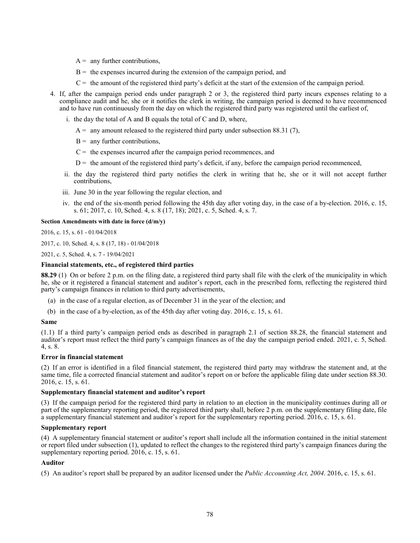- $A =$  any further contributions,
- $B =$  the expenses incurred during the extension of the campaign period, and
- $C =$  the amount of the registered third party's deficit at the start of the extension of the campaign period.
- 4. If, after the campaign period ends under paragraph 2 or 3, the registered third party incurs expenses relating to a compliance audit and he, she or it notifies the clerk in writing, the campaign period is deemed to have recommenced and to have run continuously from the day on which the registered third party was registered until the earliest of,
	- i. the day the total of A and B equals the total of C and D, where,
		- $A =$  any amount released to the registered third party under subsection 88.31 (7),
		- $B =$  any further contributions.
		- $C =$  the expenses incurred after the campaign period recommences, and
		- $D =$  the amount of the registered third party's deficit, if any, before the campaign period recommenced,
	- ii. the day the registered third party notifies the clerk in writing that he, she or it will not accept further contributions,
	- iii. June 30 in the year following the regular election, and
	- iv. the end of the six-month period following the 45th day after voting day, in the case of a by-election. 2016, c. 15, s. 61; 2017, c. 10, Sched. 4, s. 8 (17, 18); 2021, c. 5, Sched. 4, s. 7.

### **Section Amendments with date in force (d/m/y)**

[2016, c. 15,](http://www.ontario.ca/laws/statute/S16015#s61) s. 61 - 01/04/2018

[2017, c. 10, Sched. 4, s. 8 \(17, 18\)](http://www.ontario.ca/laws/statute/S17010#sched4s8s17) - 01/04/2018

[2021, c. 5, Sched. 4, s. 7](http://www.ontario.ca/laws/statute/S21005#sched4s7) - 19/04/2021

# **Financial statements, etc., of registered third parties**

**88.29** (1) On or before 2 p.m. on the filing date, a registered third party shall file with the clerk of the municipality in which he, she or it registered a financial statement and auditor's report, each in the prescribed form, reflecting the registered third party's campaign finances in relation to third party advertisements,

- (a) in the case of a regular election, as of December 31 in the year of the election; and
- (b) in the case of a by-election, as of the 45th day after voting day. 2016, c. 15, s. 61.

#### **Same**

(1.1) If a third party's campaign period ends as described in paragraph 2.1 of section 88.28, the financial statement and auditor's report must reflect the third party's campaign finances as of the day the campaign period ended. 2021, c. 5, Sched. 4, s. 8.

### **Error in financial statement**

(2) If an error is identified in a filed financial statement, the registered third party may withdraw the statement and, at the same time, file a corrected financial statement and auditor's report on or before the applicable filing date under section 88.30. 2016, c. 15, s. 61.

#### **Supplementary financial statement and auditor's report**

(3) If the campaign period for the registered third party in relation to an election in the municipality continues during all or part of the supplementary reporting period, the registered third party shall, before 2 p.m. on the supplementary filing date, file a supplementary financial statement and auditor's report for the supplementary reporting period. 2016, c. 15, s. 61.

#### **Supplementary report**

(4) A supplementary financial statement or auditor's report shall include all the information contained in the initial statement or report filed under subsection (1), updated to reflect the changes to the registered third party's campaign finances during the supplementary reporting period. 2016, c. 15, s. 61.

#### **Auditor**

(5) An auditor's report shall be prepared by an auditor licensed under the *Public Accounting Act, 2004*. 2016, c. 15, s. 61.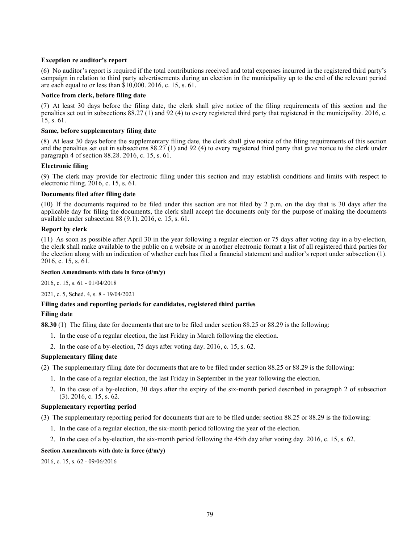# **Exception re auditor's report**

(6) No auditor's report is required if the total contributions received and total expenses incurred in the registered third party's campaign in relation to third party advertisements during an election in the municipality up to the end of the relevant period are each equal to or less than \$10,000. 2016, c. 15, s. 61.

# **Notice from clerk, before filing date**

(7) At least 30 days before the filing date, the clerk shall give notice of the filing requirements of this section and the penalties set out in subsections 88.27 (1) and 92 (4) to every registered third party that registered in the municipality. 2016, c. 15, s. 61.

# **Same, before supplementary filing date**

(8) At least 30 days before the supplementary filing date, the clerk shall give notice of the filing requirements of this section and the penalties set out in subsections 88.27 (1) and 92 (4) to every registered third party that gave notice to the clerk under paragraph 4 of section 88.28. 2016, c. 15, s. 61.

# **Electronic filing**

(9) The clerk may provide for electronic filing under this section and may establish conditions and limits with respect to electronic filing. 2016, c. 15, s. 61.

# **Documents filed after filing date**

(10) If the documents required to be filed under this section are not filed by 2 p.m. on the day that is 30 days after the applicable day for filing the documents, the clerk shall accept the documents only for the purpose of making the documents available under subsection 88 (9.1). 2016, c. 15, s. 61.

# **Report by clerk**

(11) As soon as possible after April 30 in the year following a regular election or 75 days after voting day in a by-election, the clerk shall make available to the public on a website or in another electronic format a list of all registered third parties for the election along with an indication of whether each has filed a financial statement and auditor's report under subsection (1). 2016, c. 15, s. 61.

# **Section Amendments with date in force (d/m/y)**

[2016, c. 15, s. 61](http://www.ontario.ca/laws/statute/S16015#s61) - 01/04/2018

[2021, c. 5, Sched. 4, s. 8](http://www.ontario.ca/laws/statute/S21005#sched4s8) - 19/04/2021

# **Filing dates and reporting periods for candidates, registered third parties**

# **Filing date**

**88.30** (1) The filing date for documents that are to be filed under section 88.25 or 88.29 is the following:

- 1. In the case of a regular election, the last Friday in March following the election.
- 2. In the case of a by-election, 75 days after voting day. 2016, c. 15, s. 62.

# **Supplementary filing date**

(2) The supplementary filing date for documents that are to be filed under section 88.25 or 88.29 is the following:

- 1. In the case of a regular election, the last Friday in September in the year following the election.
- 2. In the case of a by-election, 30 days after the expiry of the six-month period described in paragraph 2 of subsection (3). 2016, c. 15, s. 62.

# **Supplementary reporting period**

(3) The supplementary reporting period for documents that are to be filed under section 88.25 or 88.29 is the following:

- 1. In the case of a regular election, the six-month period following the year of the election.
- 2. In the case of a by-election, the six-month period following the 45th day after voting day. 2016, c. 15, s. 62.

# **Section Amendments with date in force (d/m/y)**

[2016, c. 15, s. 62](http://www.ontario.ca/laws/statute/S16015#s62) - 09/06/2016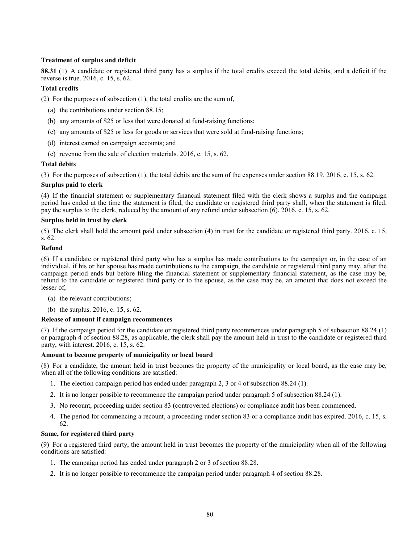# **Treatment of surplus and deficit**

**88.31** (1) A candidate or registered third party has a surplus if the total credits exceed the total debits, and a deficit if the reverse is true. 2016, c. 15, s. 62.

# **Total credits**

(2) For the purposes of subsection (1), the total credits are the sum of,

- (a) the contributions under section 88.15;
- (b) any amounts of \$25 or less that were donated at fund-raising functions;
- (c) any amounts of \$25 or less for goods or services that were sold at fund-raising functions;
- (d) interest earned on campaign accounts; and
- (e) revenue from the sale of election materials. 2016, c. 15, s. 62.

# **Total debits**

(3) For the purposes of subsection (1), the total debits are the sum of the expenses under section 88.19. 2016, c. 15, s. 62.

# **Surplus paid to clerk**

(4) If the financial statement or supplementary financial statement filed with the clerk shows a surplus and the campaign period has ended at the time the statement is filed, the candidate or registered third party shall, when the statement is filed, pay the surplus to the clerk, reduced by the amount of any refund under subsection (6). 2016, c. 15, s. 62.

# **Surplus held in trust by clerk**

(5) The clerk shall hold the amount paid under subsection (4) in trust for the candidate or registered third party. 2016, c. 15, s. 62.

# **Refund**

(6) If a candidate or registered third party who has a surplus has made contributions to the campaign or, in the case of an individual, if his or her spouse has made contributions to the campaign, the candidate or registered third party may, after the campaign period ends but before filing the financial statement or supplementary financial statement, as the case may be, refund to the candidate or registered third party or to the spouse, as the case may be, an amount that does not exceed the lesser of,

- (a) the relevant contributions;
- (b) the surplus. 2016, c. 15, s. 62.

# **Release of amount if campaign recommences**

(7) If the campaign period for the candidate or registered third party recommences under paragraph 5 of subsection 88.24 (1) or paragraph 4 of section 88.28, as applicable, the clerk shall pay the amount held in trust to the candidate or registered third party, with interest. 2016, c. 15, s. 62.

# **Amount to become property of municipality or local board**

(8) For a candidate, the amount held in trust becomes the property of the municipality or local board, as the case may be, when all of the following conditions are satisfied:

- 1. The election campaign period has ended under paragraph 2, 3 or 4 of subsection 88.24 (1).
- 2. It is no longer possible to recommence the campaign period under paragraph 5 of subsection 88.24 (1).
- 3. No recount, proceeding under section 83 (controverted elections) or compliance audit has been commenced.
- 4. The period for commencing a recount, a proceeding under section 83 or a compliance audit has expired. 2016, c. 15, s. 62.

# **Same, for registered third party**

(9) For a registered third party, the amount held in trust becomes the property of the municipality when all of the following conditions are satisfied:

- 1. The campaign period has ended under paragraph 2 or 3 of section 88.28.
- 2. It is no longer possible to recommence the campaign period under paragraph 4 of section 88.28.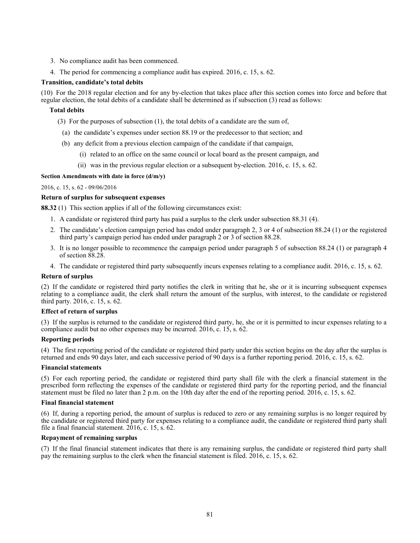- 3. No compliance audit has been commenced.
- 4. The period for commencing a compliance audit has expired. 2016, c. 15, s. 62.

# **Transition, candidate's total debits**

(10) For the 2018 regular election and for any by-election that takes place after this section comes into force and before that regular election, the total debits of a candidate shall be determined as if subsection (3) read as follows:

# **Total debits**

- (3) For the purposes of subsection (1), the total debits of a candidate are the sum of,
	- (a) the candidate's expenses under section 88.19 or the predecessor to that section; and
- (b) any deficit from a previous election campaign of the candidate if that campaign,
	- (i) related to an office on the same council or local board as the present campaign, and
	- (ii) was in the previous regular election or a subsequent by-election. 2016, c. 15, s. 62.

# **Section Amendments with date in force (d/m/y)**

# [2016, c. 15, s. 62](http://www.ontario.ca/laws/statute/S16015#s62) - 09/06/2016

# **Return of surplus for subsequent expenses**

**88.32** (1) This section applies if all of the following circumstances exist:

- 1. A candidate or registered third party has paid a surplus to the clerk under subsection 88.31 (4).
- 2. The candidate's election campaign period has ended under paragraph 2, 3 or 4 of subsection 88.24 (1) or the registered third party's campaign period has ended under paragraph 2 or 3 of section 88.28.
- 3. It is no longer possible to recommence the campaign period under paragraph 5 of subsection 88.24 (1) or paragraph 4 of section 88.28.
- 4. The candidate or registered third party subsequently incurs expenses relating to a compliance audit. 2016, c. 15, s. 62.

# **Return of surplus**

(2) If the candidate or registered third party notifies the clerk in writing that he, she or it is incurring subsequent expenses relating to a compliance audit, the clerk shall return the amount of the surplus, with interest, to the candidate or registered third party. 2016, c. 15, s. 62.

# **Effect of return of surplus**

(3) If the surplus is returned to the candidate or registered third party, he, she or it is permitted to incur expenses relating to a compliance audit but no other expenses may be incurred. 2016, c. 15, s. 62.

# **Reporting periods**

(4) The first reporting period of the candidate or registered third party under this section begins on the day after the surplus is returned and ends 90 days later, and each successive period of 90 days is a further reporting period. 2016, c. 15, s. 62.

# **Financial statements**

(5) For each reporting period, the candidate or registered third party shall file with the clerk a financial statement in the prescribed form reflecting the expenses of the candidate or registered third party for the reporting period, and the financial statement must be filed no later than 2 p.m. on the 10th day after the end of the reporting period. 2016, c. 15, s. 62.

# **Final financial statement**

(6) If, during a reporting period, the amount of surplus is reduced to zero or any remaining surplus is no longer required by the candidate or registered third party for expenses relating to a compliance audit, the candidate or registered third party shall file a final financial statement. 2016, c. 15, s. 62.

# **Repayment of remaining surplus**

(7) If the final financial statement indicates that there is any remaining surplus, the candidate or registered third party shall pay the remaining surplus to the clerk when the financial statement is filed. 2016, c. 15, s. 62.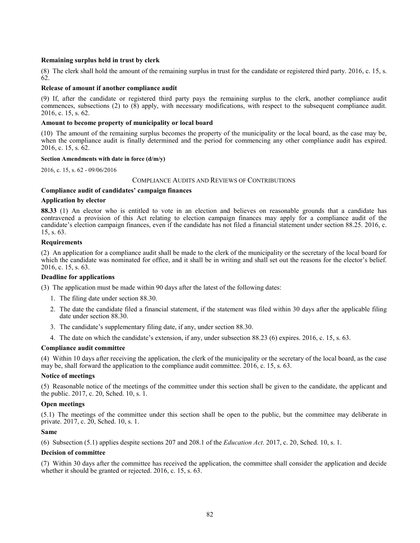# **Remaining surplus held in trust by clerk**

(8) The clerk shall hold the amount of the remaining surplus in trust for the candidate or registered third party. 2016, c. 15, s. 62.

# **Release of amount if another compliance audit**

(9) If, after the candidate or registered third party pays the remaining surplus to the clerk, another compliance audit commences, subsections (2) to  $(\bar{8})$  apply, with necessary modifications, with respect to the subsequent compliance audit. 2016, c. 15, s. 62.

# **Amount to become property of municipality or local board**

(10) The amount of the remaining surplus becomes the property of the municipality or the local board, as the case may be, when the compliance audit is finally determined and the period for commencing any other compliance audit has expired. 2016, c. 15, s. 62.

# **Section Amendments with date in force (d/m/y)**

[2016, c. 15, s. 62](http://www.ontario.ca/laws/statute/S16015#s62) - 09/06/2016

# COMPLIANCE AUDITS AND REVIEWS OF CONTRIBUTIONS

# **Compliance audit of candidates' campaign finances**

# **Application by elector**

**88.33** (1) An elector who is entitled to vote in an election and believes on reasonable grounds that a candidate has contravened a provision of this Act relating to election campaign finances may apply for a compliance audit of the candidate's election campaign finances, even if the candidate has not filed a financial statement under section 88.25. 2016, c. 15, s. 63.

# **Requirements**

(2) An application for a compliance audit shall be made to the clerk of the municipality or the secretary of the local board for which the candidate was nominated for office, and it shall be in writing and shall set out the reasons for the elector's belief. 2016, c. 15, s. 63.

# **Deadline for applications**

(3) The application must be made within 90 days after the latest of the following dates:

- 1. The filing date under section 88.30.
- 2. The date the candidate filed a financial statement, if the statement was filed within 30 days after the applicable filing date under section 88.30.
- 3. The candidate's supplementary filing date, if any, under section 88.30.
- 4. The date on which the candidate's extension, if any, under subsection 88.23 (6) expires. 2016, c. 15, s. 63.

# **Compliance audit committee**

(4) Within 10 days after receiving the application, the clerk of the municipality or the secretary of the local board, as the case may be, shall forward the application to the compliance audit committee. 2016, c. 15, s. 63.

# **Notice of meetings**

(5) Reasonable notice of the meetings of the committee under this section shall be given to the candidate, the applicant and the public. 2017, c. 20, Sched. 10, s. 1.

# **Open meetings**

(5.1) The meetings of the committee under this section shall be open to the public, but the committee may deliberate in private. 2017, c. 20, Sched. 10, s. 1.

# **Same**

(6) Subsection (5.1) applies despite sections 207 and 208.1 of the *Education Act*. 2017, c. 20, Sched. 10, s. 1.

# **Decision of committee**

(7) Within 30 days after the committee has received the application, the committee shall consider the application and decide whether it should be granted or rejected. 2016, c. 15, s. 63.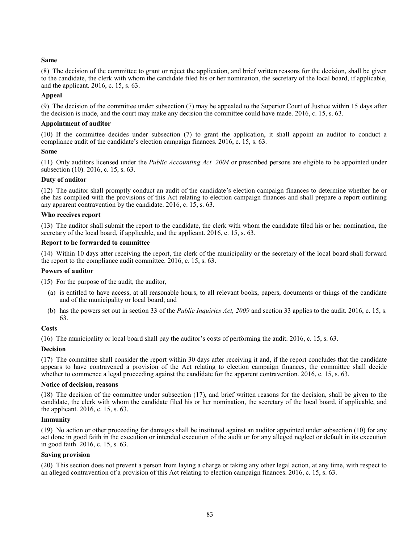(8) The decision of the committee to grant or reject the application, and brief written reasons for the decision, shall be given to the candidate, the clerk with whom the candidate filed his or her nomination, the secretary of the local board, if applicable, and the applicant. 2016, c. 15, s. 63.

# **Appeal**

(9) The decision of the committee under subsection (7) may be appealed to the Superior Court of Justice within 15 days after the decision is made, and the court may make any decision the committee could have made. 2016, c. 15, s. 63.

### **Appointment of auditor**

(10) If the committee decides under subsection (7) to grant the application, it shall appoint an auditor to conduct a compliance audit of the candidate's election campaign finances. 2016, c. 15, s. 63.

### **Same**

(11) Only auditors licensed under the *Public Accounting Act, 2004* or prescribed persons are eligible to be appointed under subsection (10). 2016, c. 15, s. 63.

# **Duty of auditor**

(12) The auditor shall promptly conduct an audit of the candidate's election campaign finances to determine whether he or she has complied with the provisions of this Act relating to election campaign finances and shall prepare a report outlining any apparent contravention by the candidate. 2016, c. 15, s. 63.

### **Who receives report**

(13) The auditor shall submit the report to the candidate, the clerk with whom the candidate filed his or her nomination, the secretary of the local board, if applicable, and the applicant. 2016, c. 15, s. 63.

### **Report to be forwarded to committee**

(14) Within 10 days after receiving the report, the clerk of the municipality or the secretary of the local board shall forward the report to the compliance audit committee. 2016, c. 15, s. 63.

### **Powers of auditor**

(15) For the purpose of the audit, the auditor,

- (a) is entitled to have access, at all reasonable hours, to all relevant books, papers, documents or things of the candidate and of the municipality or local board; and
- (b) has the powers set out in section 33 of the *Public Inquiries Act, 2009* and section 33 applies to the audit. 2016, c. 15, s. 63.

# **Costs**

(16) The municipality or local board shall pay the auditor's costs of performing the audit. 2016, c. 15, s. 63.

# **Decision**

(17) The committee shall consider the report within 30 days after receiving it and, if the report concludes that the candidate appears to have contravened a provision of the Act relating to election campaign finances, the committee shall decide whether to commence a legal proceeding against the candidate for the apparent contravention. 2016, c. 15, s. 63.

### **Notice of decision, reasons**

(18) The decision of the committee under subsection (17), and brief written reasons for the decision, shall be given to the candidate, the clerk with whom the candidate filed his or her nomination, the secretary of the local board, if applicable, and the applicant. 2016, c. 15, s. 63.

#### **Immunity**

(19) No action or other proceeding for damages shall be instituted against an auditor appointed under subsection (10) for any act done in good faith in the execution or intended execution of the audit or for any alleged neglect or default in its execution in good faith. 2016, c. 15, s. 63.

### **Saving provision**

(20) This section does not prevent a person from laying a charge or taking any other legal action, at any time, with respect to an alleged contravention of a provision of this Act relating to election campaign finances. 2016, c. 15, s. 63.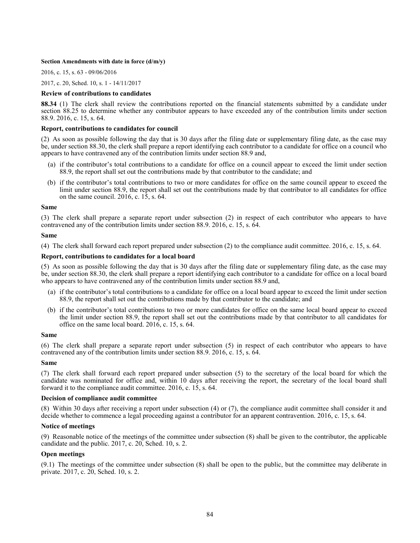### **Section Amendments with date in force (d/m/y)**

[2016, c. 15, s. 63](http://www.ontario.ca/laws/statute/S16015#s63) - 09/06/2016

[2017, c. 20, Sched. 10, s. 1](http://www.ontario.ca/laws/statute/S17020#sched10s1) - 14/11/2017

### **Review of contributions to candidates**

**88.34** (1) The clerk shall review the contributions reported on the financial statements submitted by a candidate under section 88.25 to determine whether any contributor appears to have exceeded any of the contribution limits under section 88.9. 2016, c. 15, s. 64.

### **Report, contributions to candidates for council**

(2) As soon as possible following the day that is 30 days after the filing date or supplementary filing date, as the case may be, under section 88.30, the clerk shall prepare a report identifying each contributor to a candidate for office on a council who appears to have contravened any of the contribution limits under section 88.9 and,

- (a) if the contributor's total contributions to a candidate for office on a council appear to exceed the limit under section 88.9, the report shall set out the contributions made by that contributor to the candidate; and
- (b) if the contributor's total contributions to two or more candidates for office on the same council appear to exceed the limit under section 88.9, the report shall set out the contributions made by that contributor to all candidates for office on the same council. 2016, c. 15, s. 64.

### **Same**

(3) The clerk shall prepare a separate report under subsection (2) in respect of each contributor who appears to have contravened any of the contribution limits under section 88.9. 2016, c. 15, s. 64.

### **Same**

(4) The clerk shall forward each report prepared under subsection (2) to the compliance audit committee. 2016, c. 15, s. 64.

### **Report, contributions to candidates for a local board**

(5) As soon as possible following the day that is 30 days after the filing date or supplementary filing date, as the case may be, under section 88.30, the clerk shall prepare a report identifying each contributor to a candidate for office on a local board who appears to have contravened any of the contribution limits under section 88.9 and,

- (a) if the contributor's total contributions to a candidate for office on a local board appear to exceed the limit under section 88.9, the report shall set out the contributions made by that contributor to the candidate; and
- (b) if the contributor's total contributions to two or more candidates for office on the same local board appear to exceed the limit under section 88.9, the report shall set out the contributions made by that contributor to all candidates for office on the same local board.  $2016$ , c. 15, s. 64.

### **Same**

(6) The clerk shall prepare a separate report under subsection (5) in respect of each contributor who appears to have contravened any of the contribution limits under section 88.9. 2016, c. 15, s. 64.

#### **Same**

(7) The clerk shall forward each report prepared under subsection (5) to the secretary of the local board for which the candidate was nominated for office and, within 10 days after receiving the report, the secretary of the local board shall forward it to the compliance audit committee. 2016, c. 15, s. 64.

### **Decision of compliance audit committee**

(8) Within 30 days after receiving a report under subsection (4) or (7), the compliance audit committee shall consider it and decide whether to commence a legal proceeding against a contributor for an apparent contravention. 2016, c. 15, s. 64.

#### **Notice of meetings**

(9) Reasonable notice of the meetings of the committee under subsection (8) shall be given to the contributor, the applicable candidate and the public. 2017, c. 20, Sched. 10, s. 2.

# **Open meetings**

(9.1) The meetings of the committee under subsection (8) shall be open to the public, but the committee may deliberate in private. 2017, c. 20, Sched. 10, s. 2.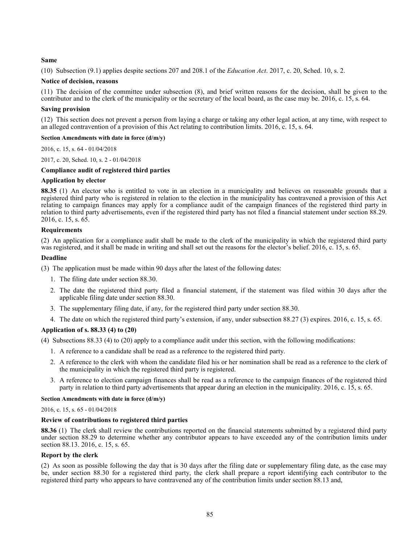(10) Subsection (9.1) applies despite sections 207 and 208.1 of the *Education Act*. 2017, c. 20, Sched. 10, s. 2.

# **Notice of decision, reasons**

(11) The decision of the committee under subsection (8), and brief written reasons for the decision, shall be given to the contributor and to the clerk of the municipality or the secretary of the local board, as the case may be. 2016, c. 15, s. 64.

# **Saving provision**

(12) This section does not prevent a person from laying a charge or taking any other legal action, at any time, with respect to an alleged contravention of a provision of this Act relating to contribution limits. 2016, c. 15, s. 64.

# **Section Amendments with date in force (d/m/y)**

[2016, c. 15, s. 64](http://www.ontario.ca/laws/statute/S16015#s64) - 01/04/2018

[2017, c. 20, Sched. 10, s. 2](http://www.ontario.ca/laws/statute/S17020#sched10s2) - 01/04/2018

# **Compliance audit of registered third parties**

# **Application by elector**

**88.35** (1) An elector who is entitled to vote in an election in a municipality and believes on reasonable grounds that a registered third party who is registered in relation to the election in the municipality has contravened a provision of this Act relating to campaign finances may apply for a compliance audit of the campaign finances of the registered third party in relation to third party advertisements, even if the registered third party has not filed a financial statement under section 88.29. 2016, c. 15, s.  $6\overline{5}$ .

# **Requirements**

(2) An application for a compliance audit shall be made to the clerk of the municipality in which the registered third party was registered, and it shall be made in writing and shall set out the reasons for the elector's belief. 2016, c. 15, s. 65.

# **Deadline**

(3) The application must be made within 90 days after the latest of the following dates:

- 1. The filing date under section 88.30.
- 2. The date the registered third party filed a financial statement, if the statement was filed within 30 days after the applicable filing date under section 88.30.
- 3. The supplementary filing date, if any, for the registered third party under section 88.30.
- 4. The date on which the registered third party's extension, if any, under subsection 88.27 (3) expires. 2016, c. 15, s. 65.

# **Application of s. 88.33 (4) to (20)**

(4) Subsections 88.33 (4) to (20) apply to a compliance audit under this section, with the following modifications:

- 1. A reference to a candidate shall be read as a reference to the registered third party.
- 2. A reference to the clerk with whom the candidate filed his or her nomination shall be read as a reference to the clerk of the municipality in which the registered third party is registered.
- 3. A reference to election campaign finances shall be read as a reference to the campaign finances of the registered third party in relation to third party advertisements that appear during an election in the municipality. 2016, c. 15, s. 65.

# **Section Amendments with date in force (d/m/y)**

# [2016, c. 15, s. 65](http://www.ontario.ca/laws/statute/S16015#s65) - 01/04/2018

# **Review of contributions to registered third parties**

**88.36** (1) The clerk shall review the contributions reported on the financial statements submitted by a registered third party under section 88.29 to determine whether any contributor appears to have exceeded any of the contribution limits under section 88.13. 2016, c. 15, s. 65.

# **Report by the clerk**

(2) As soon as possible following the day that is 30 days after the filing date or supplementary filing date, as the case may be, under section 88.30 for a registered third party, the clerk shall prepare a report identifying each contributor to the registered third party who appears to have contravened any of the contribution limits under section 88.13 and,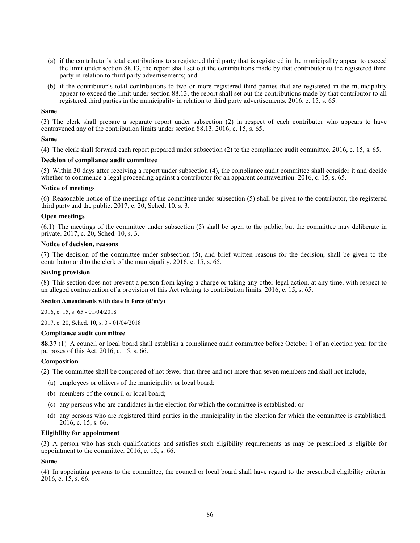- (a) if the contributor's total contributions to a registered third party that is registered in the municipality appear to exceed the limit under section 88.13, the report shall set out the contributions made by that contributor to the registered third party in relation to third party advertisements; and
- (b) if the contributor's total contributions to two or more registered third parties that are registered in the municipality appear to exceed the limit under section 88.13, the report shall set out the contributions made by that contributor to all registered third parties in the municipality in relation to third party advertisements. 2016, c. 15, s. 65.

(3) The clerk shall prepare a separate report under subsection (2) in respect of each contributor who appears to have contravened any of the contribution limits under section 88.13. 2016, c. 15, s. 65.

### **Same**

(4) The clerk shall forward each report prepared under subsection (2) to the compliance audit committee. 2016, c. 15, s. 65.

### **Decision of compliance audit committee**

(5) Within 30 days after receiving a report under subsection (4), the compliance audit committee shall consider it and decide whether to commence a legal proceeding against a contributor for an apparent contravention. 2016, c. 15, s. 65.

### **Notice of meetings**

(6) Reasonable notice of the meetings of the committee under subsection (5) shall be given to the contributor, the registered third party and the public.  $2017$ , c.  $20$ , Sched. 10, s. 3.

### **Open meetings**

(6.1) The meetings of the committee under subsection (5) shall be open to the public, but the committee may deliberate in private. 2017, c. 20, Sched. 10, s. 3.

### **Notice of decision, reasons**

(7) The decision of the committee under subsection (5), and brief written reasons for the decision, shall be given to the contributor and to the clerk of the municipality. 2016, c. 15, s. 65.

### **Saving provision**

(8) This section does not prevent a person from laying a charge or taking any other legal action, at any time, with respect to an alleged contravention of a provision of this Act relating to contribution limits. 2016, c. 15, s. 65.

# **Section Amendments with date in force (d/m/y)**

[2016, c. 15, s. 65](http://www.ontario.ca/laws/statute/S16015#s65) - 01/04/2018

[2017, c. 20, Sched. 10, s. 3](http://www.ontario.ca/laws/statute/S17020#sched10s3) - 01/04/2018

### **Compliance audit committee**

**88.37** (1) A council or local board shall establish a compliance audit committee before October 1 of an election year for the purposes of this Act. 2016, c. 15, s. 66.

# **Composition**

(2) The committee shall be composed of not fewer than three and not more than seven members and shall not include,

- (a) employees or officers of the municipality or local board;
- (b) members of the council or local board;
- (c) any persons who are candidates in the election for which the committee is established; or
- (d) any persons who are registered third parties in the municipality in the election for which the committee is established.  $2016$ , c. 15, s. 66.

### **Eligibility for appointment**

(3) A person who has such qualifications and satisfies such eligibility requirements as may be prescribed is eligible for appointment to the committee. 2016, c. 15, s. 66.

#### **Same**

(4) In appointing persons to the committee, the council or local board shall have regard to the prescribed eligibility criteria.  $2016$ , c. 15, s. 66.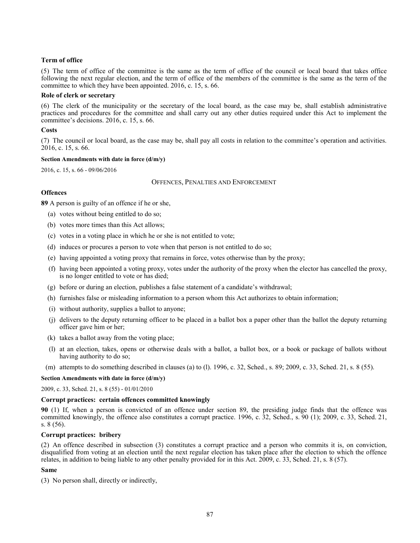# **Term of office**

(5) The term of office of the committee is the same as the term of office of the council or local board that takes office following the next regular election, and the term of office of the members of the committee is the same as the term of the committee to which they have been appointed. 2016, c. 15, s. 66.

### **Role of clerk or secretary**

(6) The clerk of the municipality or the secretary of the local board, as the case may be, shall establish administrative practices and procedures for the committee and shall carry out any other duties required under this Act to implement the committee's decisions. 2016, c. 15, s. 66.

### **Costs**

(7) The council or local board, as the case may be, shall pay all costs in relation to the committee's operation and activities. 2016, c. 15, s. 66.

#### **Section Amendments with date in force (d/m/y)**

[2016, c. 15, s. 66](http://www.ontario.ca/laws/statute/S16015#s66) - 09/06/2016

### OFFENCES, PENALTIES AND ENFORCEMENT

# **Offences**

**89** A person is guilty of an offence if he or she,

- (a) votes without being entitled to do so;
- (b) votes more times than this Act allows;
- (c) votes in a voting place in which he or she is not entitled to vote;
- (d) induces or procures a person to vote when that person is not entitled to do so;
- (e) having appointed a voting proxy that remains in force, votes otherwise than by the proxy;
- (f) having been appointed a voting proxy, votes under the authority of the proxy when the elector has cancelled the proxy, is no longer entitled to vote or has died;
- (g) before or during an election, publishes a false statement of a candidate's withdrawal;
- (h) furnishes false or misleading information to a person whom this Act authorizes to obtain information;
- (i) without authority, supplies a ballot to anyone;
- (j) delivers to the deputy returning officer to be placed in a ballot box a paper other than the ballot the deputy returning officer gave him or her;
- (k) takes a ballot away from the voting place;
- (l) at an election, takes, opens or otherwise deals with a ballot, a ballot box, or a book or package of ballots without having authority to do so;
- (m) attempts to do something described in clauses (a) to (l). 1996, c. 32, Sched., s. 89; 2009, c. 33, Sched. 21, s. 8 (55).

#### **Section Amendments with date in force (d/m/y)**

[2009, c. 33, Sched. 21, s. 8 \(55\)](http://www.ontario.ca/laws/statute/S09033#sched21s8s55) - 01/01/2010

### **Corrupt practices: certain offences committed knowingly**

**90** (1) If, when a person is convicted of an offence under section 89, the presiding judge finds that the offence was committed knowingly, the offence also constitutes a corrupt practice. 1996, c. 32, Sched., s. 90 (1); 2009, c. 33, Sched. 21, s. 8 (56).

#### **Corrupt practices: bribery**

(2) An offence described in subsection (3) constitutes a corrupt practice and a person who commits it is, on conviction, disqualified from voting at an election until the next regular election has taken place after the election to which the offence relates, in addition to being liable to any other penalty provided for in this Act. 2009, c. 33, Sched. 21, s. 8 (57).

#### **Same**

(3) No person shall, directly or indirectly,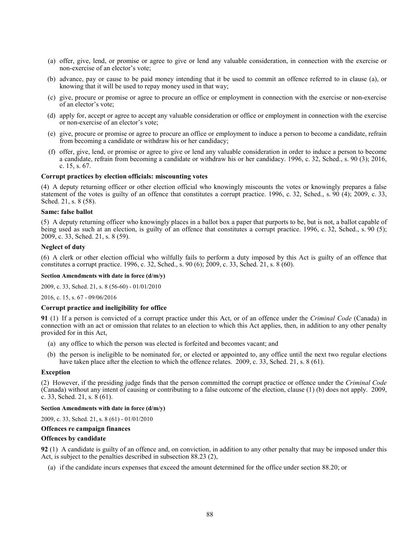- (a) offer, give, lend, or promise or agree to give or lend any valuable consideration, in connection with the exercise or non-exercise of an elector's vote;
- (b) advance, pay or cause to be paid money intending that it be used to commit an offence referred to in clause (a), or knowing that it will be used to repay money used in that way;
- (c) give, procure or promise or agree to procure an office or employment in connection with the exercise or non-exercise of an elector's vote;
- (d) apply for, accept or agree to accept any valuable consideration or office or employment in connection with the exercise or non-exercise of an elector's vote;
- (e) give, procure or promise or agree to procure an office or employment to induce a person to become a candidate, refrain from becoming a candidate or withdraw his or her candidacy;
- (f) offer, give, lend, or promise or agree to give or lend any valuable consideration in order to induce a person to become a candidate, refrain from becoming a candidate or withdraw his or her candidacy. 1996, c. 32, Sched., s. 90 (3); 2016, c. 15, s. 67.

#### **Corrupt practices by election officials: miscounting votes**

(4) A deputy returning officer or other election official who knowingly miscounts the votes or knowingly prepares a false statement of the votes is guilty of an offence that constitutes a corrupt practice. 1996, c. 32, Sched., s. 90 (4); 2009, c. 33, Sched. 21, s. 8 (58).

### **Same: false ballot**

(5) A deputy returning officer who knowingly places in a ballot box a paper that purports to be, but is not, a ballot capable of being used as such at an election, is guilty of an offence that constitutes a corrupt practice. 1996, c. 32, Sched., s. 90 (5); 2009, c. 33, Sched. 21, s. 8 (59).

# **Neglect of duty**

(6) A clerk or other election official who wilfully fails to perform a duty imposed by this Act is guilty of an offence that constitutes a corrupt practice. 1996, c. 32, Sched., s. 90 (6); 2009, c. 33, Sched. 21, s. 8 (60).

### **Section Amendments with date in force (d/m/y)**

[2009, c. 33, Sched. 21, s. 8 \(56-60\)](http://www.ontario.ca/laws/statute/S09033#sched21s8s56) - 01/01/2010

[2016, c. 15, s. 67](http://www.ontario.ca/laws/statute/S16015#s67) - 09/06/2016

### **Corrupt practice and ineligibility for office**

**91** (1) If a person is convicted of a corrupt practice under this Act, or of an offence under the *Criminal Code* (Canada) in connection with an act or omission that relates to an election to which this Act applies, then, in addition to any other penalty provided for in this Act,

- (a) any office to which the person was elected is forfeited and becomes vacant; and
- (b) the person is ineligible to be nominated for, or elected or appointed to, any office until the next two regular elections have taken place after the election to which the offence relates. 2009, c. 33, Sched. 21, s. 8 (61).

### **Exception**

(2) However, if the presiding judge finds that the person committed the corrupt practice or offence under the *Criminal Code* (Canada) without any intent of causing or contributing to a false outcome of the election, clause (1) (b) does not apply. 2009, c. 33, Sched. 21, s. 8 (61).

### **Section Amendments with date in force (d/m/y)**

[2009, c. 33, Sched. 21, s. 8 \(61\)](http://www.ontario.ca/laws/statute/S09033#sched21s8s61) - 01/01/2010

### **Offences re campaign finances**

#### **Offences by candidate**

**92** (1) A candidate is guilty of an offence and, on conviction, in addition to any other penalty that may be imposed under this Act, is subject to the penalties described in subsection 88.23 (2),

(a) if the candidate incurs expenses that exceed the amount determined for the office under section 88.20; or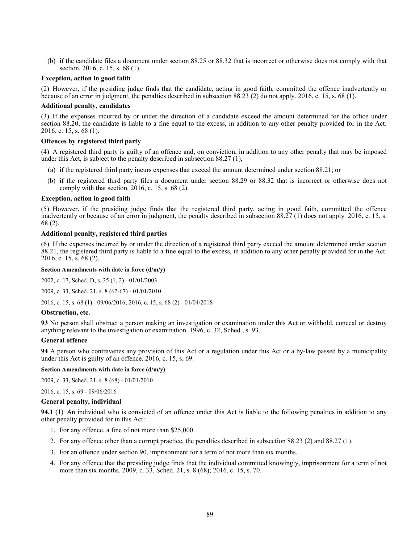(b) if the candidate files a document under section 88.25 or 88.32 that is incorrect or otherwise does not comply with that section. 2016, c. 15, s. 68 (1).

### **Exception, action in good faith**

(2) However, if the presiding judge finds that the candidate, acting in good faith, committed the offence inadvertently or because of an error in judgment, the penalties described in subsection 88.23 (2) do not apply. 2016, c. 15, s. 68 (1).

### **Additional penalty, candidates**

(3) If the expenses incurred by or under the direction of a candidate exceed the amount determined for the office under section 88.20, the candidate is liable to a fine equal to the excess, in addition to any other penalty provided for in the Act. 2016, c. 15, s. 68 (1).

# **Offences by registered third party**

(4) A registered third party is guilty of an offence and, on conviction, in addition to any other penalty that may be imposed under this Act, is subject to the penalty described in subsection 88.27 (1),

- (a) if the registered third party incurs expenses that exceed the amount determined under section 88.21; or
- (b) if the registered third party files a document under section 88.29 or 88.32 that is incorrect or otherwise does not comply with that section. 2016, c. 15, s. 68 (2).

### **Exception, action in good faith**

(5) However, if the presiding judge finds that the registered third party, acting in good faith, committed the offence inadvertently or because of an error in judgment, the penalty described in subsection 88.27 (1) does not apply. 2016, c. 15, s. 68 (2).

# **Additional penalty, registered third parties**

(6) If the expenses incurred by or under the direction of a registered third party exceed the amount determined under section 88.21, the registered third party is liable to a fine equal to the excess, in addition to any other penalty provided for in the Act. 2016, c. 15, s. 68 (2).

### **Section Amendments with date in force (d/m/y)**

[2002, c. 17, Sched. D, s. 35 \(1, 2\)](http://www.ontario.ca/laws/statute/S02017#schedds35s1) - 01/01/2003

[2009, c. 33, Sched. 21, s. 8 \(62-67\)](http://www.ontario.ca/laws/statute/S09033#sched21s8s62) - 01/01/2010

[2016, c. 15, s. 68 \(1\)](http://www.ontario.ca/laws/statute/S16015#s68s1) - 09/06/2016[; 2016, c. 15, s. 68 \(2\)](http://www.ontario.ca/laws/statute/S16015#s68s2) - 01/04/2018

### **Obstruction, etc.**

**93** No person shall obstruct a person making an investigation or examination under this Act or withhold, conceal or destroy anything relevant to the investigation or examination. 1996, c. 32, Sched., s. 93.

#### **General offence**

**94** A person who contravenes any provision of this Act or a regulation under this Act or a by-law passed by a municipality under this Act is guilty of an offence. 2016, c. 15, s. 69.

### **Section Amendments with date in force (d/m/y)**

[2009, c. 33, Sched. 21, s. 8 \(68\)](http://www.ontario.ca/laws/statute/S09033#sched21s8s68) - 01/01/2010

[2016, c. 15, s. 69](http://www.ontario.ca/laws/statute/S16015#s69) - 09/06/2016

#### **General penalty, individual**

**94.1** (1) An individual who is convicted of an offence under this Act is liable to the following penalties in addition to any other penalty provided for in this Act:

- 1. For any offence, a fine of not more than \$25,000.
- 2. For any offence other than a corrupt practice, the penalties described in subsection 88.23 (2) and 88.27 (1).
- 3. For an offence under section 90, imprisonment for a term of not more than six months.
- 4. For any offence that the presiding judge finds that the individual committed knowingly, imprisonment for a term of not more than six months. 2009, c. 33, Sched. 21, s. 8 (68); 2016, c. 15, s. 70.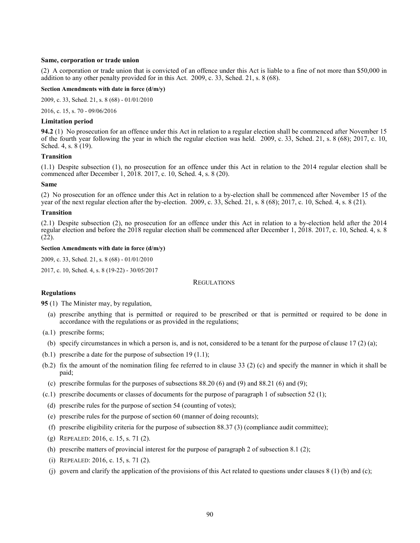### **Same, corporation or trade union**

(2) A corporation or trade union that is convicted of an offence under this Act is liable to a fine of not more than \$50,000 in addition to any other penalty provided for in this Act. 2009, c. 33, Sched. 21, s. 8 (68).

#### **Section Amendments with date in force (d/m/y)**

[2009, c. 33, Sched. 21, s. 8 \(68\)](http://www.ontario.ca/laws/statute/S09033#sched21s8s68) - 01/01/2010

[2016, c. 15, s. 70](http://www.ontario.ca/laws/statute/S16015#s70) - 09/06/2016

### **Limitation period**

**94.2** (1) No prosecution for an offence under this Act in relation to a regular election shall be commenced after November 15 of the fourth year following the year in which the regular election was held. 2009, c. 33, Sched. 21, s. 8 (68); 2017, c. 10, Sched. 4, s. 8 (19).

### **Transition**

(1.1) Despite subsection (1), no prosecution for an offence under this Act in relation to the 2014 regular election shall be commenced after December 1, 2018. 2017, c. 10, Sched. 4, s. 8 (20).

#### **Same**

(2) No prosecution for an offence under this Act in relation to a by-election shall be commenced after November 15 of the year of the next regular election after the by-election. 2009, c. 33, Sched. 21, s. 8 (68); 2017, c. 10, Sched. 4, s. 8 (21).

#### **Transition**

(2.1) Despite subsection (2), no prosecution for an offence under this Act in relation to a by-election held after the 2014 regular election and before the 2018 regular election shall be commenced after December 1, 2018. 2017, c. 10, Sched. 4, s. 8 (22).

### **Section Amendments with date in force (d/m/y)**

[2009, c. 33, Sched. 21, s. 8 \(68\)](http://www.ontario.ca/laws/statute/S09033#sched21s8s68) - 01/01/2010

[2017, c. 10, Sched.](http://www.ontario.ca/laws/statute/S17010#sched4s8s19) 4, s. 8 (19-22) - 30/05/2017

# **REGULATIONS**

#### **Regulations**

**95** (1) The Minister may, by regulation,

- (a) prescribe anything that is permitted or required to be prescribed or that is permitted or required to be done in accordance with the regulations or as provided in the regulations;
- (a.1) prescribe forms;
	- (b) specify circumstances in which a person is, and is not, considered to be a tenant for the purpose of clause 17 (2) (a);
- (b.1) prescribe a date for the purpose of subsection 19 (1.1);
- (b.2) fix the amount of the nomination filing fee referred to in clause 33 (2) (c) and specify the manner in which it shall be paid;
	- (c) prescribe formulas for the purposes of subsections  $88.20(6)$  and  $(9)$  and  $88.21(6)$  and  $(9)$ ;
- (c.1) prescribe documents or classes of documents for the purpose of paragraph 1 of subsection 52 (1);
	- (d) prescribe rules for the purpose of section 54 (counting of votes);
	- (e) prescribe rules for the purpose of section 60 (manner of doing recounts);
	- (f) prescribe eligibility criteria for the purpose of subsection 88.37 (3) (compliance audit committee);
	- (g) REPEALED: 2016, c. 15, s. 71 (2).
	- (h) prescribe matters of provincial interest for the purpose of paragraph 2 of subsection 8.1 (2);
	- (i) REPEALED: 2016, c. 15, s. 71 (2).
	- (j) govern and clarify the application of the provisions of this Act related to questions under clauses  $8(1)$  (b) and (c);